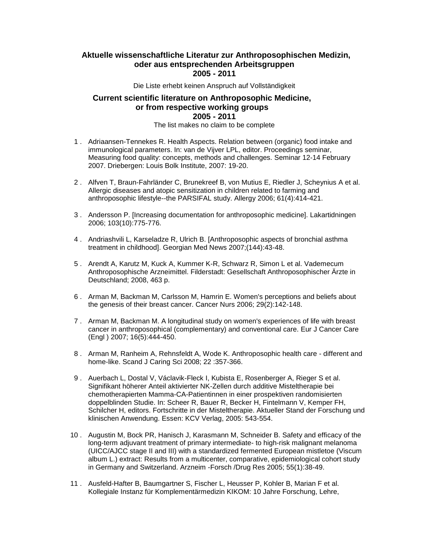## **Aktuelle wissenschaftliche Literatur zur Anthroposophischen Medizin, oder aus entsprechenden Arbeitsgruppen 2005 - 2011**

Die Liste erhebt keinen Anspruch auf Vollständigkeit

## **Current scientific literature on Anthroposophic Medicine, or from respective working groups 2005 - 2011**

The list makes no claim to be complete

- 1 . Adriaansen-Tennekes R. Health Aspects. Relation between (organic) food intake and immunological parameters. In: van de Vijver LPL, editor. Proceedings seminar, Measuring food quality: concepts, methods and challenges. Seminar 12-14 February 2007. Driebergen: Louis Bolk Institute, 2007: 19-20.
- 2 . Alfven T, Braun-Fahrländer C, Brunekreef B, von Mutius E, Riedler J, Scheynius A et al. Allergic diseases and atopic sensitization in children related to farming and anthroposophic lifestyle--the PARSIFAL study. Allergy 2006; 61(4):414-421.
- 3 . Andersson P. [Increasing documentation for anthroposophic medicine]. Lakartidningen 2006; 103(10):775-776.
- 4 . Andriashvili L, Karseladze R, Ulrich B. [Anthroposophic aspects of bronchial asthma treatment in childhood]. Georgian Med News 2007;(144):43-48.
- 5 . Arendt A, Karutz M, Kuck A, Kummer K-R, Schwarz R, Simon L et al. Vademecum Anthroposophische Arzneimittel. Filderstadt: Gesellschaft Anthroposophischer Ärzte in Deutschland; 2008, 463 p.
- 6 . Arman M, Backman M, Carlsson M, Hamrin E. Women's perceptions and beliefs about the genesis of their breast cancer. Cancer Nurs 2006; 29(2):142-148.
- 7 . Arman M, Backman M. A longitudinal study on women's experiences of life with breast cancer in anthroposophical (complementary) and conventional care. Eur J Cancer Care (Engl ) 2007; 16(5):444-450.
- 8 . Arman M, Ranheim A, Rehnsfeldt A, Wode K. Anthroposophic health care different and home-like. Scand J Caring Sci 2008; 22 :357-366.
- 9 . Auerbach L, Dostal V, Václavik-Fleck I, Kubista E, Rosenberger A, Rieger S et al. Signifikant höherer Anteil aktivierter NK-Zellen durch additive Misteltherapie bei chemotherapierten Mamma-CA-Patientinnen in einer prospektiven randomisierten doppelblinden Studie. In: Scheer R, Bauer R, Becker H, Fintelmann V, Kemper FH, Schilcher H, editors. Fortschritte in der Misteltherapie. Aktueller Stand der Forschung und klinischen Anwendung. Essen: KCV Verlag, 2005: 543-554.
- 10 . Augustin M, Bock PR, Hanisch J, Karasmann M, Schneider B. Safety and efficacy of the long-term adjuvant treatment of primary intermediate- to high-risk malignant melanoma (UICC/AJCC stage II and III) with a standardized fermented European mistletoe (Viscum album L.) extract: Results from a multicenter, comparative, epidemiological cohort study in Germany and Switzerland. Arzneim -Forsch /Drug Res 2005; 55(1):38-49.
- 11 . Ausfeld-Hafter B, Baumgartner S, Fischer L, Heusser P, Kohler B, Marian F et al. Kollegiale Instanz für Komplementärmedizin KIKOM: 10 Jahre Forschung, Lehre,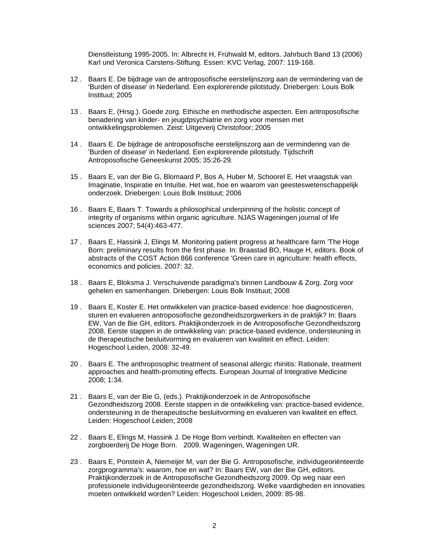Dienstleistung 1995-2005. In: Albrecht H, Frühwald M, editors. Jahrbuch Band 13 (2006) Karl und Veronica Carstens-Stiftung. Essen: KVC Verlag, 2007: 119-168.

- 12 . Baars E. De bijdrage van de antroposofische eerstelijnszorg aan de vermindering van de 'Burden of disease' in Nederland. Een explorerende pilotstudy. Driebergen: Louis Bolk Instituut; 2005
- 13 . Baars E, (Hrsg.). Goede zorg. Ethische en methodische aspecten. Een antroposofische benadering van kinder- en jeugdpsychiatrie en zorg voor mensen met ontwikkelingsproblemen. Zeist: Uitgeverij Christofoor; 2005
- 14 . Baars E. De bijdrage de antroposofische eerstelijnszorg aan de vermindering van de 'Burden of disease' in Nederland. Een explorerende pilotstudy. Tijdschrift Antroposofische Geneeskunst 2005; 35:26-29.
- 15 . Baars E, van der Bie G, Blomaard P, Bos A, Huber M, Schoorel E. Het vraagstuk van Imaginatie, Inspiratie en Intuïtie. Het wat, hoe en waarom van geesteswetenschappelijk onderzoek. Driebergen: Louis Bolk Instituut; 2006
- 16 . Baars E, Baars T. Towards a philosophical underpinning of the holistic concept of integrity of organisms within organic agriculture. NJAS Wageningen journal of life sciences 2007; 54(4):463-477.
- 17 . Baars E, Hassink J, Elings M. Monitoring patient progress at healthcare farm 'The Hoge Born: preliminary results from the first phase. In: Braastad BO, Hauge H, editors. Book of abstracts of the COST Action 866 conference 'Green care in agriculture: health effects, economics and policies. 2007: 32.
- 18 . Baars E, Bloksma J. Verschuivende paradigma's binnen Landbouw & Zorg. Zorg voor gehelen en samenhangen. Driebergen: Louis Bolk Instituut; 2008
- 19 . Baars E, Koster E. Het ontwikkelen van practice-based evidence: hoe diagnosticeren, sturen en evalueren antroposofische gezondheidszorgwerkers in de praktijk? In: Baars EW, Van de Bie GH, editors. Praktijkonderzoek in de Antroposofische Gezondheidszorg 2008. Eerste stappen in de ontwikkeling van: practice-based evidence, ondersteuning in de therapeutische besluitvorming en evalueren van kwaliteit en effect. Leiden: Hogeschool Leiden, 2008: 32-49.
- 20 . Baars E. The anthroposophic treatment of seasonal allergic rhinitis: Rationale, treatment approaches and health-promoting effects. European Journal of Integrative Medicine 2008; 1:34.
- 21 . Baars E, van der Bie G, (eds.). Praktijkonderzoek in de Antroposofische Gezondheidszorg 2008. Eerste stappen in de ontwikkeling van: practice-based evidence, ondersteuning in de therapeutische besluitvorming en evalueren van kwaliteit en effect. Leiden: Hogeschool Leiden; 2008
- 22 . Baars E, Elings M, Hassink J. De Hoge Born verbindt. Kwaliteiten en effecten van zorgboerderij De Hoge Born. 2009. Wageningen, Wageningen UR.
- 23 . Baars E, Ponstein A, Niemeijer M, van der Bie G. Antroposofische, individugeoriënteerde zorgprogramma's: waarom, hoe en wat? In: Baars EW, van der Bie GH, editors. Praktijkonderzoek in de Antroposofische Gezondheidszorg 2009. Op weg naar een professionele individugeoriënteerde gezondheidszorg. Welke vaardigheden en innovaties moeten ontwikkeld worden? Leiden: Hogeschool Leiden, 2009: 85-98.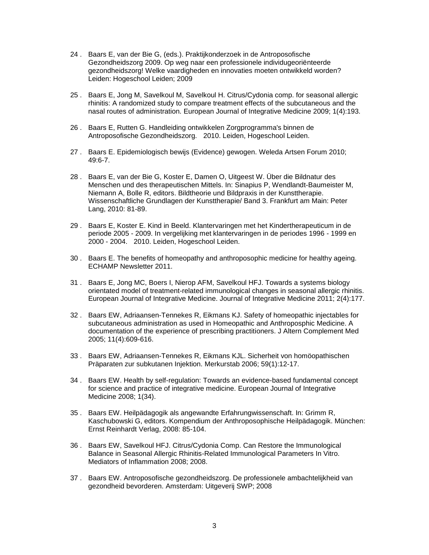- 24 . Baars E, van der Bie G, (eds.). Praktijkonderzoek in de Antroposofische Gezondheidszorg 2009. Op weg naar een professionele individugeoriënteerde gezondheidszorg! Welke vaardigheden en innovaties moeten ontwikkeld worden? Leiden: Hogeschool Leiden; 2009
- 25 . Baars E, Jong M, Savelkoul M, Savelkoul H. Citrus/Cydonia comp. for seasonal allergic rhinitis: A randomized study to compare treatment effects of the subcutaneous and the nasal routes of administration. European Journal of Integrative Medicine 2009; 1(4):193.
- 26 . Baars E, Rutten G. Handleiding ontwikkelen Zorgprogramma's binnen de Antroposofische Gezondheidszorg. 2010. Leiden, Hogeschool Leiden.
- 27 . Baars E. Epidemiologisch bewijs (Evidence) gewogen. Weleda Artsen Forum 2010; 49:6-7.
- 28 . Baars E, van der Bie G, Koster E, Damen O, Uitgeest W. Über die Bildnatur des Menschen und des therapeutischen Mittels. In: Sinapius P, Wendlandt-Baumeister M, Niemann A, Bolle R, editors. Bildtheorie und Bildpraxis in der Kunsttherapie. Wissenschaftliche Grundlagen der Kunsttherapie/ Band 3. Frankfurt am Main: Peter Lang, 2010: 81-89.
- 29 . Baars E, Koster E. Kind in Beeld. Klantervaringen met het Kindertherapeuticum in de periode 2005 - 2009. In vergelijking met klantervaringen in de periodes 1996 - 1999 en 2000 - 2004. 2010. Leiden, Hogeschool Leiden.
- 30 . Baars E. The benefits of homeopathy and anthroposophic medicine for healthy ageing. ECHAMP Newsletter 2011.
- 31 . Baars E, Jong MC, Boers I, Nierop AFM, Savelkoul HFJ. Towards a systems biology orientated model of treatment-related immunological changes in seasonal allergic rhinitis. European Journal of Integrative Medicine. Journal of Integrative Medicine 2011; 2(4):177.
- 32 . Baars EW, Adriaansen-Tennekes R, Eikmans KJ. Safety of homeopathic injectables for subcutaneous administration as used in Homeopathic and Anthroposphic Medicine. A documentation of the experience of prescribing practitioners. J Altern Complement Med 2005; 11(4):609-616.
- 33 . Baars EW, Adriaansen-Tennekes R, Eikmans KJL. Sicherheit von homöopathischen Präparaten zur subkutanen Injektion. Merkurstab 2006; 59(1):12-17.
- 34 . Baars EW. Health by self-regulation: Towards an evidence-based fundamental concept for science and practice of integrative medicine. European Journal of Integrative Medicine 2008; 1(34).
- 35 . Baars EW. Heilpädagogik als angewandte Erfahrungwissenschaft. In: Grimm R, Kaschubowski G, editors. Kompendium der Anthroposophische Heilpädagogik. München: Ernst Reinhardt Verlag, 2008: 85-104.
- 36 . Baars EW, Savelkoul HFJ. Citrus/Cydonia Comp. Can Restore the Immunological Balance in Seasonal Allergic Rhinitis-Related Immunological Parameters In Vitro. Mediators of Inflammation 2008; 2008.
- 37 . Baars EW. Antroposofische gezondheidszorg. De professionele ambachtelijkheid van gezondheid bevorderen. Amsterdam: Uitgeverij SWP; 2008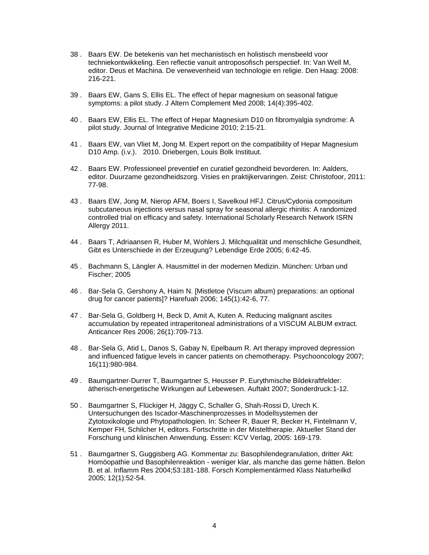- 38 . Baars EW. De betekenis van het mechanistisch en holistisch mensbeeld voor techniekontwikkeling. Een reflectie vanuit antroposofisch perspectief. In: Van Well M, editor. Deus et Machina. De verwevenheid van technologie en religie. Den Haag: 2008: 216-221.
- 39 . Baars EW, Gans S, Ellis EL. The effect of hepar magnesium on seasonal fatigue symptoms: a pilot study. J Altern Complement Med 2008; 14(4):395-402.
- 40 . Baars EW, Ellis EL. The effect of Hepar Magnesium D10 on fibromyalgia syndrome: A pilot study. Journal of Integrative Medicine 2010; 2:15-21.
- 41 . Baars EW, van Vliet M, Jong M. Expert report on the compatibility of Hepar Magnesium D10 Amp. (i.v.). 2010. Driebergen, Louis Bolk Instituut.
- 42 . Baars EW. Professioneel preventief en curatief gezondheid bevorderen. In: Aalders, editor. Duurzame gezondheidszorg. Visies en praktijkervaringen. Zeist: Christofoor, 2011: 77-98.
- 43 . Baars EW, Jong M, Nierop AFM, Boers I, Savelkoul HFJ. Citrus/Cydonia compositum subcutaneous injections versus nasal spray for seasonal allergic rhinitis: A randomized controlled trial on efficacy and safety. International Scholarly Research Network ISRN Allergy 2011.
- 44 . Baars T, Adriaansen R, Huber M, Wohlers J. Milchqualität und menschliche Gesundheit, Gibt es Unterschiede in der Erzeugung? Lebendige Erde 2005; 6:42-45.
- 45 . Bachmann S, Längler A. Hausmittel in der modernen Medizin. München: Urban und Fischer; 2005
- 46 . Bar-Sela G, Gershony A, Haim N. [Mistletoe (Viscum album) preparations: an optional drug for cancer patients]? Harefuah 2006; 145(1):42-6, 77.
- 47 . Bar-Sela G, Goldberg H, Beck D, Amit A, Kuten A. Reducing malignant ascites accumulation by repeated intraperitoneal administrations of a VISCUM ALBUM extract. Anticancer Res 2006; 26(1):709-713.
- 48 . Bar-Sela G, Atid L, Danos S, Gabay N, Epelbaum R. Art therapy improved depression and influenced fatigue levels in cancer patients on chemotherapy. Psychooncology 2007; 16(11):980-984.
- 49 . Baumgartner-Durrer T, Baumgartner S, Heusser P. Eurythmische Bildekraftfelder: ätherisch-energetische Wirkungen auf Lebewesen. Auftakt 2007; Sonderdruck:1-12.
- 50 . Baumgartner S, Flückiger H, Jäggy C, Schaller G, Shah-Rossi D, Urech K. Untersuchungen des Iscador-Maschinenprozesses in Modellsystemen der Zytotoxikologie und Phytopathologien. In: Scheer R, Bauer R, Becker H, Fintelmann V, Kemper FH, Schilcher H, editors. Fortschritte in der Misteltherapie. Aktueller Stand der Forschung und klinischen Anwendung. Essen: KCV Verlag, 2005: 169-179.
- 51 . Baumgartner S, Guggisberg AG. Kommentar zu: Basophilendegranulation, dritter Akt: Homöopathie und Basophilenreaktion - weniger klar, als manche das gerne hätten. Belon B. et al. Inflamm Res 2004;53:181-188. Forsch Komplementärmed Klass Naturheilkd 2005; 12(1):52-54.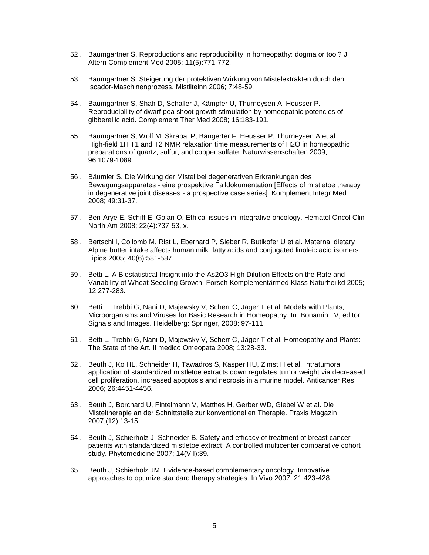- 52 . Baumgartner S. Reproductions and reproducibility in homeopathy: dogma or tool? J Altern Complement Med 2005; 11(5):771-772.
- 53 . Baumgartner S. Steigerung der protektiven Wirkung von Mistelextrakten durch den Iscador-Maschinenprozess. Mistilteinn 2006; 7:48-59.
- 54 . Baumgartner S, Shah D, Schaller J, Kämpfer U, Thurneysen A, Heusser P. Reproducibility of dwarf pea shoot growth stimulation by homeopathic potencies of gibberellic acid. Complement Ther Med 2008; 16:183-191.
- 55 . Baumgartner S, Wolf M, Skrabal P, Bangerter F, Heusser P, Thurneysen A et al. High-field 1H T1 and T2 NMR relaxation time measurements of H2O in homeopathic preparations of quartz, sulfur, and copper sulfate. Naturwissenschaften 2009; 96:1079-1089.
- 56 . Bäumler S. Die Wirkung der Mistel bei degenerativen Erkrankungen des Bewegungsapparates - eine prospektive Falldokumentation [Effects of mistletoe therapy in degenerative joint diseases - a prospective case series]. Komplement Integr Med 2008; 49:31-37.
- 57 . Ben-Arye E, Schiff E, Golan O. Ethical issues in integrative oncology. Hematol Oncol Clin North Am 2008; 22(4):737-53, x.
- 58 . Bertschi I, Collomb M, Rist L, Eberhard P, Sieber R, Butikofer U et al. Maternal dietary Alpine butter intake affects human milk: fatty acids and conjugated linoleic acid isomers. Lipids 2005; 40(6):581-587.
- 59 . Betti L. A Biostatistical Insight into the As2O3 High Dilution Effects on the Rate and Variability of Wheat Seedling Growth. Forsch Komplementärmed Klass Naturheilkd 2005; 12:277-283.
- 60 . Betti L, Trebbi G, Nani D, Majewsky V, Scherr C, Jäger T et al. Models with Plants, Microorganisms and Viruses for Basic Research in Homeopathy. In: Bonamin LV, editor. Signals and Images. Heidelberg: Springer, 2008: 97-111.
- 61 . Betti L, Trebbi G, Nani D, Majewsky V, Scherr C, Jäger T et al. Homeopathy and Plants: The State of the Art. Il medico Omeopata 2008; 13:28-33.
- 62 . Beuth J, Ko HL, Schneider H, Tawadros S, Kasper HU, Zimst H et al. Intratumoral application of standardized mistletoe extracts down regulates tumor weight via decreased cell proliferation, increased apoptosis and necrosis in a murine model. Anticancer Res 2006; 26:4451-4456.
- 63 . Beuth J, Borchard U, Fintelmann V, Matthes H, Gerber WD, Giebel W et al. Die Misteltherapie an der Schnittstelle zur konventionellen Therapie. Praxis Magazin 2007;(12):13-15.
- 64 . Beuth J, Schierholz J, Schneider B. Safety and efficacy of treatment of breast cancer patients with standardized mistletoe extract: A controlled multicenter comparative cohort study. Phytomedicine 2007; 14(VII):39.
- 65 . Beuth J, Schierholz JM. Evidence-based complementary oncology. Innovative approaches to optimize standard therapy strategies. In Vivo 2007; 21:423-428.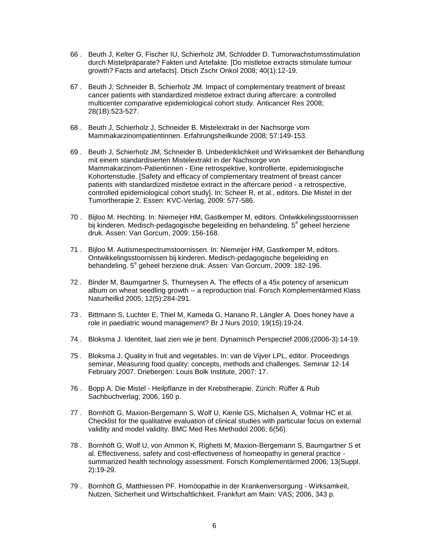- 66 . Beuth J, Kelter G, Fischer IU, Schierholz JM, Schlodder D. Tumorwachstumsstimulation durch Mistelpräparate? Fakten und Artefakte. [Do mistletoe extracts stimulate tumour growth? Facts and artefacts]. Dtsch Zschr Onkol 2008; 40(1):12-19.
- 67 . Beuth J, Schneider B, Schierholz JM. Impact of complementary treatment of breast cancer patients with standardized mistletoe extract during aftercare: a controlled multicenter comparative epidemiological cohort study. Anticancer Res 2008; 28(1B):523-527.
- 68 . Beuth J, Schierholz J, Schneider B. Mistelextrakt in der Nachsorge vom Mammakarzinompatientinnen. Erfahrungsheilkunde 2008; 57:149-153.
- 69 . Beuth J, Schierholz JM, Schneider B. Unbedenklichkeit und Wirksamkeit der Behandlung mit einem standardisierten Mistelextrakt in der Nachsorge von Mammakarzinom-Patientinnen - Eine retrospektive, kontrollierte, epidemiologische Kohortenstudie. [Safety and efficacy of complementary treatment of breast cancer patients with standardized mistletoe extract in the aftercare period - a retrospective, controlled epidemiological cohort study]. In: Scheer R, et al., editors. Die Mistel in der Tumortherapie 2. Essen: KVC-Verlag, 2009: 577-586.
- 70 . Bijloo M. Hechting. In: Niemeijer HM, Gastkemper M, editors. Ontwikkelingsstoornissen bij kinderen. Medisch-pedagogische begeleiding en behandeling. 5<sup>e</sup> geheel herziene druk. Assen: Van Gorcum, 2009: 156-168.
- 71 . Bijloo M. Autismespectrumstoornissen. In: Niemeijer HM, Gastkemper M, editors. Ontwikkelingsstoornissen bij kinderen. Medisch-pedagogische begeleiding en behandeling. 5<sup>e</sup> geheel herziene druk. Assen: Van Gorcum, 2009: 182-196.
- 72 . Binder M, Baumgartner S, Thurneysen A. The effects of a 45x potency of arsenicum album on wheat seedling growth -- a reproduction trial. Forsch Komplementärmed Klass Naturheilkd 2005; 12(5):284-291.
- 73 . Bittmann S, Luchter E, Thiel M, Kameda G, Hanano R, Längler A. Does honey have a role in paediatric wound management? Br J Nurs 2010; 19(15):19-24.
- 74 . Bloksma J. Identiteit, laat zien wie je bent. Dynamisch Perspectief 2006;(2006-3):14-19.
- 75 . Bloksma J. Quality in fruit and vegetables. In: van de Vijver LPL, editor. Proceedings seminar, Measuring food quality: concepts, methods and challenges. Seminar 12-14 February 2007. Driebergen: Louis Bolk Institute, 2007: 17.
- 76 . Bopp A. Die Mistel Heilpflanze in der Krebstherapie. Zürich: Rüffer & Rub Sachbuchverlag; 2006, 160 p.
- 77 . Bornhöft G, Maxion-Bergemann S, Wolf U, Kienle GS, Michalsen A, Vollmar HC et al. Checklist for the qualitative evaluation of clinical studies with particular focus on external validity and model validity. BMC Med Res Methodol 2006; 6(56).
- 78 . Bornhöft G, Wolf U, von Ammon K, Righetti M, Maxion-Bergemann S, Baumgartner S et al. Effectiveness, safety and cost-effectiveness of homeopathy in general practice summarized health technology assessment. Forsch Komplementärmed 2006; 13(Suppl. 2):19-29.
- 79 . Bornhöft G, Matthiessen PF. Homöopathie in der Krankenversorgung Wirksamkeit, Nutzen, Sicherheit und Wirtschaftlichkeit. Frankfurt am Main: VAS; 2006, 343 p.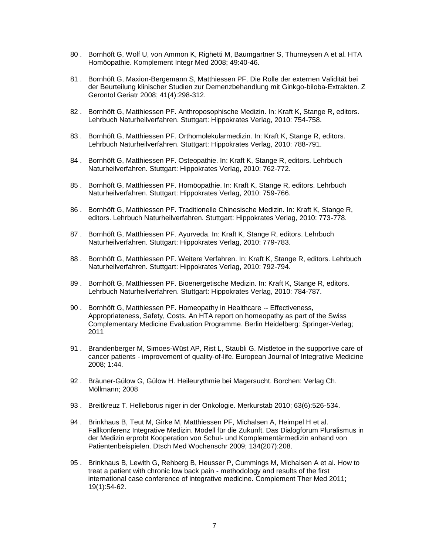- 80 . Bornhöft G, Wolf U, von Ammon K, Righetti M, Baumgartner S, Thurneysen A et al. HTA Homöopathie. Komplement Integr Med 2008; 49:40-46.
- 81 . Bornhöft G, Maxion-Bergemann S, Matthiessen PF. Die Rolle der externen Validität bei der Beurteilung klinischer Studien zur Demenzbehandlung mit Ginkgo-biloba-Extrakten. Z Gerontol Geriatr 2008; 41(4):298-312.
- 82 . Bornhöft G, Matthiessen PF. Anthroposophische Medizin. In: Kraft K, Stange R, editors. Lehrbuch Naturheilverfahren. Stuttgart: Hippokrates Verlag, 2010: 754-758.
- 83 . Bornhöft G, Matthiessen PF. Orthomolekularmedizin. In: Kraft K, Stange R, editors. Lehrbuch Naturheilverfahren. Stuttgart: Hippokrates Verlag, 2010: 788-791.
- 84 . Bornhöft G, Matthiessen PF. Osteopathie. In: Kraft K, Stange R, editors. Lehrbuch Naturheilverfahren. Stuttgart: Hippokrates Verlag, 2010: 762-772.
- 85 . Bornhöft G, Matthiessen PF. Homöopathie. In: Kraft K, Stange R, editors. Lehrbuch Naturheilverfahren. Stuttgart: Hippokrates Verlag, 2010: 759-766.
- 86 . Bornhöft G, Matthiessen PF. Traditionelle Chinesische Medizin. In: Kraft K, Stange R, editors. Lehrbuch Naturheilverfahren. Stuttgart: Hippokrates Verlag, 2010: 773-778.
- 87 . Bornhöft G, Matthiessen PF. Ayurveda. In: Kraft K, Stange R, editors. Lehrbuch Naturheilverfahren. Stuttgart: Hippokrates Verlag, 2010: 779-783.
- 88 . Bornhöft G, Matthiessen PF. Weitere Verfahren. In: Kraft K, Stange R, editors. Lehrbuch Naturheilverfahren. Stuttgart: Hippokrates Verlag, 2010: 792-794.
- 89 . Bornhöft G, Matthiessen PF. Bioenergetische Medizin. In: Kraft K, Stange R, editors. Lehrbuch Naturheilverfahren. Stuttgart: Hippokrates Verlag, 2010: 784-787.
- 90 . Bornhöft G, Matthiessen PF. Homeopathy in Healthcare -- Effectiveness, Appropriateness, Safety, Costs. An HTA report on homeopathy as part of the Swiss Complementary Medicine Evaluation Programme. Berlin Heidelberg: Springer-Verlag; 2011
- 91 . Brandenberger M, Simoes-Wüst AP, Rist L, Staubli G. Mistletoe in the supportive care of cancer patients - improvement of quality-of-life. European Journal of Integrative Medicine 2008; 1:44.
- 92 . Bräuner-Gülow G, Gülow H. Heileurythmie bei Magersucht. Borchen: Verlag Ch. Möllmann; 2008
- 93 . Breitkreuz T. Helleborus niger in der Onkologie. Merkurstab 2010; 63(6):526-534.
- 94 . Brinkhaus B, Teut M, Girke M, Matthiessen PF, Michalsen A, Heimpel H et al. Fallkonferenz Integrative Medizin. Modell für die Zukunft. Das Dialogforum Pluralismus in der Medizin erprobt Kooperation von Schul- und Komplementärmedizin anhand von Patientenbeispielen. Dtsch Med Wochenschr 2009; 134(207):208.
- 95 . Brinkhaus B, Lewith G, Rehberg B, Heusser P, Cummings M, Michalsen A et al. How to treat a patient with chronic low back pain - methodology and results of the first international case conference of integrative medicine. Complement Ther Med 2011; 19(1):54-62.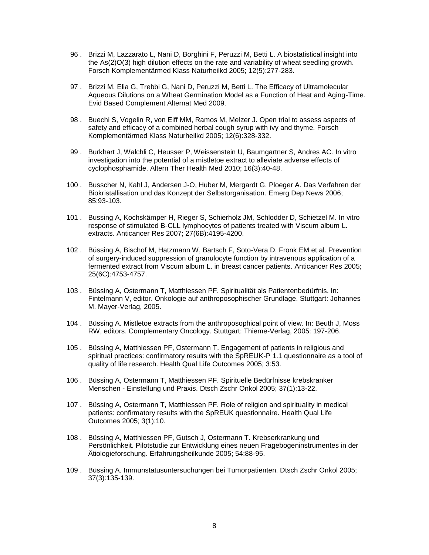- 96 . Brizzi M, Lazzarato L, Nani D, Borghini F, Peruzzi M, Betti L. A biostatistical insight into the As(2)O(3) high dilution effects on the rate and variability of wheat seedling growth. Forsch Komplementärmed Klass Naturheilkd 2005; 12(5):277-283.
- 97 . Brizzi M, Elia G, Trebbi G, Nani D, Peruzzi M, Betti L. The Efficacy of Ultramolecular Aqueous Dilutions on a Wheat Germination Model as a Function of Heat and Aging-Time. Evid Based Complement Alternat Med 2009.
- 98 . Buechi S, Vogelin R, von Eiff MM, Ramos M, Melzer J. Open trial to assess aspects of safety and efficacy of a combined herbal cough syrup with ivy and thyme. Forsch Komplementärmed Klass Naturheilkd 2005; 12(6):328-332.
- 99 . Burkhart J, Walchli C, Heusser P, Weissenstein U, Baumgartner S, Andres AC. In vitro investigation into the potential of a mistletoe extract to alleviate adverse effects of cyclophosphamide. Altern Ther Health Med 2010; 16(3):40-48.
- 100 . Busscher N, Kahl J, Andersen J-O, Huber M, Mergardt G, Ploeger A. Das Verfahren der Biokristallisation und das Konzept der Selbstorganisation. Emerg Dep News 2006; 85:93-103.
- 101 . Bussing A, Kochskämper H, Rieger S, Schierholz JM, Schlodder D, Schietzel M. In vitro response of stimulated B-CLL lymphocytes of patients treated with Viscum album L. extracts. Anticancer Res 2007; 27(6B):4195-4200.
- 102 . Büssing A, Bischof M, Hatzmann W, Bartsch F, Soto-Vera D, Fronk EM et al. Prevention of surgery-induced suppression of granulocyte function by intravenous application of a fermented extract from Viscum album L. in breast cancer patients. Anticancer Res 2005; 25(6C):4753-4757.
- 103 . Büssing A, Ostermann T, Matthiessen PF. Spiritualität als Patientenbedürfnis. In: Fintelmann V, editor. Onkologie auf anthroposophischer Grundlage. Stuttgart: Johannes M. Mayer-Verlag, 2005.
- 104 . Büssing A. Mistletoe extracts from the anthroposophical point of view. In: Beuth J, Moss RW, editors. Complementary Oncology. Stuttgart: Thieme-Verlag, 2005: 197-206.
- 105 . Büssing A, Matthiessen PF, Ostermann T. Engagement of patients in religious and spiritual practices: confirmatory results with the SpREUK-P 1.1 questionnaire as a tool of quality of life research. Health Qual Life Outcomes 2005; 3:53.
- 106 . Büssing A, Ostermann T, Matthiessen PF. Spirituelle Bedürfnisse krebskranker Menschen - Einstellung und Praxis. Dtsch Zschr Onkol 2005; 37(1):13-22.
- 107 . Büssing A, Ostermann T, Matthiessen PF. Role of religion and spirituality in medical patients: confirmatory results with the SpREUK questionnaire. Health Qual Life Outcomes 2005; 3(1):10.
- 108 . Büssing A, Matthiessen PF, Gutsch J, Ostermann T. Krebserkrankung und Persönlichkeit. Pilotstudie zur Entwicklung eines neuen Fragebogeninstrumentes in der Ätiologieforschung. Erfahrungsheilkunde 2005; 54:88-95.
- 109 . Büssing A. Immunstatusuntersuchungen bei Tumorpatienten. Dtsch Zschr Onkol 2005; 37(3):135-139.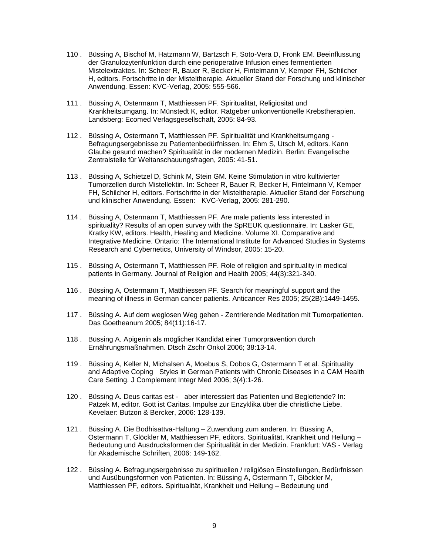- 110 . Büssing A, Bischof M, Hatzmann W, Bartzsch F, Soto-Vera D, Fronk EM. Beeinflussung der Granulozytenfunktion durch eine perioperative Infusion eines fermentierten Mistelextraktes. In: Scheer R, Bauer R, Becker H, Fintelmann V, Kemper FH, Schilcher H, editors. Fortschritte in der Misteltherapie. Aktueller Stand der Forschung und klinischer Anwendung. Essen: KVC-Verlag, 2005: 555-566.
- 111 . Büssing A, Ostermann T, Matthiessen PF. Spiritualität, Religiosität und Krankheitsumgang. In: Münstedt K, editor. Ratgeber unkonventionelle Krebstherapien. Landsberg: Ecomed Verlagsgesellschaft, 2005: 84-93.
- 112 . Büssing A, Ostermann T, Matthiessen PF. Spiritualität und Krankheitsumgang Befragungsergebnisse zu Patientenbedürfnissen. In: Ehm S, Utsch M, editors. Kann Glaube gesund machen? Spiritualität in der modernen Medizin. Berlin: Evangelische Zentralstelle für Weltanschauungsfragen, 2005: 41-51.
- 113 . Büssing A, Schietzel D, Schink M, Stein GM. Keine Stimulation in vitro kultivierter Tumorzellen durch Mistellektin. In: Scheer R, Bauer R, Becker H, Fintelmann V, Kemper FH, Schilcher H, editors. Fortschritte in der Misteltherapie. Aktueller Stand der Forschung und klinischer Anwendung. Essen: KVC-Verlag, 2005: 281-290.
- 114 . Büssing A, Ostermann T, Matthiessen PF. Are male patients less interested in spirituality? Results of an open survey with the SpREUK questionnaire. In: Lasker GE, Kratky KW, editors. Health, Healing and Medicine. Volume XI. Comparative and Integrative Medicine. Ontario: The International Institute for Advanced Studies in Systems Research and Cybernetics, University of Windsor, 2005: 15-20.
- 115 . Büssing A, Ostermann T, Matthiessen PF. Role of religion and spirituality in medical patients in Germany. Journal of Religion and Health 2005; 44(3):321-340.
- 116 . Büssing A, Ostermann T, Matthiessen PF. Search for meaningful support and the meaning of illness in German cancer patients. Anticancer Res 2005; 25(2B):1449-1455.
- 117 . Büssing A. Auf dem weglosen Weg gehen Zentrierende Meditation mit Tumorpatienten. Das Goetheanum 2005; 84(11):16-17.
- 118 . Büssing A. Apigenin als möglicher Kandidat einer Tumorprävention durch Ernährungsmaßnahmen. Dtsch Zschr Onkol 2006; 38:13-14.
- 119 . Büssing A, Keller N, Michalsen A, Moebus S, Dobos G, Ostermann T et al. Spirituality and Adaptive Coping Styles in German Patients with Chronic Diseases in a CAM Health Care Setting. J Complement Integr Med 2006; 3(4):1-26.
- 120 . Büssing A. Deus caritas est aber interessiert das Patienten und Begleitende? In: Patzek M, editor. Gott ist Caritas. Impulse zur Enzyklika über die christliche Liebe. Kevelaer: Butzon & Bercker, 2006: 128-139.
- 121 . Büssing A. Die Bodhisattva-Haltung Zuwendung zum anderen. In: Büssing A, Ostermann T, Glöckler M, Matthiessen PF, editors. Spiritualität, Krankheit und Heilung – Bedeutung und Ausdrucksformen der Spiritualität in der Medizin. Frankfurt: VAS - Verlag für Akademische Schriften, 2006: 149-162.
- 122 . Büssing A. Befragungsergebnisse zu spirituellen / religiösen Einstellungen, Bedürfnissen und Ausübungsformen von Patienten. In: Büssing A, Ostermann T, Glöckler M, Matthiessen PF, editors. Spiritualität, Krankheit und Heilung – Bedeutung und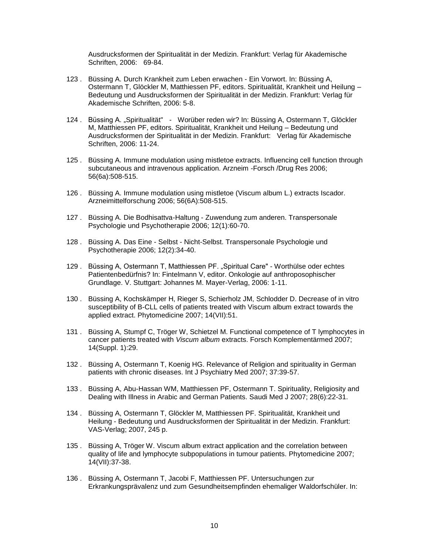Ausdrucksformen der Spiritualität in der Medizin. Frankfurt: Verlag für Akademische Schriften, 2006: 69-84.

- 123 . Büssing A. Durch Krankheit zum Leben erwachen Ein Vorwort. In: Büssing A, Ostermann T, Glöckler M, Matthiessen PF, editors. Spiritualität, Krankheit und Heilung – Bedeutung und Ausdrucksformen der Spiritualität in der Medizin. Frankfurt: Verlag für Akademische Schriften, 2006: 5-8.
- 124 . Büssing A. "Spiritualität" Worüber reden wir? In: Büssing A, Ostermann T, Glöckler M, Matthiessen PF, editors. Spiritualität, Krankheit und Heilung – Bedeutung und Ausdrucksformen der Spiritualität in der Medizin. Frankfurt: Verlag für Akademische Schriften, 2006: 11-24.
- 125 . Büssing A. Immune modulation using mistletoe extracts. Influencing cell function through subcutaneous and intravenous application. Arzneim -Forsch /Drug Res 2006; 56(6a):508-515.
- 126 . Büssing A. Immune modulation using mistletoe (Viscum album L.) extracts Iscador. Arzneimittelforschung 2006; 56(6A):508-515.
- 127 . Büssing A. Die Bodhisattva-Haltung Zuwendung zum anderen. Transpersonale Psychologie und Psychotherapie 2006; 12(1):60-70.
- 128 . Büssing A. Das Eine Selbst Nicht-Selbst. Transpersonale Psychologie und Psychotherapie 2006; 12(2):34-40.
- 129 . Büssing A, Ostermann T, Matthiessen PF. "Spiritual Care" Worthülse oder echtes Patientenbedürfnis? In: Fintelmann V, editor. Onkologie auf anthroposophischer Grundlage. V. Stuttgart: Johannes M. Mayer-Verlag, 2006: 1-11.
- 130 . Büssing A, Kochskämper H, Rieger S, Schierholz JM, Schlodder D. Decrease of in vitro susceptibility of B-CLL cells of patients treated with Viscum album extract towards the applied extract. Phytomedicine 2007; 14(VII):51.
- 131 . Büssing A, Stumpf C, Tröger W, Schietzel M. Functional competence of T lymphocytes in cancer patients treated with *Viscum album* extracts. Forsch Komplementärmed 2007; 14(Suppl. 1):29.
- 132 . Büssing A, Ostermann T, Koenig HG. Relevance of Religion and spirituality in German patients with chronic diseases. Int J Psychiatry Med 2007; 37:39-57.
- 133 . Büssing A, Abu-Hassan WM, Matthiessen PF, Ostermann T. Spirituality, Religiosity and Dealing with Illness in Arabic and German Patients. Saudi Med J 2007; 28(6):22-31.
- 134 . Büssing A, Ostermann T, Glöckler M, Matthiessen PF. Spiritualität, Krankheit und Heilung - Bedeutung und Ausdrucksformen der Spiritualität in der Medizin. Frankfurt: VAS-Verlag; 2007, 245 p.
- 135 . Büssing A, Tröger W. Viscum album extract application and the correlation between quality of life and lymphocyte subpopulations in tumour patients. Phytomedicine 2007; 14(VII):37-38.
- 136 . Büssing A, Ostermann T, Jacobi F, Matthiessen PF. Untersuchungen zur Erkrankungsprävalenz und zum Gesundheitsempfinden ehemaliger Waldorfschüler. In: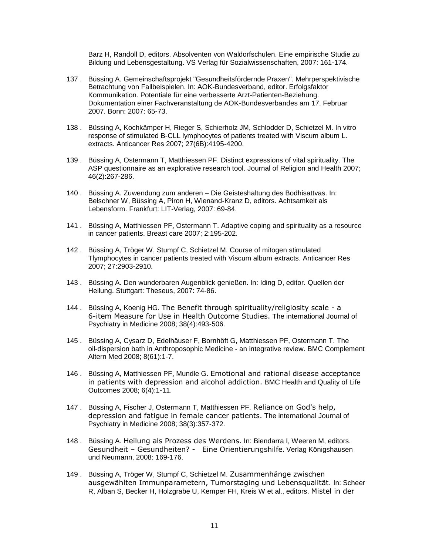Barz H, Randoll D, editors. Absolventen von Waldorfschulen. Eine empirische Studie zu Bildung und Lebensgestaltung. VS Verlag für Sozialwissenschaften, 2007: 161-174.

- 137 . Büssing A. Gemeinschaftsprojekt "Gesundheitsfördernde Praxen". Mehrperspektivische Betrachtung von Fallbeispielen. In: AOK-Bundesverband, editor. Erfolgsfaktor Kommunikation. Potentiale für eine verbesserte Arzt-Patienten-Beziehung. Dokumentation einer Fachveranstaltung de AOK-Bundesverbandes am 17. Februar 2007. Bonn: 2007: 65-73.
- 138 . Büssing A, Kochkämper H, Rieger S, Schierholz JM, Schlodder D, Schietzel M. In vitro response of stimulated B-CLL lymphocytes of patients treated with Viscum album L. extracts. Anticancer Res 2007; 27(6B):4195-4200.
- 139 . Büssing A, Ostermann T, Matthiessen PF. Distinct expressions of vital spirituality. The ASP questionnaire as an explorative research tool. Journal of Religion and Health 2007; 46(2):267-286.
- 140 . Büssing A. Zuwendung zum anderen Die Geisteshaltung des Bodhisattvas. In: Belschner W, Büssing A, Piron H, Wienand-Kranz D, editors. Achtsamkeit als Lebensform. Frankfurt: LIT-Verlag, 2007: 69-84.
- 141 . Büssing A, Matthiessen PF, Ostermann T. Adaptive coping and spirituality as a resource in cancer patients. Breast care 2007; 2:195-202.
- 142 . Büssing A, Tröger W, Stumpf C, Schietzel M. Course of mitogen stimulated Tlymphocytes in cancer patients treated with Viscum album extracts. Anticancer Res 2007; 27:2903-2910.
- 143 . Büssing A. Den wunderbaren Augenblick genießen. In: Iding D, editor. Quellen der Heilung. Stuttgart: Theseus, 2007: 74-86.
- 144 . Büssing A, Koenig HG. The Benefit through spirituality/religiosity scale a 6-item Measure for Use in Health Outcome Studies. The international Journal of Psychiatry in Medicine 2008; 38(4):493-506.
- 145 . Büssing A, Cysarz D, Edelhäuser F, Bornhöft G, Matthiessen PF, Ostermann T. The oil-dispersion bath in Anthroposophic Medicine - an integrative review. BMC Complement Altern Med 2008; 8(61):1-7.
- 146 . Büssing A, Matthiessen PF, Mundle G. Emotional and rational disease acceptance in patients with depression and alcohol addiction. BMC Health and Quality of Life Outcomes 2008; 6(4):1-11.
- 147 . Büssing A, Fischer J, Ostermann T, Matthiessen PF. Reliance on God's help, depression and fatigue in female cancer patients. The international Journal of Psychiatry in Medicine 2008; 38(3):357-372.
- 148 . Büssing A. Heilung als Prozess des Werdens. In: Biendarra I, Weeren M, editors. Gesundheit – Gesundheiten? - Eine Orientierungshilfe. Verlag Königshausen und Neumann, 2008: 169-176.
- 149 . Büssing A, Tröger W, Stumpf C, Schietzel M. Zusammenhänge zwischen ausgewählten Immunparametern, Tumorstaging und Lebensqualität. In: Scheer R, Alban S, Becker H, Holzgrabe U, Kemper FH, Kreis W et al., editors. Mistel in der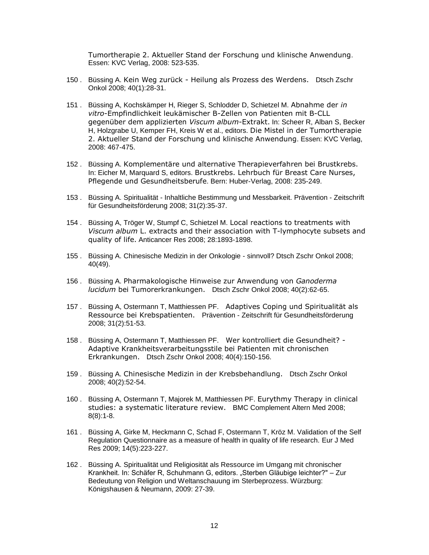Tumortherapie 2. Aktueller Stand der Forschung und klinische Anwendung. Essen: KVC Verlag, 2008: 523-535.

- 150 . Büssing A. Kein Weg zurück Heilung als Prozess des Werdens. Dtsch Zschr Onkol 2008; 40(1):28-31.
- 151 . Büssing A, Kochskämper H, Rieger S, Schlodder D, Schietzel M. Abnahme der *in vitro*-Empfindlichkeit leukämischer B-Zellen von Patienten mit B-CLL gegenüber dem applizierten *Viscum album*-Extrakt. In: Scheer R, Alban S, Becker H, Holzgrabe U, Kemper FH, Kreis W et al., editors. Die Mistel in der Tumortherapie 2. Aktueller Stand der Forschung und klinische Anwendung. Essen: KVC Verlag, 2008: 467-475.
- 152 . Büssing A. Komplementäre und alternative Therapieverfahren bei Brustkrebs. In: Eicher M, Marquard S, editors. Brustkrebs. Lehrbuch für Breast Care Nurses, Pflegende und Gesundheitsberufe. Bern: Huber-Verlag, 2008: 235-249.
- 153 . Büssing A. Spiritualität Inhaltliche Bestimmung und Messbarkeit. Prävention Zeitschrift für Gesundheitsförderung 2008; 31(2):35-37.
- 154 . Büssing A, Tröger W, Stumpf C, Schietzel M. Local reactions to treatments with *Viscum album* L. extracts and their association with T-lymphocyte subsets and quality of life. Anticancer Res 2008; 28:1893-1898.
- 155 . Büssing A. Chinesische Medizin in der Onkologie sinnvoll? Dtsch Zschr Onkol 2008; 40(49).
- 156 . Büssing A. Pharmakologische Hinweise zur Anwendung von *Ganoderma lucidum* bei Tumorerkrankungen. Dtsch Zschr Onkol 2008; 40(2):62-65.
- 157 . Büssing A, Ostermann T, Matthiessen PF. Adaptives Coping und Spiritualität als Ressource bei Krebspatienten. Prävention - Zeitschrift für Gesundheitsförderung 2008; 31(2):51-53.
- 158 . Büssing A, Ostermann T, Matthiessen PF. Wer kontrolliert die Gesundheit? Adaptive Krankheitsverarbeitungsstile bei Patienten mit chronischen Erkrankungen. Dtsch Zschr Onkol 2008; 40(4):150-156.
- 159 . Büssing A. Chinesische Medizin in der Krebsbehandlung. Dtsch Zschr Onkol 2008; 40(2):52-54.
- 160 . Büssing A, Ostermann T, Majorek M, Matthiessen PF. Eurythmy Therapy in clinical studies: a systematic literature review. BMC Complement Altern Med 2008; 8(8):1-8.
- 161 . Büssing A, Girke M, Heckmann C, Schad F, Ostermann T, Kröz M. Validation of the Self Regulation Questionnaire as a measure of health in quality of life research. Eur J Med Res 2009; 14(5):223-227.
- 162 . Büssing A. Spiritualität und Religiosität als Ressource im Umgang mit chronischer Krankheit. In: Schäfer R, Schuhmann G, editors. "Sterben Gläubige leichter?" – Zur Bedeutung von Religion und Weltanschauung im Sterbeprozess. Würzburg: Königshausen & Neumann, 2009: 27-39.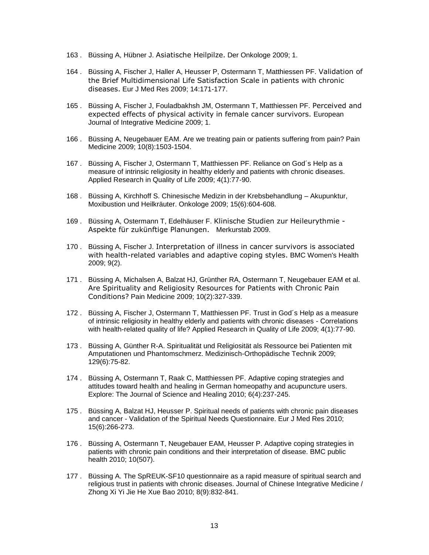- 163 . Büssing A, Hübner J. Asiatische Heilpilze. Der Onkologe 2009; 1.
- 164 . Büssing A, Fischer J, Haller A, Heusser P, Ostermann T, Matthiessen PF. Validation of the Brief Multidimensional Life Satisfaction Scale in patients with chronic diseases. Eur J Med Res 2009; 14:171-177.
- 165 . Büssing A, Fischer J, Fouladbakhsh JM, Ostermann T, Matthiessen PF. Perceived and expected effects of physical activity in female cancer survivors. European Journal of Integrative Medicine 2009; 1.
- 166 . Büssing A, Neugebauer EAM. Are we treating pain or patients suffering from pain? Pain Medicine 2009; 10(8):1503-1504.
- 167 . Büssing A, Fischer J, Ostermann T, Matthiessen PF. Reliance on God´s Help as a measure of intrinsic religiosity in healthy elderly and patients with chronic diseases. Applied Research in Quality of Life 2009; 4(1):77-90.
- 168 . Büssing A, Kirchhoff S. Chinesische Medizin in der Krebsbehandlung Akupunktur, Moxibustion und Heilkräuter. Onkologe 2009; 15(6):604-608.
- 169 . Büssing A, Ostermann T, Edelhäuser F. Klinische Studien zur Heileurythmie Aspekte für zukünftige Planungen. Merkurstab 2009.
- 170 . Büssing A, Fischer J. Interpretation of illness in cancer survivors is associated with health-related variables and adaptive coping styles. BMC Women's Health 2009; 9(2).
- 171 . Büssing A, Michalsen A, Balzat HJ, Grünther RA, Ostermann T, Neugebauer EAM et al. Are Spirituality and Religiosity Resources for Patients with Chronic Pain Conditions? Pain Medicine 2009; 10(2):327-339.
- 172 . Büssing A, Fischer J, Ostermann T, Matthiessen PF. Trust in God´s Help as a measure of intrinsic religiosity in healthy elderly and patients with chronic diseases - Correlations with health-related quality of life? Applied Research in Quality of Life 2009; 4(1):77-90.
- 173 . Büssing A, Günther R-A. Spiritualität und Religiosität als Ressource bei Patienten mit Amputationen und Phantomschmerz. Medizinisch-Orthopädische Technik 2009; 129(6):75-82.
- 174 . Büssing A, Ostermann T, Raak C, Matthiessen PF. Adaptive coping strategies and attitudes toward health and healing in German homeopathy and acupuncture users. Explore: The Journal of Science and Healing 2010; 6(4):237-245.
- 175 . Büssing A, Balzat HJ, Heusser P. Spiritual needs of patients with chronic pain diseases and cancer - Validation of the Spiritual Needs Questionnaire. Eur J Med Res 2010; 15(6):266-273.
- 176 . Büssing A, Ostermann T, Neugebauer EAM, Heusser P. Adaptive coping strategies in patients with chronic pain conditions and their interpretation of disease. BMC public health 2010; 10(507).
- 177 . Büssing A. The SpREUK-SF10 questionnaire as a rapid measure of spiritual search and religious trust in patients with chronic diseases. Journal of Chinese Integrative Medicine / Zhong Xi Yi Jie He Xue Bao 2010; 8(9):832-841.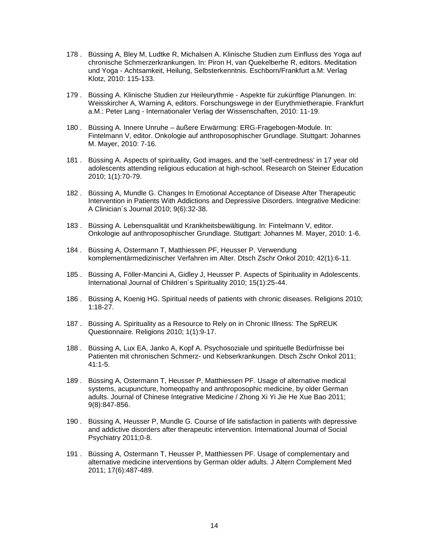- 178 . Büssing A, Bley M, Ludtke R, Michalsen A. Klinische Studien zum Einfluss des Yoga auf chronische Schmerzerkrankungen. In: Piron H, van Quekelberhe R, editors. Meditation und Yoga - Achtsamkeit, Heilung, Selbsterkenntnis. Eschborn/Frankfurt a.M: Verlag Klotz, 2010: 115-133.
- 179 . Büssing A. Klinische Studien zur Heileurythmie Aspekte für zukünftige Planungen. In: Weisskircher A, Warning A, editors. Forschungswege in der Eurythmietherapie. Frankfurt a.M.: Peter Lang - Internationaler Verlag der Wissenschaften, 2010: 11-19.
- 180 . Büssing A. Innere Unruhe äußere Erwärmung: ERG-Fragebogen-Module. In: Fintelmann V, editor. Onkologie auf anthroposophischer Grundlage. Stuttgart: Johannes M. Mayer, 2010: 7-16.
- 181 . Büssing A. Aspects of spirituality, God images, and the 'self-centredness' in 17 year old adolescents attending religious education at high-school. Research on Steiner Education 2010; 1(1):70-79.
- 182 . Büssing A, Mundle G. Changes In Emotional Acceptance of Disease After Therapeutic Intervention in Patients With Addictions and Depressive Disorders. Integrative Medicine: A Clinician´s Journal 2010; 9(6):32-38.
- 183 . Büssing A. Lebensqualität und Krankheitsbewältigung. In: Fintelmann V, editor. Onkologie auf anthroposophischer Grundlage. Stuttgart: Johannes M. Mayer, 2010: 1-6.
- 184 . Büssing A, Ostermann T, Matthiessen PF, Heusser P. Verwendung komplementärmedizinischer Verfahren im Alter. Dtsch Zschr Onkol 2010; 42(1):6-11.
- 185 . Büssing A, Föller-Mancini A, Gidley J, Heusser P. Aspects of Spirituality in Adolescents. International Journal of Children´s Spirituality 2010; 15(1):25-44.
- 186 . Büssing A, Koenig HG. Spiritual needs of patients with chronic diseases. Religions 2010; 1:18-27.
- 187 . Büssing A. Spirituality as a Resource to Rely on in Chronic Illness: The SpREUK Questionnaire. Religions 2010; 1(1):9-17.
- 188 . Büssing A, Lux EA, Janko A, Kopf A. Psychosoziale und spirituelle Bedürfnisse bei Patienten mit chronischen Schmerz- und Kebserkrankungen. Dtsch Zschr Onkol 2011; 41:1-5.
- 189 . Büssing A, Ostermann T, Heusser P, Matthiessen PF. Usage of alternative medical systems, acupuncture, homeopathy and anthroposophic medicine, by older German adults. Journal of Chinese Integrative Medicine / Zhong Xi Yi Jie He Xue Bao 2011; 9(8):847-856.
- 190 . Büssing A, Heusser P, Mundle G. Course of life satisfaction in patients with depressive and addictive disorders after therapeutic intervention. International Journal of Social Psychiatry 2011;0-8.
- 191 . Büssing A, Ostermann T, Heusser P, Matthiessen PF. Usage of complementary and alternative medicine interventions by German older adults. J Altern Complement Med 2011; 17(6):487-489.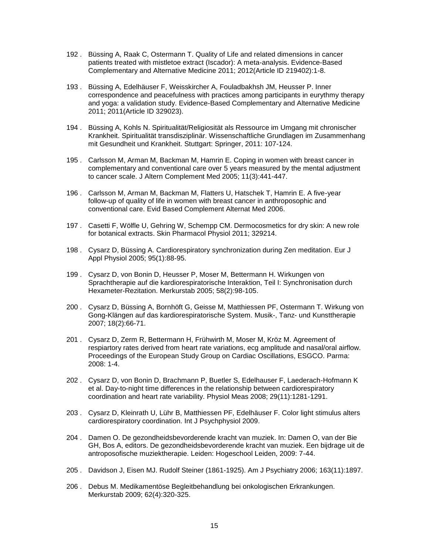- 192 . Büssing A, Raak C, Ostermann T. Quality of Life and related dimensions in cancer patients treated with mistletoe extract (Iscador): A meta-analysis. Evidence-Based Complementary and Alternative Medicine 2011; 2012(Article ID 219402):1-8.
- 193 . Büssing A, Edelhäuser F, Weisskircher A, Fouladbakhsh JM, Heusser P. Inner correspondence and peacefulness with practices among participants in eurythmy therapy and yoga: a validation study. Evidence-Based Complementary and Alternative Medicine 2011; 2011(Article ID 329023).
- 194 . Büssing A, Kohls N. Spiritualität/Religiosität als Ressource im Umgang mit chronischer Krankheit. Spiritualität transdisziplinär. Wissenschaftliche Grundlagen im Zusammenhang mit Gesundheit und Krankheit. Stuttgart: Springer, 2011: 107-124.
- 195 . Carlsson M, Arman M, Backman M, Hamrin E. Coping in women with breast cancer in complementary and conventional care over 5 years measured by the mental adjustment to cancer scale. J Altern Complement Med 2005; 11(3):441-447.
- 196 . Carlsson M, Arman M, Backman M, Flatters U, Hatschek T, Hamrin E. A five-year follow-up of quality of life in women with breast cancer in anthroposophic and conventional care. Evid Based Complement Alternat Med 2006.
- 197 . Casetti F, Wölfle U, Gehring W, Schempp CM. Dermocosmetics for dry skin: A new role for botanical extracts. Skin Pharmacol Physiol 2011; 329214.
- 198 . Cysarz D, Büssing A. Cardiorespiratory synchronization during Zen meditation. Eur J Appl Physiol 2005; 95(1):88-95.
- 199 . Cysarz D, von Bonin D, Heusser P, Moser M, Bettermann H. Wirkungen von Sprachtherapie auf die kardiorespiratorische Interaktion, Teil I: Synchronisation durch Hexameter-Rezitation. Merkurstab 2005; 58(2):98-105.
- 200 . Cysarz D, Büssing A, Bornhöft G, Geisse M, Matthiessen PF, Ostermann T. Wirkung von Gong-Klängen auf das kardiorespiratorische System. Musik-, Tanz- und Kunsttherapie 2007; 18(2):66-71.
- 201 . Cysarz D, Zerm R, Bettermann H, Frühwirth M, Moser M, Kröz M. Agreement of respiartory rates derived from heart rate variations, ecg amplitude and nasal/oral airflow. Proceedings of the European Study Group on Cardiac Oscillations, ESGCO. Parma: 2008: 1-4.
- 202 . Cysarz D, von Bonin D, Brachmann P, Buetler S, Edelhauser F, Laederach-Hofmann K et al. Day-to-night time differences in the relationship between cardiorespiratory coordination and heart rate variability. Physiol Meas 2008; 29(11):1281-1291.
- 203 . Cysarz D, Kleinrath U, Lühr B, Matthiessen PF, Edelhäuser F. Color light stimulus alters cardiorespiratory coordination. Int J Psychphysiol 2009.
- 204 . Damen O. De gezondheidsbevorderende kracht van muziek. In: Damen O, van der Bie GH, Bos A, editors. De gezondheidsbevorderende kracht van muziek. Een bijdrage uit de antroposofische muziektherapie. Leiden: Hogeschool Leiden, 2009: 7-44.
- 205 . Davidson J, Eisen MJ. Rudolf Steiner (1861-1925). Am J Psychiatry 2006; 163(11):1897.
- 206 . Debus M. Medikamentöse Begleitbehandlung bei onkologischen Erkrankungen. Merkurstab 2009; 62(4):320-325.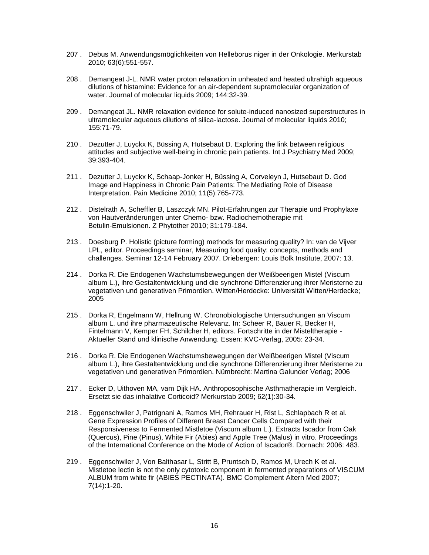- 207 . Debus M. Anwendungsmöglichkeiten von Helleborus niger in der Onkologie. Merkurstab 2010; 63(6):551-557.
- 208 . Demangeat J-L. NMR water proton relaxation in unheated and heated ultrahigh aqueous dilutions of histamine: Evidence for an air-dependent supramolecular organization of water. Journal of molecular liquids 2009; 144:32-39.
- 209 . Demangeat JL. NMR relaxation evidence for solute-induced nanosized superstructures in ultramolecular aqueous dilutions of silica-lactose. Journal of molecular liquids 2010; 155:71-79.
- 210 . Dezutter J, Luyckx K, Büssing A, Hutsebaut D. Exploring the link between religious attitudes and subjective well-being in chronic pain patients. Int J Psychiatry Med 2009; 39:393-404.
- 211 . Dezutter J, Luyckx K, Schaap-Jonker H, Büssing A, Corveleyn J, Hutsebaut D. God Image and Happiness in Chronic Pain Patients: The Mediating Role of Disease Interpretation. Pain Medicine 2010; 11(5):765-773.
- 212 . Distelrath A, Scheffler B, Laszczyk MN. Pilot-Erfahrungen zur Therapie und Prophylaxe von Hautveränderungen unter Chemo- bzw. Radiochemotherapie mit Betulin-Emulsionen. Z Phytother 2010; 31:179-184.
- 213 . Doesburg P. Holistic (picture forming) methods for measuring quality? In: van de Vijver LPL, editor. Proceedings seminar, Measuring food quality: concepts, methods and challenges. Seminar 12-14 February 2007. Driebergen: Louis Bolk Institute, 2007: 13.
- 214 . Dorka R. Die Endogenen Wachstumsbewegungen der Weißbeerigen Mistel (Viscum album L.), ihre Gestaltentwicklung und die synchrone Differenzierung ihrer Meristerne zu vegetativen und generativen Primordien. Witten/Herdecke: Universität Witten/Herdecke; 2005
- 215 . Dorka R, Engelmann W, Hellrung W. Chronobiologische Untersuchungen an Viscum album L. und ihre pharmazeutische Relevanz. In: Scheer R, Bauer R, Becker H, Fintelmann V, Kemper FH, Schilcher H, editors. Fortschritte in der Misteltherapie - Aktueller Stand und klinische Anwendung. Essen: KVC-Verlag, 2005: 23-34.
- 216 . Dorka R. Die Endogenen Wachstumsbewegungen der Weißbeerigen Mistel (Viscum album L.), ihre Gestaltentwicklung und die synchrone Differenzierung ihrer Meristerne zu vegetativen und generativen Primordien. Nümbrecht: Martina Galunder Verlag; 2006
- 217 . Ecker D, Uithoven MA, vam Dijk HA. Anthroposophische Asthmatherapie im Vergleich. Ersetzt sie das inhalative Corticoid? Merkurstab 2009; 62(1):30-34.
- 218 . Eggenschwiler J, Patrignani A, Ramos MH, Rehrauer H, Rist L, Schlapbach R et al. Gene Expression Profiles of Different Breast Cancer Cells Compared with their Responsiveness to Fermented Mistletoe (Viscum album L.). Extracts Iscador from Oak (Quercus), Pine (Pinus), White Fir (Abies) and Apple Tree (Malus) in vitro. Proceedings of the International Conference on the Mode of Action of Iscador®. Dornach: 2006: 483.
- 219 . Eggenschwiler J, Von Balthasar L, Stritt B, Pruntsch D, Ramos M, Urech K et al. Mistletoe lectin is not the only cytotoxic component in fermented preparations of VISCUM ALBUM from white fir (ABIES PECTINATA). BMC Complement Altern Med 2007; 7(14):1-20.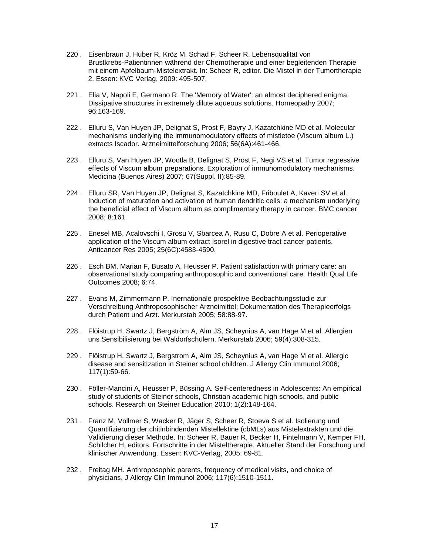- 220 . Eisenbraun J, Huber R, Kröz M, Schad F, Scheer R. Lebensqualität von Brustkrebs-Patientinnen während der Chemotherapie und einer begleitenden Therapie mit einem Apfelbaum-Mistelextrakt. In: Scheer R, editor. Die Mistel in der Tumortherapie 2. Essen: KVC Verlag, 2009: 495-507.
- 221 . Elia V, Napoli E, Germano R. The 'Memory of Water': an almost deciphered enigma. Dissipative structures in extremely dilute aqueous solutions. Homeopathy 2007; 96:163-169.
- 222 . Elluru S, Van Huyen JP, Delignat S, Prost F, Bayry J, Kazatchkine MD et al. Molecular mechanisms underlying the immunomodulatory effects of mistletoe (Viscum album L.) extracts Iscador. Arzneimittelforschung 2006; 56(6A):461-466.
- 223 . Elluru S, Van Huyen JP, Wootla B, Delignat S, Prost F, Negi VS et al. Tumor regressive effects of Viscum album preparations. Exploration of immunomodulatory mechanisms. Medicina (Buenos Aires) 2007; 67(Suppl. II):85-89.
- 224 . Elluru SR, Van Huyen JP, Delignat S, Kazatchkine MD, Friboulet A, Kaveri SV et al. Induction of maturation and activation of human dendritic cells: a mechanism underlying the beneficial effect of Viscum album as complimentary therapy in cancer. BMC cancer 2008; 8:161.
- 225 . Enesel MB, Acalovschi I, Grosu V, Sbarcea A, Rusu C, Dobre A et al. Perioperative application of the Viscum album extract Isorel in digestive tract cancer patients. Anticancer Res 2005; 25(6C):4583-4590.
- 226 . Esch BM, Marian F, Busato A, Heusser P. Patient satisfaction with primary care: an observational study comparing anthroposophic and conventional care. Health Qual Life Outcomes 2008; 6:74.
- 227 . Evans M, Zimmermann P. Inernationale prospektive Beobachtungsstudie zur Verschreibung Anthroposophischer Arzneimittel; Dokumentation des Therapieerfolgs durch Patient und Arzt. Merkurstab 2005; 58:88-97.
- 228 . Flöistrup H, Swartz J, Bergström A, Alm JS, Scheynius A, van Hage M et al. Allergien uns Sensibilisierung bei Waldorfschülern. Merkurstab 2006; 59(4):308-315.
- 229 . Flöistrup H, Swartz J, Bergstrom A, Alm JS, Scheynius A, van Hage M et al. Allergic disease and sensitization in Steiner school children. J Allergy Clin Immunol 2006; 117(1):59-66.
- 230 . Föller-Mancini A, Heusser P, Büssing A. Self-centeredness in Adolescents: An empirical study of students of Steiner schools, Christian academic high schools, and public schools. Research on Steiner Education 2010; 1(2):148-164.
- 231 . Franz M, Vollmer S, Wacker R, Jäger S, Scheer R, Stoeva S et al. Isolierung und Quantifizierung der chitinbindenden Mistellektine (cbMLs) aus Mistelextrakten und die Validierung dieser Methode. In: Scheer R, Bauer R, Becker H, Fintelmann V, Kemper FH, Schilcher H, editors. Fortschritte in der Misteltherapie. Aktueller Stand der Forschung und klinischer Anwendung. Essen: KVC-Verlag, 2005: 69-81.
- 232 . Freitag MH. Anthroposophic parents, frequency of medical visits, and choice of physicians. J Allergy Clin Immunol 2006; 117(6):1510-1511.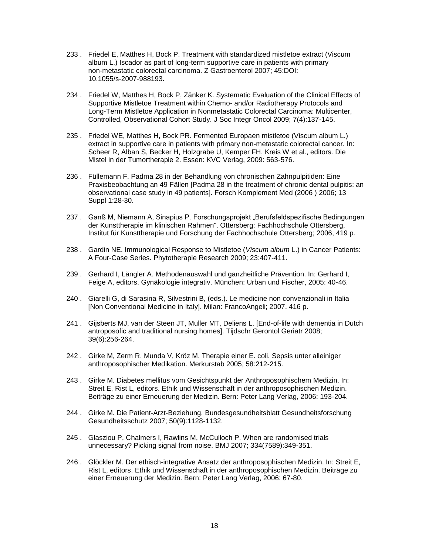- 233 . Friedel E, Matthes H, Bock P. Treatment with standardized mistletoe extract (Viscum album L.) Iscador as part of long-term supportive care in patients with primary non-metastatic colorectal carcinoma. Z Gastroenterol 2007; 45:DOI: 10.1055/s-2007-988193.
- 234 . Friedel W, Matthes H, Bock P, Zänker K. Systematic Evaluation of the Clinical Effects of Supportive Mistletoe Treatment within Chemo- and/or Radiotherapy Protocols and Long-Term Mistletoe Application in Nonmetastatic Colorectal Carcinoma: Multicenter, Controlled, Observational Cohort Study. J Soc Integr Oncol 2009; 7(4):137-145.
- 235 . Friedel WE, Matthes H, Bock PR. Fermented Europaen mistletoe (Viscum album L.) extract in supportive care in patients with primary non-metastatic colorectal cancer. In: Scheer R, Alban S, Becker H, Holzgrabe U, Kemper FH, Kreis W et al., editors. Die Mistel in der Tumortherapie 2. Essen: KVC Verlag, 2009: 563-576.
- 236 . Füllemann F. Padma 28 in der Behandlung von chronischen Zahnpulpitiden: Eine Praxisbeobachtung an 49 Fällen [Padma 28 in the treatment of chronic dental pulpitis: an observational case study in 49 patients]. Forsch Komplement Med (2006 ) 2006; 13 Suppl 1:28-30.
- 237 . Ganß M, Niemann A, Sinapius P. Forschungsprojekt "Berufsfeldspezifische Bedingungen der Kunsttherapie im klinischen Rahmen". Ottersberg: Fachhochschule Ottersberg, Institut für Kunsttherapie und Forschung der Fachhochschule Ottersberg; 2006, 419 p.
- 238 . Gardin NE. Immunological Response to Mistletoe (*Viscum album* L.) in Cancer Patients: A Four-Case Series. Phytotherapie Research 2009; 23:407-411.
- 239 . Gerhard I, Längler A. Methodenauswahl und ganzheitliche Prävention. In: Gerhard I, Feige A, editors. Gynäkologie integrativ. München: Urban und Fischer, 2005: 40-46.
- 240 . Giarelli G, di Sarasina R, Silvestrini B, (eds.). Le medicine non convenzionali in Italia [Non Conventional Medicine in Italy]. Milan: FrancoAngeli; 2007, 416 p.
- 241 . Gijsberts MJ, van der Steen JT, Muller MT, Deliens L. [End-of-life with dementia in Dutch antroposofic and traditional nursing homes]. Tijdschr Gerontol Geriatr 2008; 39(6):256-264.
- 242 . Girke M, Zerm R, Munda V, Kröz M. Therapie einer E. coli. Sepsis unter alleiniger anthroposophischer Medikation. Merkurstab 2005; 58:212-215.
- 243 . Girke M. Diabetes mellitus vom Gesichtspunkt der Anthroposophischem Medizin. In: Streit E, Rist L, editors. Ethik und Wissenschaft in der anthroposophischen Medizin. Beiträge zu einer Erneuerung der Medizin. Bern: Peter Lang Verlag, 2006: 193-204.
- 244 . Girke M. Die Patient-Arzt-Beziehung. Bundesgesundheitsblatt Gesundheitsforschung Gesundheitsschutz 2007; 50(9):1128-1132.
- 245 . Glasziou P, Chalmers I, Rawlins M, McCulloch P. When are randomised trials unnecessary? Picking signal from noise. BMJ 2007; 334(7589):349-351.
- 246 . Glöckler M. Der ethisch-integrative Ansatz der anthroposophischen Medizin. In: Streit E, Rist L, editors. Ethik und Wissenschaft in der anthroposophischen Medizin. Beiträge zu einer Erneuerung der Medizin. Bern: Peter Lang Verlag, 2006: 67-80.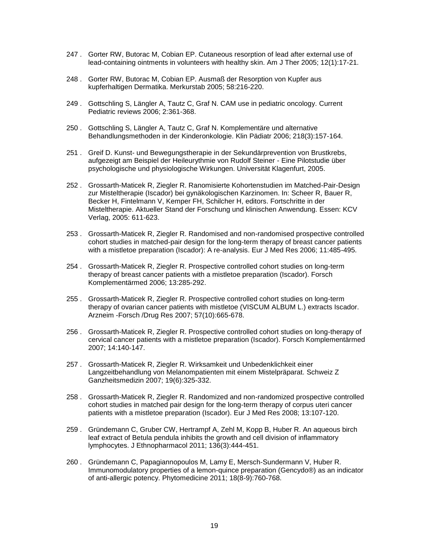- 247 . Gorter RW, Butorac M, Cobian EP. Cutaneous resorption of lead after external use of lead-containing ointments in volunteers with healthy skin. Am J Ther 2005; 12(1):17-21.
- 248 . Gorter RW, Butorac M, Cobian EP. Ausmaß der Resorption von Kupfer aus kupferhaltigen Dermatika. Merkurstab 2005; 58:216-220.
- 249 . Gottschling S, Längler A, Tautz C, Graf N. CAM use in pediatric oncology. Current Pediatric reviews 2006; 2:361-368.
- 250 . Gottschling S, Längler A, Tautz C, Graf N. Komplementäre und alternative Behandlungsmethoden in der Kinderonkologie. Klin Pädiatr 2006; 218(3):157-164.
- 251 . Greif D. Kunst- und Bewegungstherapie in der Sekundärprevention von Brustkrebs, aufgezeigt am Beispiel der Heileurythmie von Rudolf Steiner - Eine Pilotstudie über psychologische und physiologische Wirkungen. Universität Klagenfurt, 2005.
- 252 . Grossarth-Maticek R, Ziegler R. Ranomisierte Kohortenstudien im Matched-Pair-Design zur Misteltherapie (Iscador) bei gynäkologischen Karzinomen. In: Scheer R, Bauer R, Becker H, Fintelmann V, Kemper FH, Schilcher H, editors. Fortschritte in der Misteltherapie. Aktueller Stand der Forschung und klinischen Anwendung. Essen: KCV Verlag, 2005: 611-623.
- 253 . Grossarth-Maticek R, Ziegler R. Randomised and non-randomised prospective controlled cohort studies in matched-pair design for the long-term therapy of breast cancer patients with a mistletoe preparation (Iscador): A re-analysis. Eur J Med Res 2006; 11:485-495.
- 254 . Grossarth-Maticek R, Ziegler R. Prospective controlled cohort studies on long-term therapy of breast cancer patients with a mistletoe preparation (Iscador). Forsch Komplementärmed 2006; 13:285-292.
- 255 . Grossarth-Maticek R, Ziegler R. Prospective controlled cohort studies on long-term therapy of ovarian cancer patients with mistletoe (VISCUM ALBUM L.) extracts Iscador. Arzneim -Forsch /Drug Res 2007; 57(10):665-678.
- 256 . Grossarth-Maticek R, Ziegler R. Prospective controlled cohort studies on long-therapy of cervical cancer patients with a mistletoe preparation (Iscador). Forsch Komplementärmed 2007; 14:140-147.
- 257 . Grossarth-Maticek R, Ziegler R. Wirksamkeit und Unbedenklichkeit einer Langzeitbehandlung von Melanompatienten mit einem Mistelpräparat. Schweiz Z Ganzheitsmedizin 2007; 19(6):325-332.
- 258 . Grossarth-Maticek R, Ziegler R. Randomized and non-randomized prospective controlled cohort studies in matched pair design for the long-term therapy of corpus uteri cancer patients with a mistletoe preparation (Iscador). Eur J Med Res 2008; 13:107-120.
- 259 . Gründemann C, Gruber CW, Hertrampf A, Zehl M, Kopp B, Huber R. An aqueous birch leaf extract of Betula pendula inhibits the growth and cell division of inflammatory lymphocytes. J Ethnopharmacol 2011; 136(3):444-451.
- 260 . Gründemann C, Papagiannopoulos M, Lamy E, Mersch-Sundermann V, Huber R. Immunomodulatory properties of a lemon-quince preparation (Gencydo®) as an indicator of anti-allergic potency. Phytomedicine 2011; 18(8-9):760-768.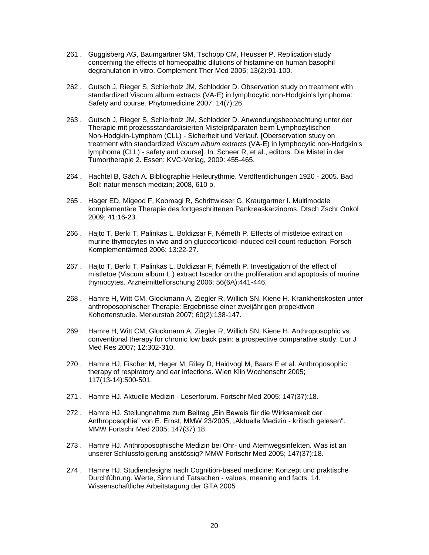- 261 . Guggisberg AG, Baumgartner SM, Tschopp CM, Heusser P. Replication study concerning the effects of homeopathic dilutions of histamine on human basophil degranulation in vitro. Complement Ther Med 2005; 13(2):91-100.
- 262 . Gutsch J, Rieger S, Schierholz JM, Schlodder D. Observation study on treatment with standardized Viscum album extracts (VA-E) in lymphocytic non-Hodgkin's lymphoma: Safety and course. Phytomedicine 2007; 14(7):26.
- 263 . Gutsch J, Rieger S, Schierholz JM, Schlodder D. Anwendungsbeobachtung unter der Therapie mit prozessstandardisierten Mistelpräparaten beim Lymphozytischen Non-Hodgkin-Lymphom (CLL) - Sicherheit und Verlauf. [Oberservation study on treatment with standardized *Viscum album* extracts (VA-E) in lymphocytic non-Hodgkin's lymphoma (CLL) - safety and course]. In: Scheer R, et al., editors. Die Mistel in der Tumortherapie 2. Essen: KVC-Verlag, 2009: 455-465.
- 264 . Hachtel B, Gäch A. Bibliographie Heileurythmie. Veröffentlichungen 1920 2005. Bad Boll: natur mensch medizin; 2008, 610 p.
- 265 . Hager ED, Migeod F, Koomagi R, Schrittwieser G, Krautgartner I. Multimodale komplementäre Therapie des fortgeschrittenen Pankreaskarzinoms. Dtsch Zschr Onkol 2009; 41:16-23.
- 266 . Hajto T, Berki T, Palinkas L, Boldizsar F, Németh P. Effects of mistletoe extract on murine thymocytes in vivo and on glucocorticoid-induced cell count reduction. Forsch Komplementärmed 2006; 13:22-27.
- 267 . Hajto T, Berki T, Palinkas L, Boldizsar F, Németh P. Investigation of the effect of mistletoe (Viscum album L.) extract Iscador on the proliferation and apoptosis of murine thymocytes. Arzneimittelforschung 2006; 56(6A):441-446.
- 268 . Hamre H, Witt CM, Glockmann A, Ziegler R, Willich SN, Kiene H. Krankheitskosten unter anthroposophischer Therapie: Ergebnisse einer zweijährigen propektiven Kohortenstudie. Merkurstab 2007; 60(2):138-147.
- 269 . Hamre H, Witt CM, Glockmann A, Ziegler R, Willich SN, Kiene H. Anthroposophic vs. conventional therapy for chronic low back pain: a prospective comparative study. Eur J Med Res 2007; 12:302-310.
- 270 . Hamre HJ, Fischer M, Heger M, Riley D, Haidvogl M, Baars E et al. Anthroposophic therapy of respiratory and ear infections. Wien Klin Wochenschr 2005; 117(13-14):500-501.
- 271 . Hamre HJ. Aktuelle Medizin Leserforum. Fortschr Med 2005; 147(37):18.
- 272 . Hamre HJ. Stellungnahme zum Beitrag "Ein Beweis für die Wirksamkeit der Anthroposophie" von E. Ernst, MMW 23/2005, "Aktuelle Medizin - kritisch gelesen". MMW Fortschr Med 2005; 147(37):18.
- 273 . Hamre HJ. Anthroposophische Medizin bei Ohr- und Atemwegsinfekten. Was ist an unserer Schlussfolgerung anstössig? MMW Fortschr Med 2005; 147(37):18.
- 274 . Hamre HJ. Studiendesigns nach Cognition-based medicine: Konzept und praktische Durchführung. Werte, Sinn und Tatsachen - values, meaning and facts. 14. Wissenschaftliche Arbeitstagung der GTA 2005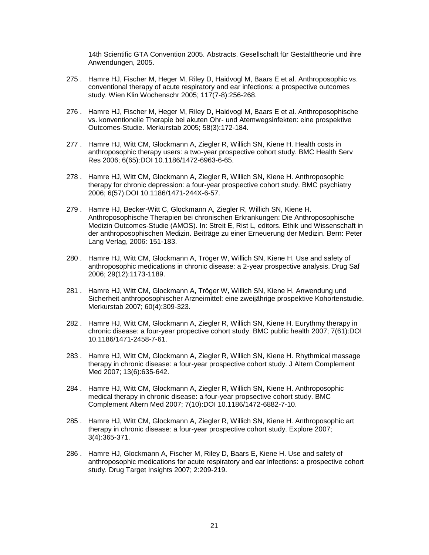14th Scientific GTA Convention 2005. Abstracts. Gesellschaft für Gestalttheorie und ihre Anwendungen, 2005.

- 275 . Hamre HJ, Fischer M, Heger M, Riley D, Haidvogl M, Baars E et al. Anthroposophic vs. conventional therapy of acute respiratory and ear infections: a prospective outcomes study. Wien Klin Wochenschr 2005; 117(7-8):256-268.
- 276 . Hamre HJ, Fischer M, Heger M, Riley D, Haidvogl M, Baars E et al. Anthroposophische vs. konventionelle Therapie bei akuten Ohr- und Atemwegsinfekten: eine prospektive Outcomes-Studie. Merkurstab 2005; 58(3):172-184.
- 277 . Hamre HJ, Witt CM, Glockmann A, Ziegler R, Willich SN, Kiene H. Health costs in anthroposophic therapy users: a two-year prospective cohort study. BMC Health Serv Res 2006; 6(65):DOI 10.1186/1472-6963-6-65.
- 278 . Hamre HJ, Witt CM, Glockmann A, Ziegler R, Willich SN, Kiene H. Anthroposophic therapy for chronic depression: a four-year prospective cohort study. BMC psychiatry 2006; 6(57):DOI 10.1186/1471-244X-6-57.
- 279 . Hamre HJ, Becker-Witt C, Glockmann A, Ziegler R, Willich SN, Kiene H. Anthroposophische Therapien bei chronischen Erkrankungen: Die Anthroposophische Medizin Outcomes-Studie (AMOS). In: Streit E, Rist L, editors. Ethik und Wissenschaft in der anthroposophischen Medizin. Beiträge zu einer Erneuerung der Medizin. Bern: Peter Lang Verlag, 2006: 151-183.
- 280 . Hamre HJ, Witt CM, Glockmann A, Tröger W, Willich SN, Kiene H. Use and safety of anthroposophic medications in chronic disease: a 2-year prospective analysis. Drug Saf 2006; 29(12):1173-1189.
- 281 . Hamre HJ, Witt CM, Glockmann A, Tröger W, Willich SN, Kiene H. Anwendung und Sicherheit anthroposophischer Arzneimittel: eine zweijährige prospektive Kohortenstudie. Merkurstab 2007; 60(4):309-323.
- 282 . Hamre HJ, Witt CM, Glockmann A, Ziegler R, Willich SN, Kiene H. Eurythmy therapy in chronic disease: a four-year propective cohort study. BMC public health 2007; 7(61):DOI 10.1186/1471-2458-7-61.
- 283 . Hamre HJ, Witt CM, Glockmann A, Ziegler R, Willich SN, Kiene H. Rhythmical massage therapy in chronic disease: a four-year prospective cohort study. J Altern Complement Med 2007; 13(6):635-642.
- 284 . Hamre HJ, Witt CM, Glockmann A, Ziegler R, Willich SN, Kiene H. Anthroposophic medical therapy in chronic disease: a four-year propsective cohort study. BMC Complement Altern Med 2007; 7(10):DOI 10.1186/1472-6882-7-10.
- 285 . Hamre HJ, Witt CM, Glockmann A, Ziegler R, Willich SN, Kiene H. Anthroposophic art therapy in chronic disease: a four-year prospective cohort study. Explore 2007; 3(4):365-371.
- 286 . Hamre HJ, Glockmann A, Fischer M, Riley D, Baars E, Kiene H. Use and safety of anthroposophic medications for acute respiratory and ear infections: a prospective cohort study. Drug Target Insights 2007; 2:209-219.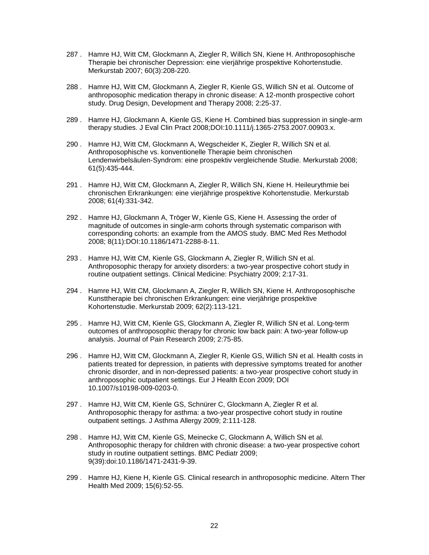- 287 . Hamre HJ, Witt CM, Glockmann A, Ziegler R, Willich SN, Kiene H. Anthroposophische Therapie bei chronischer Depression: eine vierjährige prospektive Kohortenstudie. Merkurstab 2007; 60(3):208-220.
- 288 . Hamre HJ, Witt CM, Glockmann A, Ziegler R, Kienle GS, Willich SN et al. Outcome of anthroposophic medication therapy in chronic disease: A 12-month prospective cohort study. Drug Design, Development and Therapy 2008; 2:25-37.
- 289 . Hamre HJ, Glockmann A, Kienle GS, Kiene H. Combined bias suppression in single-arm therapy studies. J Eval Clin Pract 2008;DOI:10.1111/j.1365-2753.2007.00903.x.
- 290 . Hamre HJ, Witt CM, Glockmann A, Wegscheider K, Ziegler R, Willich SN et al. Anthroposophische vs. konventionelle Therapie beim chronischen Lendenwirbelsäulen-Syndrom: eine prospektiv vergleichende Studie. Merkurstab 2008; 61(5):435-444.
- 291 . Hamre HJ, Witt CM, Glockmann A, Ziegler R, Willich SN, Kiene H. Heileurythmie bei chronischen Erkrankungen: eine vierjährige prospektive Kohortenstudie. Merkurstab 2008; 61(4):331-342.
- 292 . Hamre HJ, Glockmann A, Tröger W, Kienle GS, Kiene H. Assessing the order of magnitude of outcomes in single-arm cohorts through systematic comparison with corresponding cohorts: an example from the AMOS study. BMC Med Res Methodol 2008; 8(11):DOI:10.1186/1471-2288-8-11.
- 293 . Hamre HJ, Witt CM, Kienle GS, Glockmann A, Ziegler R, Willich SN et al. Anthroposophic therapy for anxiety disorders: a two-year prospective cohort study in routine outpatient settings. Clinical Medicine: Psychiatry 2009; 2:17-31.
- 294 . Hamre HJ, Witt CM, Glockmann A, Ziegler R, Willich SN, Kiene H. Anthroposophische Kunsttherapie bei chronischen Erkrankungen: eine vierjährige prospektive Kohortenstudie. Merkurstab 2009; 62(2):113-121.
- 295 . Hamre HJ, Witt CM, Kienle GS, Glockmann A, Ziegler R, Willich SN et al. Long-term outcomes of anthroposophic therapy for chronic low back pain: A two-year follow-up analysis. Journal of Pain Research 2009; 2:75-85.
- 296 . Hamre HJ, Witt CM, Glockmann A, Ziegler R, Kienle GS, Willich SN et al. Health costs in patients treated for depression, in patients with depressive symptoms treated for another chronic disorder, and in non-depressed patients: a two-year prospective cohort study in anthroposophic outpatient settings. Eur J Health Econ 2009; DOI 10.1007/s10198-009-0203-0.
- 297 . Hamre HJ, Witt CM, Kienle GS, Schnürer C, Glockmann A, Ziegler R et al. Anthroposophic therapy for asthma: a two-year prospective cohort study in routine outpatient settings. J Asthma Allergy 2009; 2:111-128.
- 298 . Hamre HJ, Witt CM, Kienle GS, Meinecke C, Glockmann A, Willich SN et al. Anthroposophic therapy for children with chronic disease: a two-year prospective cohort study in routine outpatient settings. BMC Pediatr 2009; 9(39):doi:10.1186/1471-2431-9-39.
- 299 . Hamre HJ, Kiene H, Kienle GS. Clinical research in anthroposophic medicine. Altern Ther Health Med 2009; 15(6):52-55.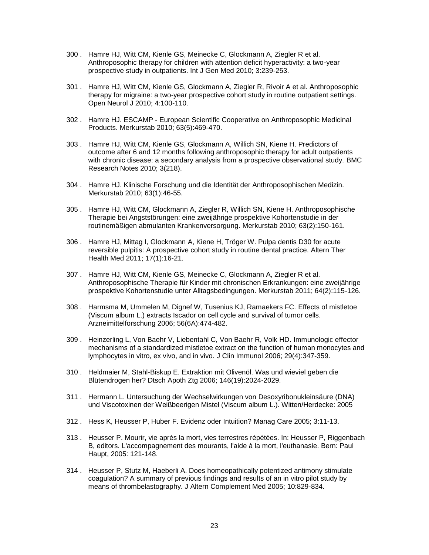- 300 . Hamre HJ, Witt CM, Kienle GS, Meinecke C, Glockmann A, Ziegler R et al. Anthroposophic therapy for children with attention deficit hyperactivity: a two-year prospective study in outpatients. Int J Gen Med 2010; 3:239-253.
- 301 . Hamre HJ, Witt CM, Kienle GS, Glockmann A, Ziegler R, Rivoir A et al. Anthroposophic therapy for migraine: a two-year prospective cohort study in routine outpatient settings. Open Neurol J 2010; 4:100-110.
- 302 . Hamre HJ. ESCAMP European Scientific Cooperative on Anthroposophic Medicinal Products. Merkurstab 2010; 63(5):469-470.
- 303 . Hamre HJ, Witt CM, Kienle GS, Glockmann A, Willich SN, Kiene H. Predictors of outcome after 6 and 12 months following anthroposophic therapy for adult outpatients with chronic disease: a secondary analysis from a prospective observational study. BMC Research Notes 2010; 3(218).
- 304 . Hamre HJ. Klinische Forschung und die Identität der Anthroposophischen Medizin. Merkurstab 2010; 63(1):46-55.
- 305 . Hamre HJ, Witt CM, Glockmann A, Ziegler R, Willich SN, Kiene H. Anthroposophische Therapie bei Angststörungen: eine zweijährige prospektive Kohortenstudie in der routinemäßigen abmulanten Krankenversorgung. Merkurstab 2010; 63(2):150-161.
- 306 . Hamre HJ, Mittag I, Glockmann A, Kiene H, Tröger W. Pulpa dentis D30 for acute reversible pulpitis: A prospective cohort study in routine dental practice. Altern Ther Health Med 2011; 17(1):16-21.
- 307 . Hamre HJ, Witt CM, Kienle GS, Meinecke C, Glockmann A, Ziegler R et al. Anthroposophische Therapie für Kinder mit chronischen Erkrankungen: eine zweijährige prospektive Kohortenstudie unter Alltagsbedingungen. Merkurstab 2011; 64(2):115-126.
- 308 . Harmsma M, Ummelen M, Dignef W, Tusenius KJ, Ramaekers FC. Effects of mistletoe (Viscum album L.) extracts Iscador on cell cycle and survival of tumor cells. Arzneimittelforschung 2006; 56(6A):474-482.
- 309 . Heinzerling L, Von Baehr V, Liebentahl C, Von Baehr R, Volk HD. Immunologic effector mechanisms of a standardized mistletoe extract on the function of human monocytes and lymphocytes in vitro, ex vivo, and in vivo. J Clin Immunol 2006; 29(4):347-359.
- 310 . Heldmaier M, Stahl-Biskup E. Extraktion mit Olivenöl. Was und wieviel geben die Blütendrogen her? Dtsch Apoth Ztg 2006; 146(19):2024-2029.
- 311 . Hermann L. Untersuchung der Wechselwirkungen von Desoxyribonukleinsäure (DNA) und Viscotoxinen der Weißbeerigen Mistel (Viscum album L.). Witten/Herdecke: 2005
- 312 . Hess K, Heusser P, Huber F. Evidenz oder Intuition? Manag Care 2005; 3:11-13.
- 313 . Heusser P. Mourir, vie après la mort, vies terrestres répétées. In: Heusser P, Riggenbach B, editors. L'accompagnement des mourants, l'aide à la mort, l'euthanasie. Bern: Paul Haupt, 2005: 121-148.
- 314 . Heusser P, Stutz M, Haeberli A. Does homeopathically potentized antimony stimulate coagulation? A summary of previous findings and results of an in vitro pilot study by means of thrombelastography. J Altern Complement Med 2005; 10:829-834.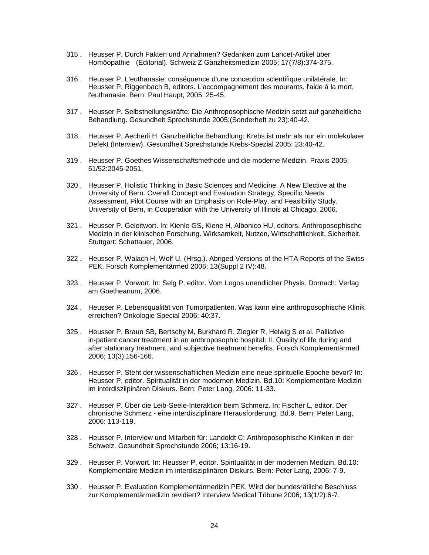- 315 . Heusser P. Durch Fakten und Annahmen? Gedanken zum Lancet-Artikel über Homöopathie (Editorial). Schweiz Z Ganzheitsmedizin 2005; 17(7/8):374-375.
- 316 . Heusser P. L'euthanasie: conséquence d'une conception scientifique unilatérale. In: Heusser P, Riggenbach B, editors. L'accompagnement des mourants, l'aide à la mort, l'euthanasie. Bern: Paul Haupt, 2005: 25-45.
- 317 . Heusser P. Selbstheilungskräfte: Die Anthroposophische Medizin setzt auf ganzheitliche Behandlung. Gesundheit Sprechstunde 2005;(Sonderheft zu 23):40-42.
- 318 . Heusser P, Aecherli H. Ganzheitliche Behandlung: Krebs ist mehr als nur ein molekularer Defekt (Interview). Gesundheit Sprechstunde Krebs-Spezial 2005; 23:40-42.
- 319 . Heusser P. Goethes Wissenschaftsmethode und die moderne Medizin. Praxis 2005; 51/52:2045-2051.
- 320 . Heusser P. Holistic Thinking in Basic Sciences and Medicine. A New Elective at the University of Bern. Overall Concept and Evaluation Strategy, Specific Needs Assessment, Pilot Course with an Emphasis on Role-Play, and Feasibility Study. University of Bern, in Cooperation with the University of Illinois at Chicago, 2006.
- 321 . Heusser P. Geleitwort. In: Kienle GS, Kiene H, Albonico HU, editors. Anthroposophische Medizin in der klinischen Forschung. Wirksamkeit, Nutzen, Wirtschaftlichkeit, Sicherheit. Stuttgart: Schattauer, 2006.
- 322 . Heusser P, Walach H, Wolf U, (Hrsg.). Abriged Versions of the HTA Reports of the Swiss PEK. Forsch Komplementärmed 2006; 13(Suppl 2 IV):48.
- 323 . Heusser P. Vorwort. In: Selg P, editor. Vom Logos unendlicher Physis. Dornach: Verlag am Goetheanum, 2006.
- 324 . Heusser P. Lebensqualität von Tumorpatienten. Was kann eine anthroposophische Klinik erreichen? Onkologie Special 2006; 40:37.
- 325 . Heusser P, Braun SB, Bertschy M, Burkhard R, Ziegler R, Helwig S et al. Palliative in-patient cancer treatment in an anthroposophic hospital: II. Quality of life during and after stationary treatment, and subjective treatment benefits. Forsch Komplementärmed 2006; 13(3):156-166.
- 326 . Heusser P. Steht der wissenschaftlichen Medizin eine neue spirituelle Epoche bevor? In: Heusser P, editor. Spiritualität in der modernen Medizin. Bd.10: Komplementäre Medizin im interdiszilpinären Diskurs. Bern: Peter Lang, 2006: 11-33.
- 327 . Heusser P. Über die Leib-Seele-Interaktion beim Schmerz. In: Fischer L, editor. Der chronische Schmerz - eine interdisziplinäre Herausforderung. Bd.9. Bern: Peter Lang, 2006: 113-119.
- 328 . Heusser P. Interview und Mitarbeit für: Landoldt C: Anthroposophische Kliniken in der Schweiz. Gesundheit Sprechstunde 2006; 13:16-19.
- 329 . Heusser P. Vorwort. In: Heusser P, editor. Spiritualität in der modernen Medizin. Bd.10: Komplementäre Medizin im interdisziplinären Diskurs. Bern: Peter Lang, 2006: 7-9.
- 330 . Heusser P. Evaluation Komplementärmedizin PEK. Wird der bundesrätliche Beschluss zur Komplementärmedizin revidiert? Interview Medical Tribune 2006; 13(1/2):6-7.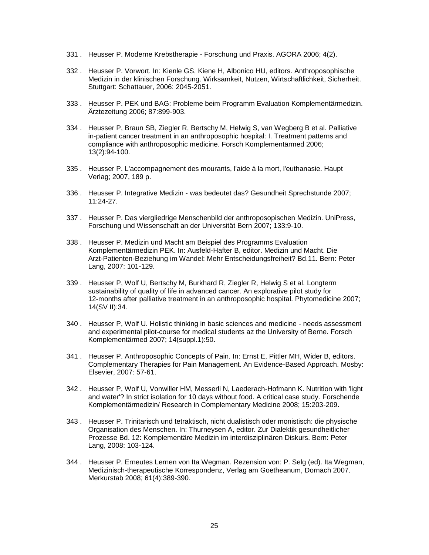- 331 . Heusser P. Moderne Krebstherapie Forschung und Praxis. AGORA 2006; 4(2).
- 332 . Heusser P. Vorwort. In: Kienle GS, Kiene H, Albonico HU, editors. Anthroposophische Medizin in der klinischen Forschung. Wirksamkeit, Nutzen, Wirtschaftlichkeit, Sicherheit. Stuttgart: Schattauer, 2006: 2045-2051.
- 333 . Heusser P. PEK und BAG: Probleme beim Programm Evaluation Komplementärmedizin. Ärztezeitung 2006; 87:899-903.
- 334 . Heusser P, Braun SB, Ziegler R, Bertschy M, Helwig S, van Wegberg B et al. Palliative in-patient cancer treatment in an anthroposophic hospital: I. Treatment patterns and compliance with anthroposophic medicine. Forsch Komplementärmed 2006; 13(2):94-100.
- 335 . Heusser P. L'accompagnement des mourants, l'aide à la mort, l'euthanasie. Haupt Verlag; 2007, 189 p.
- 336 . Heusser P. Integrative Medizin was bedeutet das? Gesundheit Sprechstunde 2007; 11:24-27.
- 337 . Heusser P. Das viergliedrige Menschenbild der anthroposopischen Medizin. UniPress, Forschung und Wissenschaft an der Universität Bern 2007; 133:9-10.
- 338 . Heusser P. Medizin und Macht am Beispiel des Programms Evaluation Komplementärmedizin PEK. In: Ausfeld-Hafter B, editor. Medizin und Macht. Die Arzt-Patienten-Beziehung im Wandel: Mehr Entscheidungsfreiheit? Bd.11. Bern: Peter Lang, 2007: 101-129.
- 339 . Heusser P, Wolf U, Bertschy M, Burkhard R, Ziegler R, Helwig S et al. Longterm sustainability of quality of life in advanced cancer. An explorative pilot study for 12-months after palliative treatment in an anthroposophic hospital. Phytomedicine 2007; 14(SV II):34.
- 340 . Heusser P, Wolf U. Holistic thinking in basic sciences and medicine needs assessment and experimental pilot-course for medical students az the University of Berne. Forsch Komplementärmed 2007; 14(suppl.1):50.
- 341 . Heusser P. Anthroposophic Concepts of Pain. In: Ernst E, Pittler MH, Wider B, editors. Complementary Therapies for Pain Management. An Evidence-Based Approach. Mosby: Elsevier, 2007: 57-61.
- 342 . Heusser P, Wolf U, Vonwiller HM, Messerli N, Laederach-Hofmann K. Nutrition with 'light and water'? In strict isolation for 10 days without food. A critical case study. Forschende Komplementärmedizin/ Research in Complementary Medicine 2008; 15:203-209.
- 343 . Heusser P. Trinitarisch und tetraktisch, nicht dualistisch oder monistisch: die physische Organisation des Menschen. In: Thurneysen A, editor. Zur Dialektik gesundheitlicher Prozesse Bd. 12: Komplementäre Medizin im interdisziplinären Diskurs. Bern: Peter Lang, 2008: 103-124.
- 344 . Heusser P. Erneutes Lernen von Ita Wegman. Rezension von: P. Selg (ed). Ita Wegman, Medizinisch-therapeutische Korrespondenz, Verlag am Goetheanum, Dornach 2007. Merkurstab 2008; 61(4):389-390.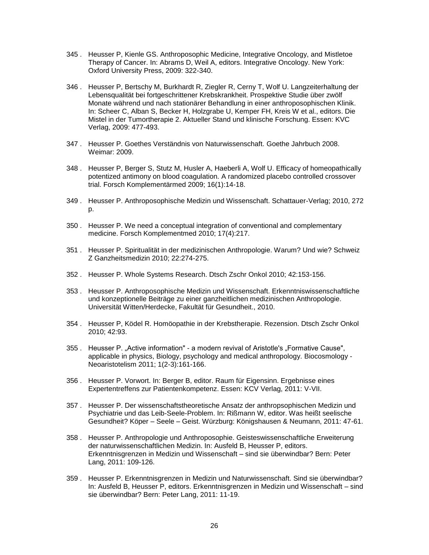- 345 . Heusser P, Kienle GS. Anthroposophic Medicine, Integrative Oncology, and Mistletoe Therapy of Cancer. In: Abrams D, Weil A, editors. Integrative Oncology. New York: Oxford University Press, 2009: 322-340.
- 346 . Heusser P, Bertschy M, Burkhardt R, Ziegler R, Cerny T, Wolf U. Langzeiterhaltung der Lebensqualität bei fortgeschrittener Krebskrankheit. Prospektive Studie über zwölf Monate während und nach stationärer Behandlung in einer anthroposophischen Klinik. In: Scheer C, Alban S, Becker H, Holzgrabe U, Kemper FH, Kreis W et al., editors. Die Mistel in der Tumortherapie 2. Aktueller Stand und klinische Forschung. Essen: KVC Verlag, 2009: 477-493.
- 347 . Heusser P. Goethes Verständnis von Naturwissenschaft. Goethe Jahrbuch 2008. Weimar: 2009.
- 348 . Heusser P, Berger S, Stutz M, Husler A, Haeberli A, Wolf U. Efficacy of homeopathically potentized antimony on blood coagulation. A randomized placebo controlled crossover trial. Forsch Komplementärmed 2009; 16(1):14-18.
- 349 . Heusser P. Anthroposophische Medizin und Wissenschaft. Schattauer-Verlag; 2010, 272 p.
- 350 . Heusser P. We need a conceptual integration of conventional and complementary medicine. Forsch Komplementmed 2010; 17(4):217.
- 351 . Heusser P. Spiritualität in der medizinischen Anthropologie. Warum? Und wie? Schweiz Z Ganzheitsmedizin 2010; 22:274-275.
- 352 . Heusser P. Whole Systems Research. Dtsch Zschr Onkol 2010; 42:153-156.
- 353 . Heusser P. Anthroposophische Medizin und Wissenschaft. Erkenntniswissenschaftliche und konzeptionelle Beiträge zu einer ganzheitlichen medizinischen Anthropologie. Universität Witten/Herdecke, Fakultät für Gesundheit., 2010.
- 354 . Heusser P, Ködel R. Homöopathie in der Krebstherapie. Rezension. Dtsch Zschr Onkol 2010; 42:93.
- 355 . Heusser P. "Active information" a modern revival of Aristotle's "Formative Cause", applicable in physics, Biology, psychology and medical anthropology. Biocosmology - Neoaristotelism 2011; 1(2-3):161-166.
- 356 . Heusser P. Vorwort. In: Berger B, editor. Raum für Eigensinn. Ergebnisse eines Expertentreffens zur Patientenkompetenz. Essen: KCV Verlag, 2011: V-VII.
- 357 . Heusser P. Der wissenschaftstheoretische Ansatz der anthropsophischen Medizin und Psychiatrie und das Leib-Seele-Problem. In: Rißmann W, editor. Was heißt seelische Gesundheit? Köper – Seele – Geist. Würzburg: Königshausen & Neumann, 2011: 47-61.
- 358 . Heusser P. Anthropologie und Anthroposophie. Geisteswissenschaftliche Erweiterung der naturwissenschaftlichen Medizin. In: Ausfeld B, Heusser P, editors. Erkenntnisgrenzen in Medizin und Wissenschaft – sind sie überwindbar? Bern: Peter Lang, 2011: 109-126.
- 359 . Heusser P. Erkenntnisgrenzen in Medizin und Naturwissenschaft. Sind sie überwindbar? In: Ausfeld B, Heusser P, editors. Erkenntnisgrenzen in Medizin und Wissenschaft – sind sie überwindbar? Bern: Peter Lang, 2011: 11-19.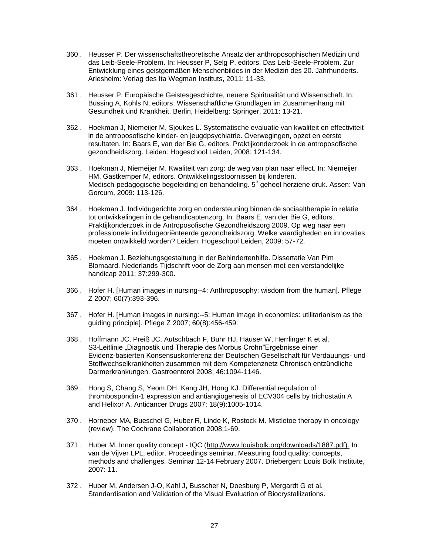- 360 . Heusser P. Der wissenschaftstheoretische Ansatz der anthroposophischen Medizin und das Leib-Seele-Problem. In: Heusser P, Selg P, editors. Das Leib-Seele-Problem. Zur Entwicklung eines geistgemäßen Menschenbildes in der Medizin des 20. Jahrhunderts. Arlesheim: Verlag des Ita Wegman Instituts, 2011: 11-33.
- 361 . Heusser P. Europäische Geistesgeschichte, neuere Spiritualität und Wissenschaft. In: Büssing A, Kohls N, editors. Wissenschaftliche Grundlagen im Zusammenhang mit Gesundheit und Krankheit. Berlin, Heidelberg: Springer, 2011: 13-21.
- 362 . Hoekman J, Niemeijer M, Sjoukes L. Systematische evaluatie van kwaliteit en effectiviteit in de antroposofische kinder- en jeugdpsychiatrie. Overwegingen, opzet en eerste resultaten. In: Baars E, van der Bie G, editors. Praktijkonderzoek in de antroposofische gezondheidszorg. Leiden: Hogeschool Leiden, 2008: 121-134.
- 363 . Hoekman J, Niemeijer M. Kwaliteit van zorg: de weg van plan naar effect. In: Niemeijer HM, Gastkemper M, editors. Ontwikkelingsstoornissen bij kinderen. Medisch-pedagogische begeleiding en behandeling. 5<sup>e</sup> geheel herziene druk. Assen: Van Gorcum, 2009: 113-126.
- 364 . Hoekman J. Individugerichte zorg en ondersteuning binnen de sociaaltherapie in relatie tot ontwikkelingen in de gehandicaptenzorg. In: Baars E, van der Bie G, editors. Praktijkonderzoek in de Antroposofische Gezondheidszorg 2009. Op weg naar een professionele individugeoriënteerde gezondheidszorg. Welke vaardigheden en innovaties moeten ontwikkeld worden? Leiden: Hogeschool Leiden, 2009: 57-72.
- 365 . Hoekman J. Beziehungsgestaltung in der Behindertenhilfe. Dissertatie Van Pim Blomaard. Nederlands Tijdschrift voor de Zorg aan mensen met een verstandelijke handicap 2011; 37:299-300.
- 366 . Hofer H. [Human images in nursing--4: Anthroposophy: wisdom from the human]. Pflege Z 2007; 60(7):393-396.
- 367 . Hofer H. [Human images in nursing:--5: Human image in economics: utilitarianism as the guiding principle]. Pflege Z 2007; 60(8):456-459.
- 368 . Hoffmann JC, Preiß JC, Autschbach F, Buhr HJ, Häuser W, Herrlinger K et al. S3-Leitlinie "Diagnostik und Therapie des Morbus Crohn"Ergebnisse einer Evidenz-basierten Konsensuskonferenz der Deutschen Gesellschaft für Verdauungs- und Stoffwechselkrankheiten zusammen mit dem Kompetenznetz Chronisch entzündliche Darmerkrankungen. Gastroenterol 2008; 46:1094-1146.
- 369 . Hong S, Chang S, Yeom DH, Kang JH, Hong KJ. Differential regulation of thrombospondin-1 expression and antiangiogenesis of ECV304 cells by trichostatin A and Helixor A. Anticancer Drugs 2007; 18(9):1005-1014.
- 370 . Horneber MA, Bueschel G, Huber R, Linde K, Rostock M. Mistletoe therapy in oncology (review). The Cochrane Collaboration 2008;1-69.
- 371 . Huber M. Inner quality concept IQC (http://www.louisbolk.org/downloads/1887.pdf). In: van de Vijver LPL, editor. Proceedings seminar, Measuring food quality: concepts, methods and challenges. Seminar 12-14 February 2007. Driebergen: Louis Bolk Institute, 2007: 11.
- 372 . Huber M, Andersen J-O, Kahl J, Busscher N, Doesburg P, Mergardt G et al. Standardisation and Validation of the Visual Evaluation of Biocrystallizations.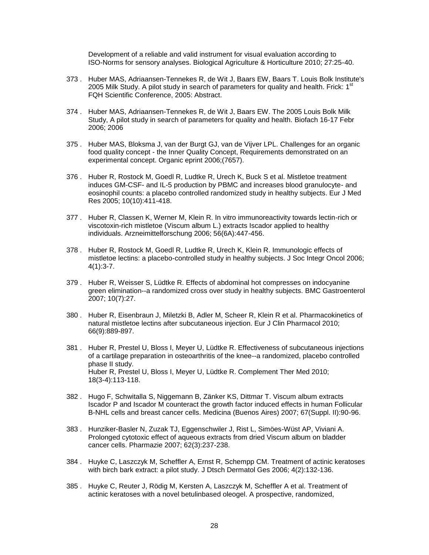Development of a reliable and valid instrument for visual evaluation according to ISO-Norms for sensory analyses. Biological Agriculture & Horticulture 2010; 27:25-40.

- 373 . Huber MAS, Adriaansen-Tennekes R, de Wit J, Baars EW, Baars T. Louis Bolk Institute's 2005 Milk Study. A pilot study in search of parameters for quality and health. Frick:  $1<sup>st</sup>$ FQH Scientific Conference, 2005: Abstract.
- 374 . Huber MAS, Adriaansen-Tennekes R, de Wit J, Baars EW. The 2005 Louis Bolk Milk Study, A pilot study in search of parameters for quality and health. Biofach 16-17 Febr 2006; 2006
- 375 . Huber MAS, Bloksma J, van der Burgt GJ, van de Vijver LPL. Challenges for an organic food quality concept - the Inner Quality Concept, Requirements demonstrated on an experimental concept. Organic eprint 2006;(7657).
- 376 . Huber R, Rostock M, Goedl R, Ludtke R, Urech K, Buck S et al. Mistletoe treatment induces GM-CSF- and IL-5 production by PBMC and increases blood granulocyte- and eosinophil counts: a placebo controlled randomized study in healthy subjects. Eur J Med Res 2005; 10(10):411-418.
- 377 . Huber R, Classen K, Werner M, Klein R. In vitro immunoreactivity towards lectin-rich or viscotoxin-rich mistletoe (Viscum album L.) extracts Iscador applied to healthy individuals. Arzneimittelforschung 2006; 56(6A):447-456.
- 378 . Huber R, Rostock M, Goedl R, Ludtke R, Urech K, Klein R. Immunologic effects of mistletoe lectins: a placebo-controlled study in healthy subjects. J Soc Integr Oncol 2006; 4(1):3-7.
- 379 . Huber R, Weisser S, Lüdtke R. Effects of abdominal hot compresses on indocyanine green elimination--a randomized cross over study in healthy subjects. BMC Gastroenterol 2007; 10(7):27.
- 380 . Huber R, Eisenbraun J, Miletzki B, Adler M, Scheer R, Klein R et al. Pharmacokinetics of natural mistletoe lectins after subcutaneous injection. Eur J Clin Pharmacol 2010; 66(9):889-897.
- 381 . Huber R, Prestel U, Bloss I, Meyer U, Lüdtke R. Effectiveness of subcutaneous injections of a cartilage preparation in osteoarthritis of the knee--a randomized, placebo controlled phase II study. Huber R, Prestel U, Bloss I, Meyer U, Lüdtke R. Complement Ther Med 2010; 18(3-4):113-118.
- 382 . Hugo F, Schwitalla S, Niggemann B, Zänker KS, Dittmar T. Viscum album extracts Iscador P and Iscador M counteract the growth factor induced effects in human Follicular B-NHL cells and breast cancer cells. Medicina (Buenos Aires) 2007; 67(Suppl. II):90-96.
- 383 . Hunziker-Basler N, Zuzak TJ, Eggenschwiler J, Rist L, Simöes-Wüst AP, Viviani A. Prolonged cytotoxic effect of aqueous extracts from dried Viscum album on bladder cancer cells. Pharmazie 2007; 62(3):237-238.
- 384 . Huyke C, Laszczyk M, Scheffler A, Ernst R, Schempp CM. Treatment of actinic keratoses with birch bark extract: a pilot study. J Dtsch Dermatol Ges 2006; 4(2):132-136.
- 385 . Huyke C, Reuter J, Rödig M, Kersten A, Laszczyk M, Scheffler A et al. Treatment of actinic keratoses with a novel betulinbased oleogel. A prospective, randomized,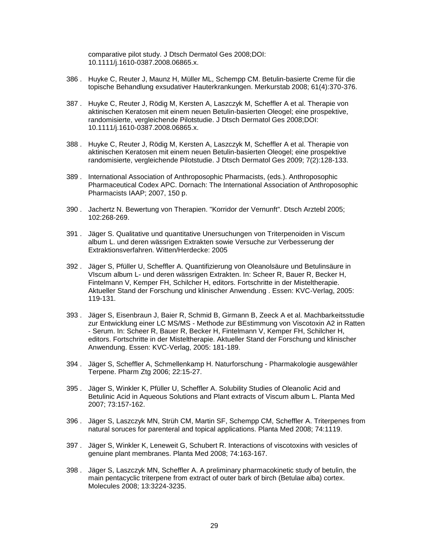comparative pilot study. J Dtsch Dermatol Ges 2008;DOI: 10.1111/j.1610-0387.2008.06865.x.

- 386 . Huyke C, Reuter J, Maunz H, Müller ML, Schempp CM. Betulin-basierte Creme für die topische Behandlung exsudativer Hauterkrankungen. Merkurstab 2008; 61(4):370-376.
- 387 . Huyke C, Reuter J, Rödig M, Kersten A, Laszczyk M, Scheffler A et al. Therapie von aktinischen Keratosen mit einem neuen Betulin-basierten Oleogel; eine prospektive, randomisierte, vergleichende Pilotstudie. J Dtsch Dermatol Ges 2008;DOI: 10.1111/j.1610-0387.2008.06865.x.
- 388 . Huyke C, Reuter J, Rödig M, Kersten A, Laszczyk M, Scheffler A et al. Therapie von aktinischen Keratosen mit einem neuen Betulin-basierten Oleogel; eine prospektive randomisierte, vergleichende Pilotstudie. J Dtsch Dermatol Ges 2009; 7(2):128-133.
- 389 . International Association of Anthroposophic Pharmacists, (eds.). Anthroposophic Pharmaceutical Codex APC. Dornach: The International Association of Anthroposophic Pharmacists IAAP; 2007, 150 p.
- 390 . Jachertz N. Bewertung von Therapien. "Korridor der Vernunft". Dtsch Arztebl 2005; 102:268-269.
- 391 . Jäger S. Qualitative und quantitative Unersuchungen von Triterpenoiden in Viscum album L. und deren wässrigen Extrakten sowie Versuche zur Verbesserung der Extraktionsverfahren. Witten/Herdecke: 2005
- 392 . Jäger S, Pfüller U, Scheffler A. Quantifizierung von Oleanolsäure und Betulinsäure in VIscum album L- und deren wässrigen Extrakten. In: Scheer R, Bauer R, Becker H, Fintelmann V, Kemper FH, Schilcher H, editors. Fortschritte in der Misteltherapie. Aktueller Stand der Forschung und klinischer Anwendung . Essen: KVC-Verlag, 2005: 119-131.
- 393 . Jäger S, Eisenbraun J, Baier R, Schmid B, Girmann B, Zeeck A et al. Machbarkeitsstudie zur Entwicklung einer LC MS/MS - Methode zur BEstimmung von Viscotoxin A2 in Ratten - Serum. In: Scheer R, Bauer R, Becker H, Fintelmann V, Kemper FH, Schilcher H, editors. Fortschritte in der Misteltherapie. Aktueller Stand der Forschung und klinischer Anwendung. Essen: KVC-Verlag, 2005: 181-189.
- 394 . Jäger S, Scheffler A, Schmellenkamp H. Naturforschung Pharmakologie ausgewähler Terpene. Pharm Ztg 2006; 22:15-27.
- 395 . Jäger S, Winkler K, Pfüller U, Scheffler A. Solubility Studies of Oleanolic Acid and Betulinic Acid in Aqueous Solutions and Plant extracts of Viscum album L. Planta Med 2007; 73:157-162.
- 396 . Jäger S, Laszczyk MN, Strüh CM, Martin SF, Schempp CM, Scheffler A. Triterpenes from natural soruces for parenteral and topical applications. Planta Med 2008; 74:1119.
- 397 . Jäger S, Winkler K, Leneweit G, Schubert R. Interactions of viscotoxins with vesicles of genuine plant membranes. Planta Med 2008; 74:163-167.
- 398 . Jäger S, Laszczyk MN, Scheffler A. A preliminary pharmacokinetic study of betulin, the main pentacyclic triterpene from extract of outer bark of birch (Betulae alba) cortex. Molecules 2008; 13:3224-3235.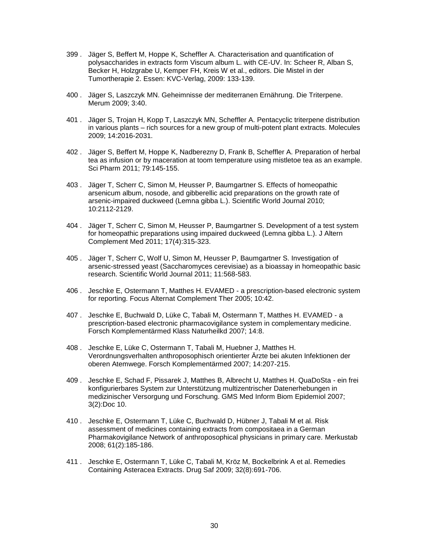- 399 . Jäger S, Beffert M, Hoppe K, Scheffler A. Characterisation and quantification of polysaccharides in extracts form Viscum album L. with CE-UV. In: Scheer R, Alban S, Becker H, Holzgrabe U, Kemper FH, Kreis W et al., editors. Die Mistel in der Tumortherapie 2. Essen: KVC-Verlag, 2009: 133-139.
- 400 . Jäger S, Laszczyk MN. Geheimnisse der mediterranen Ernährung. Die Triterpene. Merum 2009; 3:40.
- 401 . Jäger S, Trojan H, Kopp T, Laszczyk MN, Scheffler A. Pentacyclic triterpene distribution in various plants – rich sources for a new group of multi-potent plant extracts. Molecules 2009; 14:2016-2031.
- 402 . Jäger S, Beffert M, Hoppe K, Nadberezny D, Frank B, Scheffler A. Preparation of herbal tea as infusion or by maceration at toom temperature using mistletoe tea as an example. Sci Pharm 2011; 79:145-155.
- 403 . Jäger T, Scherr C, Simon M, Heusser P, Baumgartner S. Effects of homeopathic arsenicum album, nosode, and gibberellic acid preparations on the growth rate of arsenic-impaired duckweed (Lemna gibba L.). Scientific World Journal 2010; 10:2112-2129.
- 404 . Jäger T, Scherr C, Simon M, Heusser P, Baumgartner S. Development of a test system for homeopathic preparations using impaired duckweed (Lemna gibba L.). J Altern Complement Med 2011; 17(4):315-323.
- 405 . Jäger T, Scherr C, Wolf U, Simon M, Heusser P, Baumgartner S. Investigation of arsenic-stressed yeast (Saccharomyces cerevisiae) as a bioassay in homeopathic basic research. Scientific World Journal 2011; 11:568-583.
- 406 . Jeschke E, Ostermann T, Matthes H. EVAMED a prescription-based electronic system for reporting. Focus Alternat Complement Ther 2005; 10:42.
- 407 . Jeschke E, Buchwald D, Lüke C, Tabali M, Ostermann T, Matthes H. EVAMED a prescription-based electronic pharmacovigilance system in complementary medicine. Forsch Komplementärmed Klass Naturheilkd 2007; 14:8.
- 408 . Jeschke E, Lüke C, Ostermann T, Tabali M, Huebner J, Matthes H. Verordnungsverhalten anthroposophisch orientierter Ärzte bei akuten Infektionen der oberen Atemwege. Forsch Komplementärmed 2007; 14:207-215.
- 409 . Jeschke E, Schad F, Pissarek J, Matthes B, Albrecht U, Matthes H. QuaDoSta ein frei konfigurierbares System zur Unterstützung multizentrischer Datenerhebungen in medizinischer Versorgung und Forschung. GMS Med Inform Biom Epidemiol 2007; 3(2):Doc 10.
- 410 . Jeschke E, Ostermann T, Lüke C, Buchwald D, Hübner J, Tabali M et al. Risk assessment of medicines containing extracts from compositaea in a German Pharmakovigilance Network of anthroposophical physicians in primary care. Merkustab 2008; 61(2):185-186.
- 411 . Jeschke E, Ostermann T, Lüke C, Tabali M, Kröz M, Bockelbrink A et al. Remedies Containing Asteracea Extracts. Drug Saf 2009; 32(8):691-706.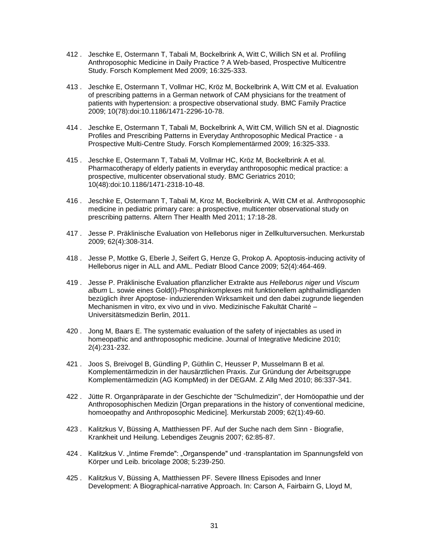- 412 . Jeschke E, Ostermann T, Tabali M, Bockelbrink A, Witt C, Willich SN et al. Profiling Anthroposophic Medicine in Daily Practice ? A Web-based, Prospective Multicentre Study. Forsch Komplement Med 2009; 16:325-333.
- 413 . Jeschke E, Ostermann T, Vollmar HC, Kröz M, Bockelbrink A, Witt CM et al. Evaluation of prescribing patterns in a German network of CAM physicians for the treatment of patients with hypertension: a prospective observational study. BMC Family Practice 2009; 10(78):doi:10.1186/1471-2296-10-78.
- 414 . Jeschke E, Ostermann T, Tabali M, Bockelbrink A, Witt CM, Willich SN et al. Diagnostic Profiles and Prescribing Patterns in Everyday Anthroposophic Medical Practice - a Prospective Multi-Centre Study. Forsch Komplementärmed 2009; 16:325-333.
- 415 . Jeschke E, Ostermann T, Tabali M, Vollmar HC, Kröz M, Bockelbrink A et al. Pharmacotherapy of elderly patients in everyday anthroposophic medical practice: a prospective, multicenter observational study. BMC Geriatrics 2010; 10(48):doi:10.1186/1471-2318-10-48.
- 416 . Jeschke E, Ostermann T, Tabali M, Kroz M, Bockelbrink A, Witt CM et al. Anthroposophic medicine in pediatric primary care: a prospective, multicenter observational study on prescribing patterns. Altern Ther Health Med 2011; 17:18-28.
- 417 . Jesse P. Präklinische Evaluation von Helleborus niger in Zellkulturversuchen. Merkurstab 2009; 62(4):308-314.
- 418 . Jesse P, Mottke G, Eberle J, Seifert G, Henze G, Prokop A. Apoptosis-inducing activity of Helleborus niger in ALL and AML. Pediatr Blood Cance 2009; 52(4):464-469.
- 419 . Jesse P. Präklinische Evaluation pflanzlicher Extrakte aus *Helleborus niger* und *Viscum album* L. sowie eines Gold(I)-Phosphinkomplexes mit funktionellem aphthalimidliganden bezüglich ihrer Apoptose- induzierenden Wirksamkeit und den dabei zugrunde liegenden Mechanismen in vitro, ex vivo und in vivo. Medizinische Fakultät Charité – Universitätsmedizin Berlin, 2011.
- 420 . Jong M, Baars E. The systematic evaluation of the safety of injectables as used in homeopathic and anthroposophic medicine. Journal of Integrative Medicine 2010; 2(4):231-232.
- 421 . Joos S, Breivogel B, Gündling P, Güthlin C, Heusser P, Musselmann B et al. Komplementärmedizin in der hausärztlichen Praxis. Zur Gründung der Arbeitsgruppe Komplementärmedizin (AG KompMed) in der DEGAM. Z Allg Med 2010; 86:337-341.
- 422 . Jütte R. Organpräparate in der Geschichte der "Schulmedizin", der Homöopathie und der Anthroposophischen Medizin [Organ preparations in the history of conventional medicine, homoeopathy and Anthroposophic Medicine]. Merkurstab 2009; 62(1):49-60.
- 423 . Kalitzkus V, Büssing A, Matthiessen PF. Auf der Suche nach dem Sinn Biografie, Krankheit und Heilung. Lebendiges Zeugnis 2007; 62:85-87.
- 424 . Kalitzkus V. "Intime Fremde": "Organspende" und -transplantation im Spannungsfeld von Körper und Leib. bricolage 2008; 5:239-250.
- 425 . Kalitzkus V, Büssing A, Matthiessen PF. Severe Illness Episodes and Inner Development: A Biographical-narrative Approach. In: Carson A, Fairbairn G, Lloyd M,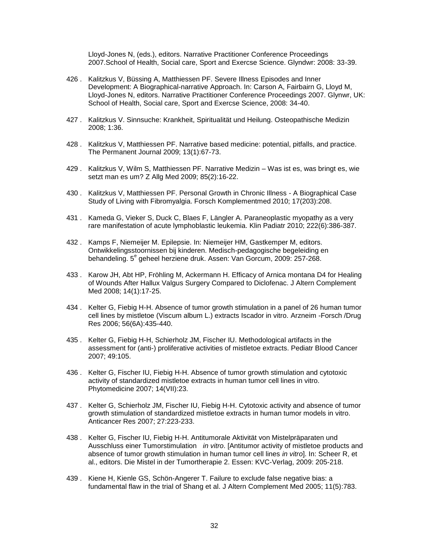Lloyd-Jones N, (eds.), editors. Narrative Practitioner Conference Proceedings 2007.School of Health, Social care, Sport and Exercse Science. Glyndwr: 2008: 33-39.

- 426 . Kalitzkus V, Büssing A, Matthiessen PF. Severe Illness Episodes and Inner Development: A Biographical-narrative Approach. In: Carson A, Fairbairn G, Lloyd M, Lloyd-Jones N, editors. Narrative Practitioner Conference Proceedings 2007. Glynwr, UK: School of Health, Social care, Sport and Exercse Science, 2008: 34-40.
- 427 . Kalitzkus V. Sinnsuche: Krankheit, Spiritualität und Heilung. Osteopathische Medizin 2008; 1:36.
- 428 . Kalitzkus V, Matthiessen PF. Narrative based medicine: potential, pitfalls, and practice. The Permanent Journal 2009; 13(1):67-73.
- 429 . Kalitzkus V, Wilm S, Matthiessen PF. Narrative Medizin Was ist es, was bringt es, wie setzt man es um? Z Allg Med 2009; 85(2):16-22.
- 430 . Kalitzkus V, Matthiessen PF. Personal Growth in Chronic Illness A Biographical Case Study of Living with Fibromyalgia. Forsch Komplementmed 2010; 17(203):208.
- 431 . Kameda G, Vieker S, Duck C, Blaes F, Längler A. Paraneoplastic myopathy as a very rare manifestation of acute lymphoblastic leukemia. Klin Padiatr 2010; 222(6):386-387.
- 432 . Kamps F, Niemeijer M. Epilepsie. In: Niemeijer HM, Gastkemper M, editors. Ontwikkelingsstoornissen bij kinderen. Medisch-pedagogische begeleiding en behandeling. 5<sup>e</sup> geheel herziene druk. Assen: Van Gorcum, 2009: 257-268.
- 433 . Karow JH, Abt HP, Fröhling M, Ackermann H. Efficacy of Arnica montana D4 for Healing of Wounds After Hallux Valgus Surgery Compared to Diclofenac. J Altern Complement Med 2008; 14(1):17-25.
- 434 . Kelter G, Fiebig H-H. Absence of tumor growth stimulation in a panel of 26 human tumor cell lines by mistletoe (Viscum album L.) extracts Iscador in vitro. Arzneim -Forsch /Drug Res 2006; 56(6A):435-440.
- 435 . Kelter G, Fiebig H-H, Schierholz JM, Fischer IU. Methodological artifacts in the assessment for (anti-) proliferative activities of mistletoe extracts. Pediatr Blood Cancer 2007; 49:105.
- 436 . Kelter G, Fischer IU, Fiebig H-H. Absence of tumor growth stimulation and cytotoxic activity of standardized mistletoe extracts in human tumor cell lines in vitro. Phytomedicine 2007; 14(VII):23.
- 437 . Kelter G, Schierholz JM, Fischer IU, Fiebig H-H. Cytotoxic activity and absence of tumor growth stimulation of standardized mistletoe extracts in human tumor models in vitro. Anticancer Res 2007; 27:223-233.
- 438 . Kelter G, Fischer IU, Fiebig H-H. Antitumorale Aktivität von Mistelpräparaten und Ausschluss einer Tumorstimulation *in vitro*. [Antitumor activity of mistletoe products and absence of tumor growth stimulation in human tumor cell lines *in vitro*]. In: Scheer R, et al., editors. Die Mistel in der Tumortherapie 2. Essen: KVC-Verlag, 2009: 205-218.
- 439 . Kiene H, Kienle GS, Schön-Angerer T. Failure to exclude false negative bias: a fundamental flaw in the trial of Shang et al. J Altern Complement Med 2005; 11(5):783.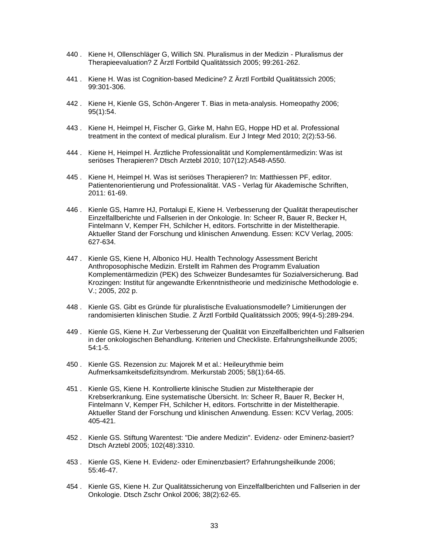- 440 . Kiene H, Ollenschläger G, Willich SN. Pluralismus in der Medizin Pluralismus der Therapieevaluation? Z Ärztl Fortbild Qualitätssich 2005; 99:261-262.
- 441 . Kiene H. Was ist Cognition-based Medicine? Z Ärztl Fortbild Qualitätssich 2005; 99:301-306.
- 442 . Kiene H, Kienle GS, Schön-Angerer T. Bias in meta-analysis. Homeopathy 2006; 95(1):54.
- 443 . Kiene H, Heimpel H, Fischer G, Girke M, Hahn EG, Hoppe HD et al. Professional treatment in the context of medical pluralism. Eur J Integr Med 2010; 2(2):53-56.
- 444 . Kiene H, Heimpel H. Ärztliche Professionalität und Komplementärmedizin: Was ist seriöses Therapieren? Dtsch Arztebl 2010; 107(12):A548-A550.
- 445 . Kiene H, Heimpel H. Was ist seriöses Therapieren? In: Matthiessen PF, editor. Patientenorientierung und Professionalität. VAS - Verlag für Akademische Schriften, 2011: 61-69.
- 446 . Kienle GS, Hamre HJ, Portalupi E, Kiene H. Verbesserung der Qualität therapeutischer Einzelfallberichte und Fallserien in der Onkologie. In: Scheer R, Bauer R, Becker H, Fintelmann V, Kemper FH, Schilcher H, editors. Fortschritte in der Misteltherapie. Aktueller Stand der Forschung und klinischen Anwendung. Essen: KCV Verlag, 2005: 627-634.
- 447 . Kienle GS, Kiene H, Albonico HU. Health Technology Assessment Bericht Anthroposophische Medizin. Erstellt im Rahmen des Programm Evaluation Komplementärmedizin (PEK) des Schweizer Bundesamtes für Sozialversicherung. Bad Krozingen: Institut für angewandte Erkenntnistheorie und medizinische Methodologie e. V.; 2005, 202 p.
- 448 . Kienle GS. Gibt es Gründe für pluralistische Evaluationsmodelle? Limitierungen der randomisierten klinischen Studie. Z Ärztl Fortbild Qualitätssich 2005; 99(4-5):289-294.
- 449 . Kienle GS, Kiene H. Zur Verbesserung der Qualität von Einzelfallberichten und Fallserien in der onkologischen Behandlung. Kriterien und Checkliste. Erfahrungsheilkunde 2005; 54:1-5.
- 450 . Kienle GS. Rezension zu: Majorek M et al.: Heileurythmie beim Aufmerksamkeitsdefizitsyndrom. Merkurstab 2005; 58(1):64-65.
- 451 . Kienle GS, Kiene H. Kontrollierte klinische Studien zur Misteltherapie der Krebserkrankung. Eine systematische Übersicht. In: Scheer R, Bauer R, Becker H, Fintelmann V, Kemper FH, Schilcher H, editors. Fortschritte in der Misteltherapie. Aktueller Stand der Forschung und klinischen Anwendung. Essen: KCV Verlag, 2005: 405-421.
- 452 . Kienle GS. Stiftung Warentest: "Die andere Medizin". Evidenz- oder Eminenz-basiert? Dtsch Arztebl 2005; 102(48):3310.
- 453 . Kienle GS, Kiene H. Evidenz- oder Eminenzbasiert? Erfahrungsheilkunde 2006; 55:46-47.
- 454 . Kienle GS, Kiene H. Zur Qualitätssicherung von Einzelfallberichten und Fallserien in der Onkologie. Dtsch Zschr Onkol 2006; 38(2):62-65.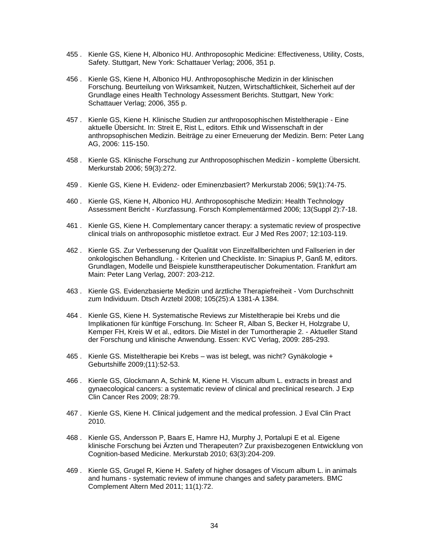- 455 . Kienle GS, Kiene H, Albonico HU. Anthroposophic Medicine: Effectiveness, Utility, Costs, Safety. Stuttgart, New York: Schattauer Verlag; 2006, 351 p.
- 456 . Kienle GS, Kiene H, Albonico HU. Anthroposophische Medizin in der klinischen Forschung. Beurteilung von Wirksamkeit, Nutzen, Wirtschaftlichkeit, Sicherheit auf der Grundlage eines Health Technology Assessment Berichts. Stuttgart, New York: Schattauer Verlag; 2006, 355 p.
- 457 . Kienle GS, Kiene H. Klinische Studien zur anthroposophischen Misteltherapie Eine aktuelle Übersicht. In: Streit E, Rist L, editors. Ethik und Wissenschaft in der anthropsophischen Medizin. Beiträge zu einer Erneuerung der Medizin. Bern: Peter Lang AG, 2006: 115-150.
- 458 . Kienle GS. Klinische Forschung zur Anthroposophischen Medizin komplette Übersicht. Merkurstab 2006; 59(3):272.
- 459 . Kienle GS, Kiene H. Evidenz- oder Eminenzbasiert? Merkurstab 2006; 59(1):74-75.
- 460 . Kienle GS, Kiene H, Albonico HU. Anthroposophische Medizin: Health Technology Assessment Bericht - Kurzfassung. Forsch Komplementärmed 2006; 13(Suppl 2):7-18.
- 461 . Kienle GS, Kiene H. Complementary cancer therapy: a systematic review of prospective clinical trials on anthroposophic mistletoe extract. Eur J Med Res 2007; 12:103-119.
- 462 . Kienle GS. Zur Verbesserung der Qualität von Einzelfallberichten und Fallserien in der onkologischen Behandlung. - Kriterien und Checkliste. In: Sinapius P, Ganß M, editors. Grundlagen, Modelle und Beispiele kunsttherapeutischer Dokumentation. Frankfurt am Main: Peter Lang Verlag, 2007: 203-212.
- 463 . Kienle GS. Evidenzbasierte Medizin und ärztliche Therapiefreiheit Vom Durchschnitt zum Individuum. Dtsch Arztebl 2008; 105(25):A 1381-A 1384.
- 464 . Kienle GS, Kiene H. Systematische Reviews zur Misteltherapie bei Krebs und die Implikationen für künftige Forschung. In: Scheer R, Alban S, Becker H, Holzgrabe U, Kemper FH, Kreis W et al., editors. Die Mistel in der Tumortherapie 2. - Aktueller Stand der Forschung und klinische Anwendung. Essen: KVC Verlag, 2009: 285-293.
- 465 . Kienle GS. Misteltherapie bei Krebs was ist belegt, was nicht? Gynäkologie + Geburtshilfe 2009;(11):52-53.
- 466 . Kienle GS, Glockmann A, Schink M, Kiene H. Viscum album L. extracts in breast and gynaecological cancers: a systematic review of clinical and preclinical research. J Exp Clin Cancer Res 2009; 28:79.
- 467 . Kienle GS, Kiene H. Clinical judgement and the medical profession. J Eval Clin Pract 2010.
- 468 . Kienle GS, Andersson P, Baars E, Hamre HJ, Murphy J, Portalupi E et al. Eigene klinische Forschung bei Ärzten und Therapeuten? Zur praxisbezogenen Entwicklung von Cognition-based Medicine. Merkurstab 2010; 63(3):204-209.
- 469 . Kienle GS, Grugel R, Kiene H. Safety of higher dosages of Viscum album L. in animals and humans - systematic review of immune changes and safety parameters. BMC Complement Altern Med 2011; 11(1):72.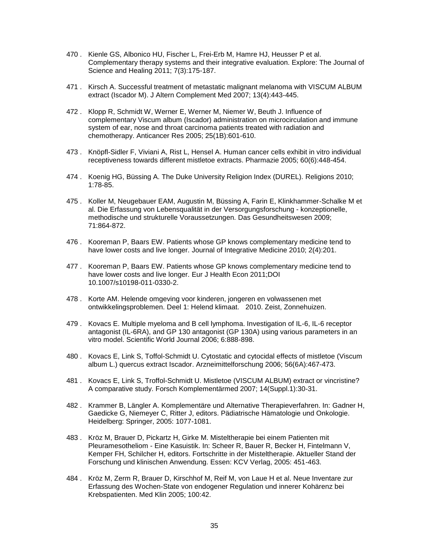- 470 . Kienle GS, Albonico HU, Fischer L, Frei-Erb M, Hamre HJ, Heusser P et al. Complementary therapy systems and their integrative evaluation. Explore: The Journal of Science and Healing 2011; 7(3):175-187.
- 471 . Kirsch A. Successful treatment of metastatic malignant melanoma with VISCUM ALBUM extract (Iscador M). J Altern Complement Med 2007; 13(4):443-445.
- 472 . Klopp R, Schmidt W, Werner E, Werner M, Niemer W, Beuth J. Influence of complementary Viscum album (Iscador) administration on microcirculation and immune system of ear, nose and throat carcinoma patients treated with radiation and chemotherapy. Anticancer Res 2005; 25(1B):601-610.
- 473 . Knöpfl-Sidler F, Viviani A, Rist L, Hensel A. Human cancer cells exhibit in vitro individual receptiveness towards different mistletoe extracts. Pharmazie 2005; 60(6):448-454.
- 474 . Koenig HG, Büssing A. The Duke University Religion Index (DUREL). Religions 2010; 1:78-85.
- 475 . Koller M, Neugebauer EAM, Augustin M, Büssing A, Farin E, Klinkhammer-Schalke M et al. Die Erfassung von Lebensqualität in der Versorgungsforschung - konzeptionelle, methodische und strukturelle Voraussetzungen. Das Gesundheitswesen 2009; 71:864-872.
- 476 . Kooreman P, Baars EW. Patients whose GP knows complementary medicine tend to have lower costs and live longer. Journal of Integrative Medicine 2010; 2(4):201.
- 477 . Kooreman P, Baars EW. Patients whose GP knows complementary medicine tend to have lower costs and live longer. Eur J Health Econ 2011;DOI 10.1007/s10198-011-0330-2.
- 478 . Korte AM. Helende omgeving voor kinderen, jongeren en volwassenen met ontwikkelingsproblemen. Deel 1: Helend klimaat. 2010. Zeist, Zonnehuizen.
- 479 . Kovacs E. Multiple myeloma and B cell lymphoma. Investigation of IL-6, IL-6 receptor antagonist (IL-6RA), and GP 130 antagonist (GP 130A) using various parameters in an vitro model. Scientific World Journal 2006; 6:888-898.
- 480 . Kovacs E, Link S, Toffol-Schmidt U. Cytostatic and cytocidal effects of mistletoe (Viscum album L.) quercus extract Iscador. Arzneimittelforschung 2006; 56(6A):467-473.
- 481 . Kovacs E, Link S, Troffol-Schmidt U. Mistletoe (VISCUM ALBUM) extract or vincristine? A comparative study. Forsch Komplementärmed 2007; 14(Suppl.1):30-31.
- 482 . Krammer B, Längler A. Komplementäre und Alternative Therapieverfahren. In: Gadner H, Gaedicke G, Niemeyer C, Ritter J, editors. Pädiatrische Hämatologie und Onkologie. Heidelberg: Springer, 2005: 1077-1081.
- 483 . Kröz M, Brauer D, Pickartz H, Girke M. Misteltherapie bei einem Patienten mit Pleuramesotheliom - Eine Kasuistik. In: Scheer R, Bauer R, Becker H, Fintelmann V, Kemper FH, Schilcher H, editors. Fortschritte in der Misteltherapie. Aktueller Stand der Forschung und klinischen Anwendung. Essen: KCV Verlag, 2005: 451-463.
- 484 . Kröz M, Zerm R, Brauer D, Kirschhof M, Reif M, von Laue H et al. Neue Inventare zur Erfassung des Wochen-State von endogener Regulation und innerer Kohärenz bei Krebspatienten. Med Klin 2005; 100:42.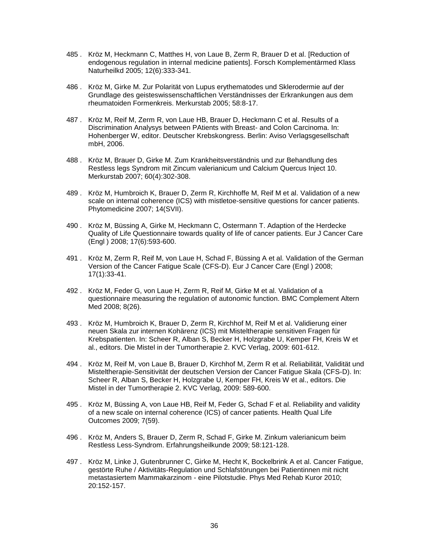- 485 . Kröz M, Heckmann C, Matthes H, von Laue B, Zerm R, Brauer D et al. [Reduction of endogenous regulation in internal medicine patients]. Forsch Komplementärmed Klass Naturheilkd 2005; 12(6):333-341.
- 486 . Kröz M, Girke M. Zur Polarität von Lupus erythematodes und Sklerodermie auf der Grundlage des geisteswissenschaftlichen Verständnisses der Erkrankungen aus dem rheumatoiden Formenkreis. Merkurstab 2005; 58:8-17.
- 487 . Kröz M, Reif M, Zerm R, von Laue HB, Brauer D, Heckmann C et al. Results of a Discrimination Analysys between PAtients with Breast- and Colon Carcinoma. In: Hohenberger W, editor. Deutscher Krebskongress. Berlin: Aviso Verlagsgesellschaft mbH, 2006.
- 488 . Kröz M, Brauer D, Girke M. Zum Krankheitsverständnis und zur Behandlung des Restless legs Syndrom mit Zincum valerianicum und Calcium Quercus Inject 10. Merkurstab 2007; 60(4):302-308.
- 489 . Kröz M, Humbroich K, Brauer D, Zerm R, Kirchhoffe M, Reif M et al. Validation of a new scale on internal coherence (ICS) with mistletoe-sensitive questions for cancer patients. Phytomedicine 2007; 14(SVII).
- 490 . Kröz M, Büssing A, Girke M, Heckmann C, Ostermann T. Adaption of the Herdecke Quality of Life Questionnaire towards quality of life of cancer patients. Eur J Cancer Care (Engl ) 2008; 17(6):593-600.
- 491 . Kröz M, Zerm R, Reif M, von Laue H, Schad F, Büssing A et al. Validation of the German Version of the Cancer Fatigue Scale (CFS-D). Eur J Cancer Care (Engl ) 2008; 17(1):33-41.
- 492 . Kröz M, Feder G, von Laue H, Zerm R, Reif M, Girke M et al. Validation of a questionnaire measuring the regulation of autonomic function. BMC Complement Altern Med 2008; 8(26).
- 493 . Kröz M, Humbroich K, Brauer D, Zerm R, Kirchhof M, Reif M et al. Validierung einer neuen Skala zur internen Kohärenz (ICS) mit Misteltherapie sensitiven Fragen für Krebspatienten. In: Scheer R, Alban S, Becker H, Holzgrabe U, Kemper FH, Kreis W et al., editors. Die Mistel in der Tumortherapie 2. KVC Verlag, 2009: 601-612.
- 494 . Kröz M, Reif M, von Laue B, Brauer D, Kirchhof M, Zerm R et al. Reliabilität, Validität und Misteltherapie-Sensitivität der deutschen Version der Cancer Fatigue Skala (CFS-D). In: Scheer R, Alban S, Becker H, Holzgrabe U, Kemper FH, Kreis W et al., editors. Die Mistel in der Tumortherapie 2. KVC Verlag, 2009: 589-600.
- 495 . Kröz M, Büssing A, von Laue HB, Reif M, Feder G, Schad F et al. Reliability and validity of a new scale on internal coherence (ICS) of cancer patients. Health Qual Life Outcomes 2009; 7(59).
- 496 . Kröz M, Anders S, Brauer D, Zerm R, Schad F, Girke M. Zinkum valerianicum beim Restless Less-Syndrom. Erfahrungsheilkunde 2009; 58:121-128.
- 497 . Kröz M, Linke J, Gutenbrunner C, Girke M, Hecht K, Bockelbrink A et al. Cancer Fatigue, gestörte Ruhe / Aktivitäts-Regulation und Schlafstörungen bei Patientinnen mit nicht metastasiertem Mammakarzinom - eine Pilotstudie. Phys Med Rehab Kuror 2010; 20:152-157.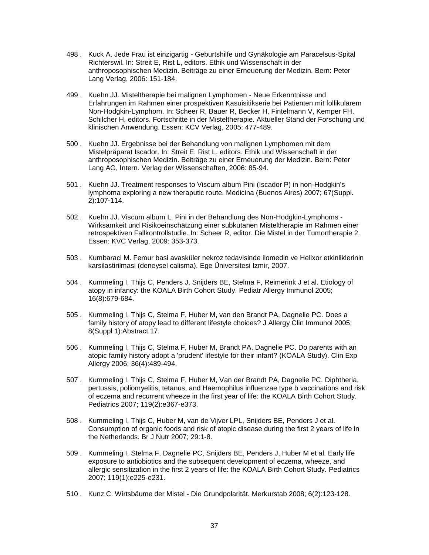- 498 . Kuck A. Jede Frau ist einzigartig Geburtshilfe und Gynäkologie am Paracelsus-Spital Richterswil. In: Streit E, Rist L, editors. Ethik und Wissenschaft in der anthroposophischen Medizin. Beiträge zu einer Erneuerung der Medizin. Bern: Peter Lang Verlag, 2006: 151-184.
- 499 . Kuehn JJ. Misteltherapie bei malignen Lymphomen Neue Erkenntnisse und Erfahrungen im Rahmen einer prospektiven Kasuisitikserie bei Patienten mit follikulärem Non-Hodgkin-Lymphom. In: Scheer R, Bauer R, Becker H, Fintelmann V, Kemper FH, Schilcher H, editors. Fortschritte in der Misteltherapie. Aktueller Stand der Forschung und klinischen Anwendung. Essen: KCV Verlag, 2005: 477-489.
- 500 . Kuehn JJ. Ergebnisse bei der Behandlung von malignen Lymphomen mit dem Mistelpräparat Iscador. In: Streit E, Rist L, editors. Ethik und Wissenschaft in der anthroposophischen Medizin. Beiträge zu einer Erneuerung der Medizin. Bern: Peter Lang AG, Intern. Verlag der Wissenschaften, 2006: 85-94.
- 501 . Kuehn JJ. Treatment responses to Viscum album Pini (Iscador P) in non-Hodgkin's lymphoma exploring a new theraputic route. Medicina (Buenos Aires) 2007; 67(Suppl. 2):107-114.
- 502 . Kuehn JJ. Viscum album L. Pini in der Behandlung des Non-Hodgkin-Lymphoms Wirksamkeit und Risikoeinschätzung einer subkutanen Misteltherapie im Rahmen einer retrospektiven Fallkontrollstudie. In: Scheer R, editor. Die Mistel in der Tumortherapie 2. Essen: KVC Verlag, 2009: 353-373.
- 503 . Kumbaraci M. Femur basi avasküler nekroz tedavisinde ilomedin ve Helixor etkinliklerinin karsilastirilmasi (deneysel calisma). Ege Üniversitesi Izmir, 2007.
- 504 . Kummeling I, Thijs C, Penders J, Snijders BE, Stelma F, Reimerink J et al. Etiology of atopy in infancy: the KOALA Birth Cohort Study. Pediatr Allergy Immunol 2005; 16(8):679-684.
- 505 . Kummeling I, Thijs C, Stelma F, Huber M, van den Brandt PA, Dagnelie PC. Does a family history of atopy lead to different lifestyle choices? J Allergy Clin Immunol 2005; 8(Suppl 1):Abstract 17.
- 506 . Kummeling I, Thijs C, Stelma F, Huber M, Brandt PA, Dagnelie PC. Do parents with an atopic family history adopt a 'prudent' lifestyle for their infant? (KOALA Study). Clin Exp Allergy 2006; 36(4):489-494.
- 507 . Kummeling I, Thijs C, Stelma F, Huber M, Van der Brandt PA, Dagnelie PC. Diphtheria, pertussis, poliomyelitis, tetanus, and Haemophilus influenzae type b vaccinations and risk of eczema and recurrent wheeze in the first year of life: the KOALA Birth Cohort Study. Pediatrics 2007; 119(2):e367-e373.
- 508 . Kummeling I, Thijs C, Huber M, van de Vijver LPL, Snijders BE, Penders J et al. Consumption of organic foods and risk of atopic disease during the first 2 years of life in the Netherlands. Br J Nutr 2007; 29:1-8.
- 509 . Kummeling I, Stelma F, Dagnelie PC, Snijders BE, Penders J, Huber M et al. Early life exposure to antiobiotics and the subsequent development of eczema, wheeze, and allergic sensitization in the first 2 years of life: the KOALA Birth Cohort Study. Pediatrics 2007; 119(1):e225-e231.
- 510 . Kunz C. Wirtsbäume der Mistel Die Grundpolarität. Merkurstab 2008; 6(2):123-128.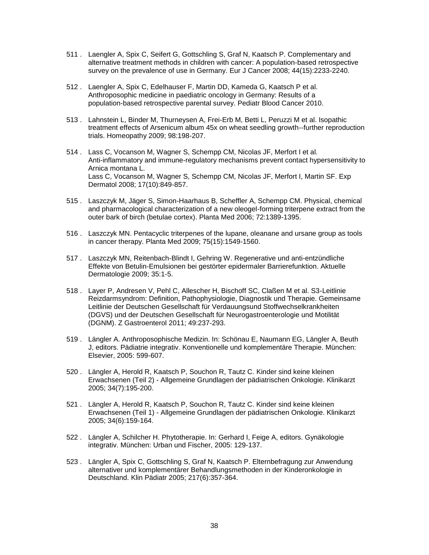- 511 . Laengler A, Spix C, Seifert G, Gottschling S, Graf N, Kaatsch P. Complementary and alternative treatment methods in children with cancer: A population-based retrospective survey on the prevalence of use in Germany. Eur J Cancer 2008; 44(15):2233-2240.
- 512 . Laengler A, Spix C, Edelhauser F, Martin DD, Kameda G, Kaatsch P et al. Anthroposophic medicine in paediatric oncology in Germany: Results of a population-based retrospective parental survey. Pediatr Blood Cancer 2010.
- 513 . Lahnstein L, Binder M, Thurneysen A, Frei-Erb M, Betti L, Peruzzi M et al. Isopathic treatment effects of Arsenicum album 45x on wheat seedling growth--further reproduction trials. Homeopathy 2009; 98:198-207.
- 514 . Lass C, Vocanson M, Wagner S, Schempp CM, Nicolas JF, Merfort I et al. Anti-inflammatory and immune-regulatory mechanisms prevent contact hypersensitivity to Arnica montana L. Lass C, Vocanson M, Wagner S, Schempp CM, Nicolas JF, Merfort I, Martin SF. Exp Dermatol 2008; 17(10):849-857.
- 515 . Laszczyk M, Jäger S, Simon-Haarhaus B, Scheffler A, Schempp CM. Physical, chemical and pharmacological characterization of a new oleogel-forming triterpene extract from the outer bark of birch (betulae cortex). Planta Med 2006; 72:1389-1395.
- 516 . Laszczyk MN. Pentacyclic triterpenes of the lupane, oleanane and ursane group as tools in cancer therapy. Planta Med 2009; 75(15):1549-1560.
- 517 . Laszczyk MN, Reitenbach-Blindt I, Gehring W. Regenerative und anti-entzündliche Effekte von Betulin-Emulsionen bei gestörter epidermaler Barrierefunktion. Aktuelle Dermatologie 2009; 35:1-5.
- 518 . Layer P, Andresen V, Pehl C, Allescher H, Bischoff SC, Claßen M et al. S3-Leitlinie Reizdarmsyndrom: Definition, Pathophysiologie, Diagnostik und Therapie. Gemeinsame Leitlinie der Deutschen Gesellschaft für Verdauungsund Stoffwechselkrankheiten (DGVS) und der Deutschen Gesellschaft für Neurogastroenterologie und Motilität (DGNM). Z Gastroenterol 2011; 49:237-293.
- 519 . Längler A. Anthroposophische Medizin. In: Schönau E, Naumann EG, Längler A, Beuth J, editors. Pädiatrie integrativ. Konventionelle und komplementäre Therapie. München: Elsevier, 2005: 599-607.
- 520 . Längler A, Herold R, Kaatsch P, Souchon R, Tautz C. Kinder sind keine kleinen Erwachsenen (Teil 2) - Allgemeine Grundlagen der pädiatrischen Onkologie. Klinikarzt 2005; 34(7):195-200.
- 521 . Längler A, Herold R, Kaatsch P, Souchon R, Tautz C. Kinder sind keine kleinen Erwachsenen (Teil 1) - Allgemeine Grundlagen der pädiatrischen Onkologie. Klinikarzt 2005; 34(6):159-164.
- 522 . Längler A, Schilcher H. Phytotherapie. In: Gerhard I, Feige A, editors. Gynäkologie integrativ. München: Urban und Fischer, 2005: 129-137.
- 523 . Längler A, Spix C, Gottschling S, Graf N, Kaatsch P. Elternbefragung zur Anwendung alternativer und komplementärer Behandlungsmethoden in der Kinderonkologie in Deutschland. Klin Pädiatr 2005; 217(6):357-364.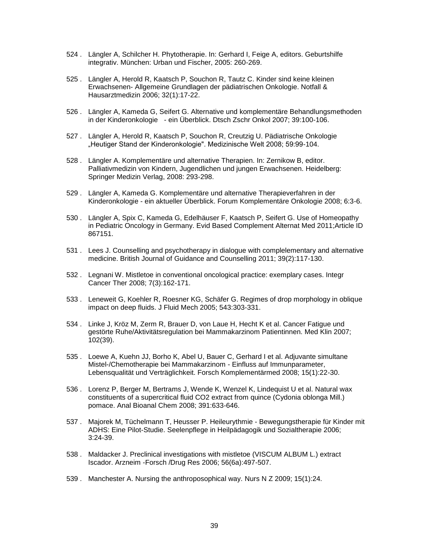- 524 . Längler A, Schilcher H. Phytotherapie. In: Gerhard I, Feige A, editors. Geburtshilfe integrativ. München: Urban und Fischer, 2005: 260-269.
- 525 . Längler A, Herold R, Kaatsch P, Souchon R, Tautz C. Kinder sind keine kleinen Erwachsenen- Allgemeine Grundlagen der pädiatrischen Onkologie. Notfall & Hausarztmedizin 2006; 32(1):17-22.
- 526 . Längler A, Kameda G, Seifert G. Alternative und komplementäre Behandlungsmethoden in der Kinderonkologie - ein Überblick. Dtsch Zschr Onkol 2007; 39:100-106.
- 527 . Längler A, Herold R, Kaatsch P, Souchon R, Creutzig U. Pädiatrische Onkologie "Heutiger Stand der Kinderonkologie". Medizinische Welt 2008; 59:99-104.
- 528 . Längler A. Komplementäre und alternative Therapien. In: Zernikow B, editor. Palliativmedizin von Kindern, Jugendlichen und jungen Erwachsenen. Heidelberg: Springer Medizin Verlag, 2008: 293-298.
- 529 . Längler A, Kameda G. Komplementäre und alternative Therapieverfahren in der Kinderonkologie - ein aktueller Überblick. Forum Komplementäre Onkologie 2008; 6:3-6.
- 530 . Längler A, Spix C, Kameda G, Edelhäuser F, Kaatsch P, Seifert G. Use of Homeopathy in Pediatric Oncology in Germany. Evid Based Complement Alternat Med 2011;Article ID 867151.
- 531 . Lees J. Counselling and psychotherapy in dialogue with complelementary and alternative medicine. British Journal of Guidance and Counselling 2011; 39(2):117-130.
- 532 . Legnani W. Mistletoe in conventional oncological practice: exemplary cases. Integr Cancer Ther 2008; 7(3):162-171.
- 533 . Leneweit G, Koehler R, Roesner KG, Schäfer G. Regimes of drop morphology in oblique impact on deep fluids. J Fluid Mech 2005; 543:303-331.
- 534 . Linke J, Kröz M, Zerm R, Brauer D, von Laue H, Hecht K et al. Cancer Fatigue und gestörte Ruhe/Aktivitätsregulation bei Mammakarzinom Patientinnen. Med Klin 2007; 102(39).
- 535 . Loewe A, Kuehn JJ, Borho K, Abel U, Bauer C, Gerhard I et al. Adjuvante simultane Mistel-/Chemotherapie bei Mammakarzinom - Einfluss auf Immunparameter, Lebensqualität und Verträglichkeit. Forsch Komplementärmed 2008; 15(1):22-30.
- 536 . Lorenz P, Berger M, Bertrams J, Wende K, Wenzel K, Lindequist U et al. Natural wax constituents of a supercritical fluid CO2 extract from quince (Cydonia oblonga Mill.) pomace. Anal Bioanal Chem 2008; 391:633-646.
- 537 . Majorek M, Tüchelmann T, Heusser P. Heileurythmie Bewegungstherapie für Kinder mit ADHS: Eine Pilot-Studie. Seelenpflege in Heilpädagogik und Sozialtherapie 2006; 3:24-39.
- 538 . Maldacker J. Preclinical investigations with mistletoe (VISCUM ALBUM L.) extract Iscador. Arzneim -Forsch /Drug Res 2006; 56(6a):497-507.
- 539 . Manchester A. Nursing the anthroposophical way. Nurs N Z 2009; 15(1):24.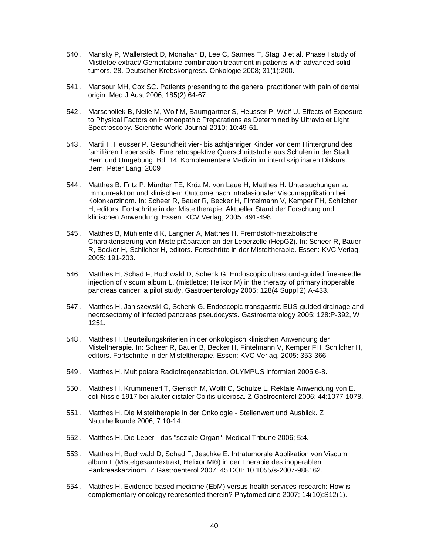- 540 . Mansky P, Wallerstedt D, Monahan B, Lee C, Sannes T, Stagl J et al. Phase I study of Mistletoe extract/ Gemcitabine combination treatment in patients with advanced solid tumors. 28. Deutscher Krebskongress. Onkologie 2008; 31(1):200.
- 541 . Mansour MH, Cox SC. Patients presenting to the general practitioner with pain of dental origin. Med J Aust 2006; 185(2):64-67.
- 542 . Marschollek B, Nelle M, Wolf M, Baumgartner S, Heusser P, Wolf U. Effects of Exposure to Physical Factors on Homeopathic Preparations as Determined by Ultraviolet Light Spectroscopy. Scientific World Journal 2010; 10:49-61.
- 543 . Marti T, Heusser P. Gesundheit vier- bis achtjähriger Kinder vor dem Hintergrund des familiären Lebensstils. Eine retrospektive Querschnittstudie aus Schulen in der Stadt Bern und Umgebung. Bd. 14: Komplementäre Medizin im interdisziplinären Diskurs. Bern: Peter Lang; 2009
- 544 . Matthes B, Fritz P, Mürdter TE, Kröz M, von Laue H, Matthes H. Untersuchungen zu Immunreaktion und klinischem Outcome nach intraläsionaler Viscumapplikation bei Kolonkarzinom. In: Scheer R, Bauer R, Becker H, Fintelmann V, Kemper FH, Schilcher H, editors. Fortschritte in der Misteltherapie. Aktueller Stand der Forschung und klinischen Anwendung. Essen: KCV Verlag, 2005: 491-498.
- 545 . Matthes B, Mühlenfeld K, Langner A, Matthes H. Fremdstoff-metabolische Charakterisierung von Mistelpräparaten an der Leberzelle (HepG2). In: Scheer R, Bauer R, Becker H, Schilcher H, editors. Fortschritte in der Misteltherapie. Essen: KVC Verlag, 2005: 191-203.
- 546 . Matthes H, Schad F, Buchwald D, Schenk G. Endoscopic ultrasound-guided fine-needle injection of viscum album L. (mistletoe; Helixor M) in the therapy of primary inoperable pancreas cancer: a pilot study. Gastroenterology 2005; 128(4 Suppl 2):A-433.
- 547 . Matthes H, Janiszewski C, Schenk G. Endoscopic transgastric EUS-guided drainage and necrosectomy of infected pancreas pseudocysts. Gastroenterology 2005; 128:P-392, W 1251.
- 548 . Matthes H. Beurteilungskriterien in der onkologisch klinischen Anwendung der Misteltherapie. In: Scheer R, Bauer B, Becker H, Fintelmann V, Kemper FH, Schilcher H, editors. Fortschritte in der Misteltherapie. Essen: KVC Verlag, 2005: 353-366.
- 549 . Matthes H. Multipolare Radiofreqenzablation. OLYMPUS informiert 2005;6-8.
- 550 . Matthes H, Krummenerl T, Giensch M, Wolff C, Schulze L. Rektale Anwendung von E. coli Nissle 1917 bei akuter distaler Colitis ulcerosa. Z Gastroenterol 2006; 44:1077-1078.
- 551 . Matthes H. Die Misteltherapie in der Onkologie Stellenwert und Ausblick. Z Naturheilkunde 2006; 7:10-14.
- 552 . Matthes H. Die Leber das "soziale Organ". Medical Tribune 2006; 5:4.
- 553 . Matthes H, Buchwald D, Schad F, Jeschke E. Intratumorale Applikation von Viscum album L (Mistelgesamtextrakt; Helixor M®) in der Therapie des inoperablen Pankreaskarzinom. Z Gastroenterol 2007; 45:DOI: 10.1055/s-2007-988162.
- 554 . Matthes H. Evidence-based medicine (EbM) versus health services research: How is complementary oncology represented therein? Phytomedicine 2007; 14(10):S12(1).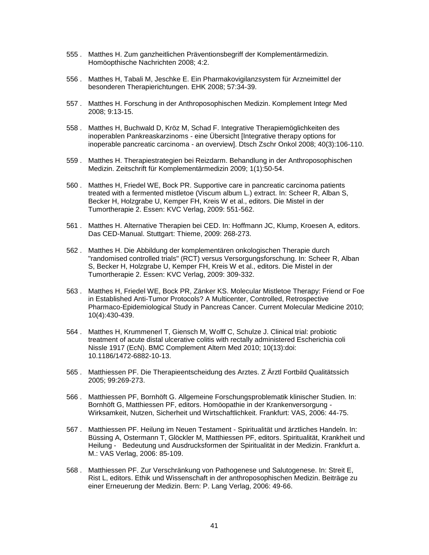- 555 . Matthes H. Zum ganzheitlichen Präventionsbegriff der Komplementärmedizin. Homöopthische Nachrichten 2008; 4:2.
- 556 . Matthes H, Tabali M, Jeschke E. Ein Pharmakovigilanzsystem für Arzneimittel der besonderen Therapierichtungen. EHK 2008; 57:34-39.
- 557 . Matthes H. Forschung in der Anthroposophischen Medizin. Komplement Integr Med 2008; 9:13-15.
- 558 . Matthes H, Buchwald D, Kröz M, Schad F. Integrative Therapiemöglichkeiten des inoperablen Pankreaskarzinoms - eine Übersicht [Integrative therapy options for inoperable pancreatic carcinoma - an overview]. Dtsch Zschr Onkol 2008; 40(3):106-110.
- 559 . Matthes H. Therapiestrategien bei Reizdarm. Behandlung in der Anthroposophischen Medizin. Zeitschrift für Komplementärmedizin 2009; 1(1):50-54.
- 560 . Matthes H, Friedel WE, Bock PR. Supportive care in pancreatic carcinoma patients treated with a fermented mistletoe (Viscum album L.) extract. In: Scheer R, Alban S, Becker H, Holzgrabe U, Kemper FH, Kreis W et al., editors. Die Mistel in der Tumortherapie 2. Essen: KVC Verlag, 2009: 551-562.
- 561 . Matthes H. Alternative Therapien bei CED. In: Hoffmann JC, Klump, Kroesen A, editors. Das CED-Manual. Stuttgart: Thieme, 2009: 268-273.
- 562 . Matthes H. Die Abbildung der komplementären onkologischen Therapie durch "randomised controlled trials" (RCT) versus Versorgungsforschung. In: Scheer R, Alban S, Becker H, Holzgrabe U, Kemper FH, Kreis W et al., editors. Die Mistel in der Tumortherapie 2. Essen: KVC Verlag, 2009: 309-332.
- 563 . Matthes H, Friedel WE, Bock PR, Zänker KS. Molecular Mistletoe Therapy: Friend or Foe in Established Anti-Tumor Protocols? A Multicenter, Controlled, Retrospective Pharmaco-Epidemiological Study in Pancreas Cancer. Current Molecular Medicine 2010; 10(4):430-439.
- 564 . Matthes H, Krummenerl T, Giensch M, Wolff C, Schulze J. Clinical trial: probiotic treatment of acute distal ulcerative colitis with rectally administered Escherichia coli Nissle 1917 (EcN). BMC Complement Altern Med 2010; 10(13):doi: 10.1186/1472-6882-10-13.
- 565 . Matthiessen PF. Die Therapieentscheidung des Arztes. Z Ärztl Fortbild Qualitätssich 2005; 99:269-273.
- 566 . Matthiessen PF, Bornhöft G. Allgemeine Forschungsproblematik klinischer Studien. In: Bornhöft G, Matthiessen PF, editors. Homöopathie in der Krankenversorgung - Wirksamkeit, Nutzen, Sicherheit und Wirtschaftlichkeit. Frankfurt: VAS, 2006: 44-75.
- 567 . Matthiessen PF. Heilung im Neuen Testament Spiritualität und ärztliches Handeln. In: Büssing A, Ostermann T, Glöckler M, Matthiessen PF, editors. Spiritualität, Krankheit und Heilung - Bedeutung und Ausdrucksformen der Spiritualität in der Medizin. Frankfurt a. M.: VAS Verlag, 2006: 85-109.
- 568 . Matthiessen PF. Zur Verschränkung von Pathogenese und Salutogenese. In: Streit E, Rist L, editors. Ethik und Wissenschaft in der anthroposophischen Medizin. Beiträge zu einer Erneuerung der Medizin. Bern: P. Lang Verlag, 2006: 49-66.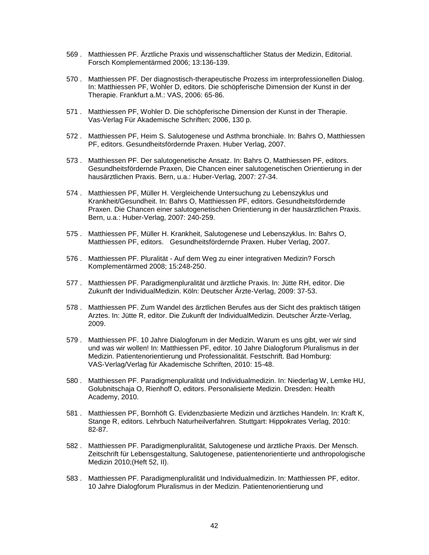- 569 . Matthiessen PF. Ärztliche Praxis und wissenschaftlicher Status der Medizin, Editorial. Forsch Komplementärmed 2006; 13:136-139.
- 570 . Matthiessen PF. Der diagnostisch-therapeutische Prozess im interprofessionellen Dialog. In: Matthiessen PF, Wohler D, editors. Die schöpferische Dimension der Kunst in der Therapie. Frankfurt a.M.: VAS, 2006: 65-86.
- 571 . Matthiessen PF, Wohler D. Die schöpferische Dimension der Kunst in der Therapie. Vas-Verlag Für Akademische Schriften; 2006, 130 p.
- 572 . Matthiessen PF, Heim S. Salutogenese und Asthma bronchiale. In: Bahrs O, Matthiessen PF, editors. Gesundheitsfördernde Praxen. Huber Verlag, 2007.
- 573 . Matthiessen PF. Der salutogenetische Ansatz. In: Bahrs O, Matthiessen PF, editors. Gesundheitsfördernde Praxen, Die Chancen einer salutogenetischen Orientierung in der hausärztlichen Praxis. Bern, u.a.: Huber-Verlag, 2007: 27-34.
- 574 . Matthiessen PF, Müller H. Vergleichende Untersuchung zu Lebenszyklus und Krankheit/Gesundheit. In: Bahrs O, Matthiessen PF, editors. Gesundheitsfördernde Praxen. Die Chancen einer salutogenetischen Orientierung in der hausärztlichen Praxis. Bern, u.a.: Huber-Verlag, 2007: 240-259.
- 575 . Matthiessen PF, Müller H. Krankheit, Salutogenese und Lebenszyklus. In: Bahrs O, Matthiessen PF, editors. Gesundheitsfördernde Praxen. Huber Verlag, 2007.
- 576 . Matthiessen PF. Pluralität Auf dem Weg zu einer integrativen Medizin? Forsch Komplementärmed 2008; 15:248-250.
- 577 . Matthiessen PF. Paradigmenpluralität und ärztliche Praxis. In: Jütte RH, editor. Die Zukunft der IndividualMedizin. Köln: Deutscher Ärzte-Verlag, 2009: 37-53.
- 578 . Matthiessen PF. Zum Wandel des ärztlichen Berufes aus der Sicht des praktisch tätigen Arztes. In: Jütte R, editor. Die Zukunft der IndividualMedizin. Deutscher Ärzte-Verlag, 2009.
- 579 . Matthiessen PF. 10 Jahre Dialogforum in der Medizin. Warum es uns gibt, wer wir sind und was wir wollen! In: Matthiessen PF, editor. 10 Jahre Dialogforum Pluralismus in der Medizin. Patientenorientierung und Professionalität. Festschrift. Bad Homburg: VAS-Verlag/Verlag für Akademische Schriften, 2010: 15-48.
- 580 . Matthiessen PF. Paradigmenpluralität und Individualmedizin. In: Niederlag W, Lemke HU, Golubnitschaja O, Rienhoff O, editors. Personalisierte Medizin. Dresden: Health Academy, 2010.
- 581 . Matthiessen PF, Bornhöft G. Evidenzbasierte Medizin und ärztliches Handeln. In: Kraft K, Stange R, editors. Lehrbuch Naturheilverfahren. Stuttgart: Hippokrates Verlag, 2010: 82-87.
- 582 . Matthiessen PF. Paradigmenpluralität, Salutogenese und ärztliche Praxis. Der Mensch. Zeitschrift für Lebensgestaltung, Salutogenese, patientenorientierte und anthropologische Medizin 2010;(Heft 52, II).
- 583 . Matthiessen PF. Paradigmenpluralität und Individualmedizin. In: Matthiessen PF, editor. 10 Jahre Dialogforum Pluralismus in der Medizin. Patientenorientierung und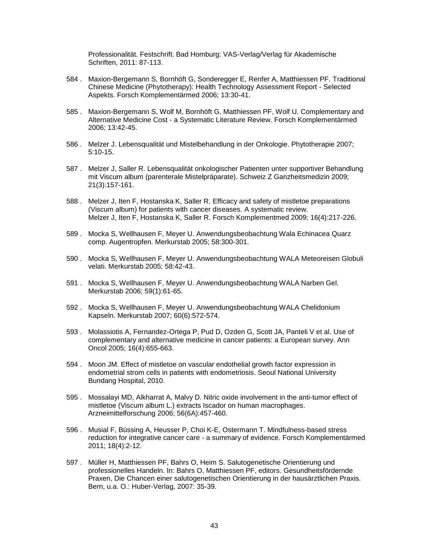Professionalität. Festschrift. Bad Homburg: VAS-Verlag/Verlag für Akademische Schriften, 2011: 87-113.

- 584 . Maxion-Bergemann S, Bornhöft G, Sonderegger E, Renfer A, Matthiessen PF. Traditional Chinese Medicine (Phytotherapy): Health Technology Assessment Report - Selected Aspekts. Forsch Komplementärmed 2006; 13:30-41.
- 585 . Maxion-Bergemann S, Wolf M, Bornhöft G, Matthiessen PF, Wolf U. Complementary and Alternative Medicine Cost - a Systematic Literature Review. Forsch Komplementärmed 2006; 13:42-45.
- 586 . Melzer J. Lebensqualität und Mistelbehandlung in der Onkologie. Phytotherapie 2007; 5:10-15.
- 587 . Melzer J, Saller R. Lebensqualität onkologischer Patienten unter supportiver Behandlung mit Viscum album (parenterale Mistelpräparate). Schweiz Z Ganzheitsmedizin 2009; 21(3):157-161.
- 588 . Melzer J, Iten F, Hostanska K, Saller R. Efficacy and safety of mistletoe preparations (Viscum album) for patients with cancer diseases. A systematic review. Melzer J, Iten F, Hostanska K, Saller R. Forsch Komplementmed 2009; 16(4):217-226.
- 589 . Mocka S, Wellhausen F, Meyer U. Anwendungsbeobachtung Wala Echinacea Quarz comp. Augentropfen. Merkurstab 2005; 58:300-301.
- 590 . Mocka S, Wellhausen F, Meyer U. Anwendungsbeobachtung WALA Meteoreisen Globuli velati. Merkurstab 2005; 58:42-43.
- 591 . Mocka S, Wellhausen F, Meyer U. Anwendungsbeobachtung WALA Narben Gel. Merkurstab 2006; 59(1):61-65.
- 592 . Mocka S, Wellhausen F, Meyer U. Anwendungsbeobachtung WALA Chelidonium Kapseln. Merkurstab 2007; 60(6):572-574.
- 593 . Molassiotis A, Fernandez-Ortega P, Pud D, Ozden G, Scott JA, Panteli V et al. Use of complementary and alternative medicine in cancer patients: a European survey. Ann Oncol 2005; 16(4):655-663.
- 594 . Moon JM. Effect of mistletoe on vascular endothelial growth factor expression in endometrial strom cells in patients with endometriosis. Seoul National University Bundang Hospital, 2010.
- 595 . Mossalayi MD, Alkharrat A, Malvy D. Nitric oxide involvement in the anti-tumor effect of mistletoe (Viscum album L.) extracts Iscador on human macrophages. Arzneimittelforschung 2006; 56(6A):457-460.
- 596 . Musial F, Büssing A, Heusser P, Choi K-E, Ostermann T. Mindfulness-based stress reduction for integrative cancer care - a summary of evidence. Forsch Komplementärmed 2011; 18(4):2-12.
- 597 . Müller H, Matthiessen PF, Bahrs O, Heim S. Salutogenetische Orientierung und professionelles Handeln. In: Bahrs O, Matthiessen PF, editors. Gesundheitsfördernde Praxen, Die Chancen einer salutogenetischen Orientierung in der hausärztlichen Praxis. Bern, u.a. O.: Huber-Verlag, 2007: 35-39.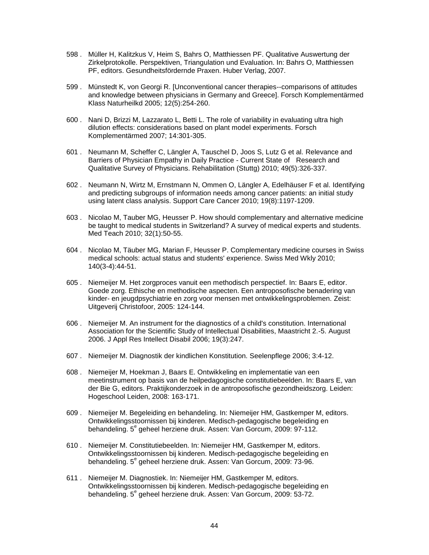- 598 . Müller H, Kalitzkus V, Heim S, Bahrs O, Matthiessen PF. Qualitative Auswertung der Zirkelprotokolle. Perspektiven, Triangulation und Evaluation. In: Bahrs O, Matthiessen PF, editors. Gesundheitsfördernde Praxen. Huber Verlag, 2007.
- 599 . Münstedt K, von Georgi R. [Unconventional cancer therapies--comparisons of attitudes and knowledge between physicians in Germany and Greece]. Forsch Komplementärmed Klass Naturheilkd 2005; 12(5):254-260.
- 600 . Nani D, Brizzi M, Lazzarato L, Betti L. The role of variability in evaluating ultra high dilution effects: considerations based on plant model experiments. Forsch Komplementärmed 2007; 14:301-305.
- 601 . Neumann M, Scheffer C, Längler A, Tauschel D, Joos S, Lutz G et al. Relevance and Barriers of Physician Empathy in Daily Practice - Current State of Research and Qualitative Survey of Physicians. Rehabilitation (Stuttg) 2010; 49(5):326-337.
- 602 . Neumann N, Wirtz M, Ernstmann N, Ommen O, Längler A, Edelhäuser F et al. Identifying and predicting subgroups of information needs among cancer patients: an initial study using latent class analysis. Support Care Cancer 2010; 19(8):1197-1209.
- 603 . Nicolao M, Tauber MG, Heusser P. How should complementary and alternative medicine be taught to medical students in Switzerland? A survey of medical experts and students. Med Teach 2010; 32(1):50-55.
- 604 . Nicolao M, Täuber MG, Marian F, Heusser P. Complementary medicine courses in Swiss medical schools: actual status and students' experience. Swiss Med Wkly 2010; 140(3-4):44-51.
- 605 . Niemeijer M. Het zorgproces vanuit een methodisch perspectief. In: Baars E, editor. Goede zorg. Ethische en methodische aspecten. Een antroposofische benadering van kinder- en jeugdpsychiatrie en zorg voor mensen met ontwikkelingsproblemen. Zeist: Uitgeverij Christofoor, 2005: 124-144.
- 606 . Niemeijer M. An instrument for the diagnostics of a child's constitution. International Association for the Scientific Study of Intellectual Disabilities, Maastricht 2.-5. August 2006. J Appl Res Intellect Disabil 2006; 19(3):247.
- 607 . Niemeijer M. Diagnostik der kindlichen Konstitution. Seelenpflege 2006; 3:4-12.
- 608 . Niemeijer M, Hoekman J, Baars E. Ontwikkeling en implementatie van een meetinstrument op basis van de heilpedagogische constitutiebeelden. In: Baars E, van der Bie G, editors. Praktijkonderzoek in de antroposofische gezondheidszorg. Leiden: Hogeschool Leiden, 2008: 163-171.
- 609 . Niemeijer M. Begeleiding en behandeling. In: Niemeijer HM, Gastkemper M, editors. Ontwikkelingsstoornissen bij kinderen. Medisch-pedagogische begeleiding en behandeling. 5<sup>e</sup> geheel herziene druk. Assen: Van Gorcum, 2009: 97-112.
- 610 . Niemeijer M. Constitutiebeelden. In: Niemeijer HM, Gastkemper M, editors. Ontwikkelingsstoornissen bij kinderen. Medisch-pedagogische begeleiding en behandeling. 5<sup>e</sup> geheel herziene druk. Assen: Van Gorcum, 2009: 73-96.
- 611 . Niemeijer M. Diagnostiek. In: Niemeijer HM, Gastkemper M, editors. Ontwikkelingsstoornissen bij kinderen. Medisch-pedagogische begeleiding en behandeling. 5<sup>e</sup> geheel herziene druk. Assen: Van Gorcum, 2009: 53-72.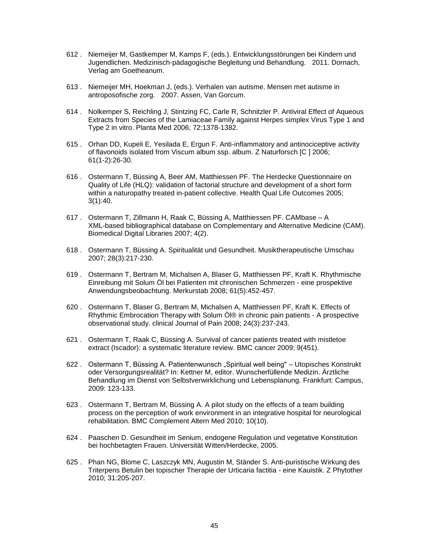- 612 . Niemeijer M, Gastkemper M, Kamps F, (eds.). Entwicklungsstörungen bei Kindern und Jugendlichen. Medizinisch-pädagogische Begleitung und Behandlung. 2011. Dornach, Verlag am Goetheanum.
- 613 . Niemeijer MH, Hoekman J, (eds.). Verhalen van autisme. Mensen met autisme in antroposofische zorg. 2007. Assen, Van Gorcum.
- 614 . Nolkemper S, Reichling J, Stintzing FC, Carle R, Schnitzler P. Antiviral Effect of Aqueous Extracts from Species of the Lamiaceae Family against Herpes simplex Virus Type 1 and Type 2 in vitro. Planta Med 2006; 72:1378-1382.
- 615 . Orhan DD, Kupeli E, Yesilada E, Ergun F. Anti-inflammatory and antinociceptive activity of flavonoids isolated from Viscum album ssp. album. Z Naturforsch [C ] 2006; 61(1-2):26-30.
- 616 . Ostermann T, Büssing A, Beer AM, Matthiessen PF. The Herdecke Questionnaire on Quality of Life (HLQ): validation of factorial structure and development of a short form within a naturopathy treated in-patient collective. Health Qual Life Outcomes 2005; 3(1):40.
- 617 . Ostermann T, Zillmann H, Raak C, Büssing A, Matthiessen PF. CAMbase A XML-based bibliographical database on Complementary and Alternative Medicine (CAM). Biomedical Digital Libraries 2007; 4(2).
- 618 . Ostermann T, Büssing A. Spiritualität und Gesundheit. Musiktherapeutische Umschau 2007; 28(3):217-230.
- 619 . Ostermann T, Bertram M, Michalsen A, Blaser G, Matthiessen PF, Kraft K. Rhythmische Einreibung mit Solum Öl bei Patienten mit chronischen Schmerzen - eine prospektive Anwendungsbeobachtung. Merkurstab 2008; 61(5):452-457.
- 620 . Ostermann T, Blaser G, Bertram M, Michalsen A, Matthiessen PF, Kraft K. Effects of Rhythmic Embrocation Therapy with Solum Öl® in chronic pain patients - A prospective observational study. clinical Journal of Pain 2008; 24(3):237-243.
- 621 . Ostermann T, Raak C, Büssing A. Survival of cancer patients treated with mistletoe extract (Iscador): a systematic literature review. BMC cancer 2009; 9(451).
- 622 . Ostermann T, Büssing A. Patientenwunsch "Spiritual well being" Utopisches Konstrukt oder Versorgungsrealität? In: Kettner M, editor. Wunscherfüllende Medizin. Ärztliche Behandlung im Dienst von Selbstverwirklichung und Lebensplanung. Frankfurt: Campus, 2009: 123-133.
- 623 . Ostermann T, Bertram M, Büssing A. A pilot study on the effects of a team building process on the perception of work environment in an integrative hospital for neurological rehabilitation. BMC Complement Altern Med 2010; 10(10).
- 624 . Paaschen D. Gesundheit im Senium, endogene Regulation und vegetative Konstitution bei hochbetagten Frauen. Universität Witten/Herdecke, 2005.
- 625 . Phan NG, Blome C, Laszczyk MN, Augustin M, Ständer S. Anti-puristische Wirkung des Triterpens Betulin bei topischer Therapie der Urticaria factitia - eine Kauistik. Z Phytother 2010; 31:205-207.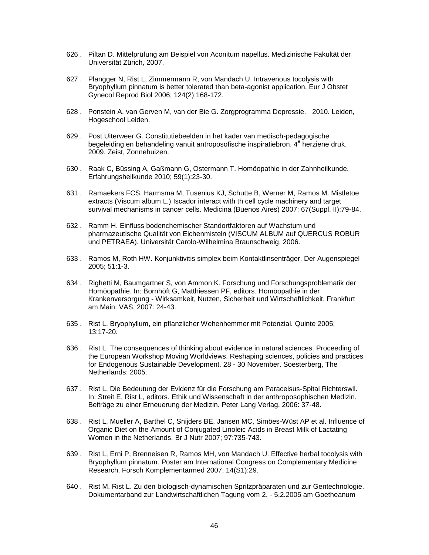- 626 . Piltan D. Mittelprüfung am Beispiel von Aconitum napellus. Medizinische Fakultät der Universität Zürich, 2007.
- 627 . Plangger N, Rist L, Zimmermann R, von Mandach U. Intravenous tocolysis with Bryophyllum pinnatum is better tolerated than beta-agonist application. Eur J Obstet Gynecol Reprod Biol 2006; 124(2):168-172.
- 628 . Ponstein A, van Gerven M, van der Bie G. Zorgprogramma Depressie. 2010. Leiden, Hogeschool Leiden.
- 629 . Post Uiterweer G. Constitutiebeelden in het kader van medisch-pedagogische begeleiding en behandeling vanuit antroposofische inspiratiebron. 4<sup>e</sup> herziene druk. 2009. Zeist, Zonnehuizen.
- 630 . Raak C, Büssing A, Gaßmann G, Ostermann T. Homöopathie in der Zahnheilkunde. Erfahrungsheilkunde 2010; 59(1):23-30.
- 631 . Ramaekers FCS, Harmsma M, Tusenius KJ, Schutte B, Werner M, Ramos M. Mistletoe extracts (Viscum album L.) Iscador interact with th cell cycle machinery and target survival mechanisms in cancer cells. Medicina (Buenos Aires) 2007; 67(Suppl. II):79-84.
- 632 . Ramm H. Einfluss bodenchemischer Standortfaktoren auf Wachstum und pharmazeutische Qualität von Eichenmisteln (VISCUM ALBUM auf QUERCUS ROBUR und PETRAEA). Universität Carolo-Wilhelmina Braunschweig, 2006.
- 633 . Ramos M, Roth HW. Konjunktivitis simplex beim Kontaktlinsenträger. Der Augenspiegel 2005; 51:1-3.
- 634 . Righetti M, Baumgartner S, von Ammon K. Forschung und Forschungsproblematik der Homöopathie. In: Bornhöft G, Matthiessen PF, editors. Homöopathie in der Krankenversorgung - Wirksamkeit, Nutzen, Sicherheit und Wirtschaftlichkeit. Frankfurt am Main: VAS, 2007: 24-43.
- 635 . Rist L. Bryophyllum, ein pflanzlicher Wehenhemmer mit Potenzial. Quinte 2005; 13:17-20.
- 636 . Rist L. The consequences of thinking about evidence in natural sciences. Proceeding of the European Workshop Moving Worldviews. Reshaping sciences, policies and practices for Endogenous Sustainable Development. 28 - 30 November. Soesterberg, The Netherlands: 2005.
- 637 . Rist L. Die Bedeutung der Evidenz für die Forschung am Paracelsus-Spital Richterswil. In: Streit E, Rist L, editors. Ethik und Wissenschaft in der anthroposophischen Medizin. Beiträge zu einer Erneuerung der Medizin. Peter Lang Verlag, 2006: 37-48.
- 638 . Rist L, Mueller A, Barthel C, Snijders BE, Jansen MC, Simöes-Wüst AP et al. Influence of Organic Diet on the Amount of Conjugated Linoleic Acids in Breast Milk of Lactating Women in the Netherlands. Br J Nutr 2007; 97:735-743.
- 639 . Rist L, Erni P, Brenneisen R, Ramos MH, von Mandach U. Effective herbal tocolysis with Bryophyllum pinnatum. Poster am International Congress on Complementary Medicine Research. Forsch Komplementärmed 2007; 14(S1):29.
- 640 . Rist M, Rist L. Zu den biologisch-dynamischen Spritzpräparaten und zur Gentechnologie. Dokumentarband zur Landwirtschaftlichen Tagung vom 2. - 5.2.2005 am Goetheanum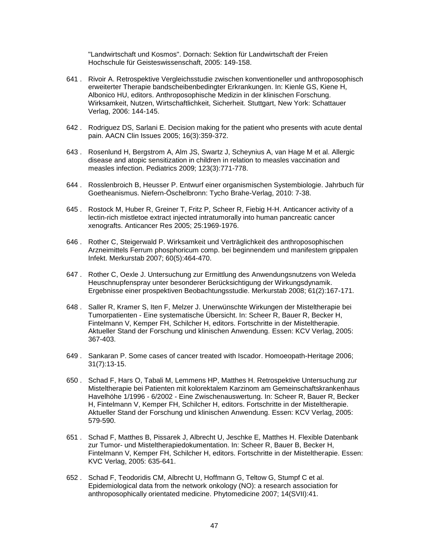"Landwirtschaft und Kosmos". Dornach: Sektion für Landwirtschaft der Freien Hochschule für Geisteswissenschaft, 2005: 149-158.

- 641 . Rivoir A. Retrospektive Vergleichsstudie zwischen konventioneller und anthroposophisch erweiterter Therapie bandscheibenbedingter Erkrankungen. In: Kienle GS, Kiene H, Albonico HU, editors. Anthroposophische Medizin in der klinischen Forschung. Wirksamkeit, Nutzen, Wirtschaftlichkeit, Sicherheit. Stuttgart, New York: Schattauer Verlag, 2006: 144-145.
- 642 . Rodriguez DS, Sarlani E. Decision making for the patient who presents with acute dental pain. AACN Clin Issues 2005; 16(3):359-372.
- 643 . Rosenlund H, Bergstrom A, Alm JS, Swartz J, Scheynius A, van Hage M et al. Allergic disease and atopic sensitization in children in relation to measles vaccination and measles infection. Pediatrics 2009; 123(3):771-778.
- 644 . Rosslenbroich B, Heusser P. Entwurf einer organismischen Systembiologie. Jahrbuch für Goetheanismus. Niefern-Öschelbronn: Tycho Brahe-Verlag, 2010: 7-38.
- 645 . Rostock M, Huber R, Greiner T, Fritz P, Scheer R, Fiebig H-H. Anticancer activity of a lectin-rich mistletoe extract injected intratumorally into human pancreatic cancer xenografts. Anticancer Res 2005; 25:1969-1976.
- 646 . Rother C, Steigerwald P. Wirksamkeit und Verträglichkeit des anthroposophischen Arzneimittels Ferrum phosphoricum comp. bei beginnendem und manifestem grippalen Infekt. Merkurstab 2007; 60(5):464-470.
- 647 . Rother C, Oexle J. Untersuchung zur Ermittlung des Anwendungsnutzens von Weleda Heuschnupfenspray unter besonderer Berücksichtigung der Wirkungsdynamik. Ergebnisse einer prospektiven Beobachtungsstudie. Merkurstab 2008; 61(2):167-171.
- 648 . Saller R, Kramer S, Iten F, Melzer J. Unerwünschte Wirkungen der Misteltherapie bei Tumorpatienten - Eine systematische Übersicht. In: Scheer R, Bauer R, Becker H, Fintelmann V, Kemper FH, Schilcher H, editors. Fortschritte in der Misteltherapie. Aktueller Stand der Forschung und klinischen Anwendung. Essen: KCV Verlag, 2005: 367-403.
- 649 . Sankaran P. Some cases of cancer treated with Iscador. Homoeopath-Heritage 2006; 31(7):13-15.
- 650 . Schad F, Hars O, Tabali M, Lemmens HP, Matthes H. Retrospektive Untersuchung zur Misteltherapie bei Patienten mit kolorektalem Karzinom am Gemeinschaftskrankenhaus Havelhöhe 1/1996 - 6/2002 - Eine Zwischenauswertung. In: Scheer R, Bauer R, Becker H, Fintelmann V, Kemper FH, Schilcher H, editors. Fortschritte in der Misteltherapie. Aktueller Stand der Forschung und klinischen Anwendung. Essen: KCV Verlag, 2005: 579-590.
- 651 . Schad F, Matthes B, Pissarek J, Albrecht U, Jeschke E, Matthes H. Flexible Datenbank zur Tumor- und Misteltherapiedokumentation. In: Scheer R, Bauer B, Becker H, Fintelmann V, Kemper FH, Schilcher H, editors. Fortschritte in der Misteltherapie. Essen: KVC Verlag, 2005: 635-641.
- 652 . Schad F, Teodoridis CM, Albrecht U, Hoffmann G, Teltow G, Stumpf C et al. Epidemiological data from the network onkology (NO): a research association for anthroposophically orientated medicine. Phytomedicine 2007; 14(SVII):41.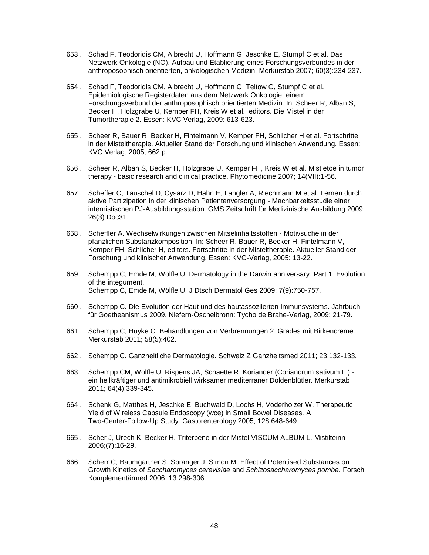- 653 . Schad F, Teodoridis CM, Albrecht U, Hoffmann G, Jeschke E, Stumpf C et al. Das Netzwerk Onkologie (NO). Aufbau und Etablierung eines Forschungsverbundes in der anthroposophisch orientierten, onkologischen Medizin. Merkurstab 2007; 60(3):234-237.
- 654 . Schad F, Teodoridis CM, Albrecht U, Hoffmann G, Teltow G, Stumpf C et al. Epidemiologische Registerdaten aus dem Netzwerk Onkologie, einem Forschungsverbund der anthroposophisch orientierten Medizin. In: Scheer R, Alban S, Becker H, Holzgrabe U, Kemper FH, Kreis W et al., editors. Die Mistel in der Tumortherapie 2. Essen: KVC Verlag, 2009: 613-623.
- 655 . Scheer R, Bauer R, Becker H, Fintelmann V, Kemper FH, Schilcher H et al. Fortschritte in der Misteltherapie. Aktueller Stand der Forschung und klinischen Anwendung. Essen: KVC Verlag; 2005, 662 p.
- 656 . Scheer R, Alban S, Becker H, Holzgrabe U, Kemper FH, Kreis W et al. Mistletoe in tumor therapy - basic research and clinical practice. Phytomedicine 2007; 14(VII):1-56.
- 657 . Scheffer C, Tauschel D, Cysarz D, Hahn E, Längler A, Riechmann M et al. Lernen durch aktive Partizipation in der klinischen Patientenversorgung - Machbarkeitsstudie einer internistischen PJ-Ausbildungsstation. GMS Zeitschrift für Medizinische Ausbildung 2009; 26(3):Doc31.
- 658 . Scheffler A. Wechselwirkungen zwischen Mitselinhaltsstoffen Motivsuche in der pfanzlichen Substanzkomposition. In: Scheer R, Bauer R, Becker H, Fintelmann V, Kemper FH, Schilcher H, editors. Fortschritte in der Misteltherapie. Aktueller Stand der Forschung und klinischer Anwendung. Essen: KVC-Verlag, 2005: 13-22.
- 659 . Schempp C, Emde M, Wölfle U. Dermatology in the Darwin anniversary. Part 1: Evolution of the integument. Schempp C, Emde M, Wölfle U. J Dtsch Dermatol Ges 2009; 7(9):750-757.
- 660 . Schempp C. Die Evolution der Haut und des hautassoziierten Immunsystems. Jahrbuch für Goetheanismus 2009. Niefern-Öschelbronn: Tycho de Brahe-Verlag, 2009: 21-79.
- 661 . Schempp C, Huyke C. Behandlungen von Verbrennungen 2. Grades mit Birkencreme. Merkurstab 2011; 58(5):402.
- 662 . Schempp C. Ganzheitliche Dermatologie. Schweiz Z Ganzheitsmed 2011; 23:132-133.
- 663 . Schempp CM, Wölfle U, Rispens JA, Schaette R. Koriander (Coriandrum sativum L.) ein heilkräftiger und antimikrobiell wirksamer mediterraner Doldenblütler. Merkurstab 2011; 64(4):339-345.
- 664 . Schenk G, Matthes H, Jeschke E, Buchwald D, Lochs H, Voderholzer W. Therapeutic Yield of Wireless Capsule Endoscopy (wce) in Small Bowel Diseases. A Two-Center-Follow-Up Study. Gastorenterology 2005; 128:648-649.
- 665 . Scher J, Urech K, Becker H. Triterpene in der Mistel VISCUM ALBUM L. Mistilteinn 2006;(7):16-29.
- 666 . Scherr C, Baumgartner S, Spranger J, Simon M. Effect of Potentised Substances on Growth Kinetics of *Saccharomyces cerevisiae* and *Schizosaccharomyces pombe.* Forsch Komplementärmed 2006; 13:298-306.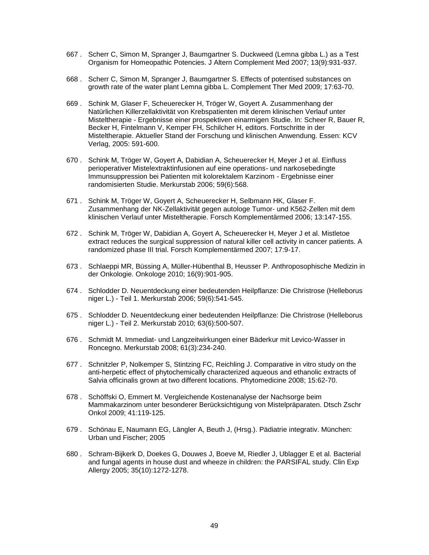- 667 . Scherr C, Simon M, Spranger J, Baumgartner S. Duckweed (Lemna gibba L.) as a Test Organism for Homeopathic Potencies. J Altern Complement Med 2007; 13(9):931-937.
- 668 . Scherr C, Simon M, Spranger J, Baumgartner S. Effects of potentised substances on growth rate of the water plant Lemna gibba L. Complement Ther Med 2009; 17:63-70.
- 669 . Schink M, Glaser F, Scheuerecker H, Tröger W, Goyert A. Zusammenhang der Natürlichen Killerzellaktivität von Krebspatienten mit derem klinischen Verlauf unter Misteltherapie - Ergebnisse einer prospektiven einarmigen Studie. In: Scheer R, Bauer R, Becker H, Fintelmann V, Kemper FH, Schilcher H, editors. Fortschritte in der Misteltherapie. Aktueller Stand der Forschung und klinischen Anwendung. Essen: KCV Verlag, 2005: 591-600.
- 670 . Schink M, Tröger W, Goyert A, Dabidian A, Scheuerecker H, Meyer J et al. Einfluss perioperativer Mistelextraktinfusionen auf eine operations- und narkosebedingte Immunsuppression bei Patienten mit kolorektalem Karzinom - Ergebnisse einer randomisierten Studie. Merkurstab 2006; 59(6):568.
- 671 . Schink M, Tröger W, Goyert A, Scheuerecker H, Selbmann HK, Glaser F. Zusammenhang der NK-Zellaktivität gegen autologe Tumor- und K562-Zellen mit dem klinischen Verlauf unter Misteltherapie. Forsch Komplementärmed 2006; 13:147-155.
- 672 . Schink M, Tröger W, Dabidian A, Goyert A, Scheuerecker H, Meyer J et al. Mistletoe extract reduces the surgical suppression of natural killer cell activity in cancer patients. A randomized phase III trial. Forsch Komplementärmed 2007; 17:9-17.
- 673 . Schlaeppi MR, Büssing A, Müller-Hübenthal B, Heusser P. Anthroposophische Medizin in der Onkologie. Onkologe 2010; 16(9):901-905.
- 674 . Schlodder D. Neuentdeckung einer bedeutenden Heilpflanze: Die Christrose (Helleborus niger L.) - Teil 1. Merkurstab 2006; 59(6):541-545.
- 675 . Schlodder D. Neuentdeckung einer bedeutenden Heilpflanze: Die Christrose (Helleborus niger L.) - Teil 2. Merkurstab 2010; 63(6):500-507.
- 676 . Schmidt M. Immediat- und Langzeitwirkungen einer Bäderkur mit Levico-Wasser in Roncegno. Merkurstab 2008; 61(3):234-240.
- 677 . Schnitzler P, Nolkemper S, Stintzing FC, Reichling J. Comparative in vitro study on the anti-herpetic effect of phytochemically characterized aqueous and ethanolic extracts of Salvia officinalis grown at two different locations. Phytomedicine 2008; 15:62-70.
- 678 . Schöffski O, Emmert M. Vergleichende Kostenanalyse der Nachsorge beim Mammakarzinom unter besonderer Berücksichtigung von Mistelpräparaten. Dtsch Zschr Onkol 2009; 41:119-125.
- 679 . Schönau E, Naumann EG, Längler A, Beuth J, (Hrsg.). Pädiatrie integrativ. München: Urban und Fischer; 2005
- 680 . Schram-Bijkerk D, Doekes G, Douwes J, Boeve M, Riedler J, Ublagger E et al. Bacterial and fungal agents in house dust and wheeze in children: the PARSIFAL study. Clin Exp Allergy 2005; 35(10):1272-1278.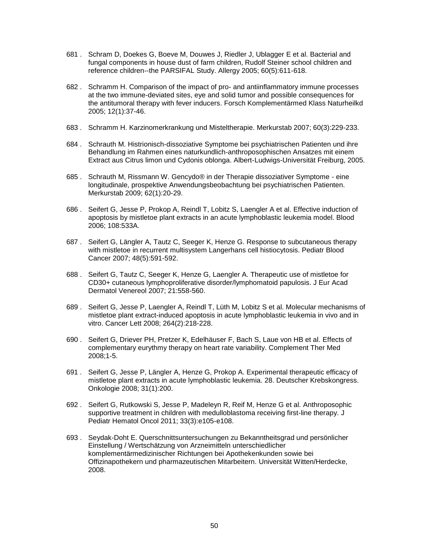- 681 . Schram D, Doekes G, Boeve M, Douwes J, Riedler J, Ublagger E et al. Bacterial and fungal components in house dust of farm children, Rudolf Steiner school children and reference children--the PARSIFAL Study. Allergy 2005; 60(5):611-618.
- 682 . Schramm H. Comparison of the impact of pro- and antiinflammatory immune processes at the two immune-deviated sites, eye and solid tumor and possible consequences for the antitumoral therapy with fever inducers. Forsch Komplementärmed Klass Naturheilkd 2005; 12(1):37-46.
- 683 . Schramm H. Karzinomerkrankung und Misteltherapie. Merkurstab 2007; 60(3):229-233.
- 684 . Schrauth M. Histrionisch-dissoziative Symptome bei psychiatrischen Patienten und ihre Behandlung im Rahmen eines naturkundlich-anthroposophischen Ansatzes mit einem Extract aus Citrus limon und Cydonis oblonga. Albert-Ludwigs-Universität Freiburg, 2005.
- 685 . Schrauth M, Rissmann W. Gencydo® in der Therapie dissoziativer Symptome eine longitudinale, prospektive Anwendungsbeobachtung bei psychiatrischen Patienten. Merkurstab 2009; 62(1):20-29.
- 686 . Seifert G, Jesse P, Prokop A, Reindl T, Lobitz S, Laengler A et al. Effective induction of apoptosis by mistletoe plant extracts in an acute lymphoblastic leukemia model. Blood 2006; 108:533A.
- 687 . Seifert G, Längler A, Tautz C, Seeger K, Henze G. Response to subcutaneous therapy with mistletoe in recurrent multisystem Langerhans cell histiocytosis. Pediatr Blood Cancer 2007; 48(5):591-592.
- 688 . Seifert G, Tautz C, Seeger K, Henze G, Laengler A. Therapeutic use of mistletoe for CD30+ cutaneous lymphoproliferative disorder/lymphomatoid papulosis. J Eur Acad Dermatol Venereol 2007; 21:558-560.
- 689 . Seifert G, Jesse P, Laengler A, Reindl T, Lüth M, Lobitz S et al. Molecular mechanisms of mistletoe plant extract-induced apoptosis in acute lymphoblastic leukemia in vivo and in vitro. Cancer Lett 2008; 264(2):218-228.
- 690 . Seifert G, Driever PH, Pretzer K, Edelhäuser F, Bach S, Laue von HB et al. Effects of complementary eurythmy therapy on heart rate variability. Complement Ther Med 2008;1-5.
- 691 . Seifert G, Jesse P, Längler A, Henze G, Prokop A. Experimental therapeutic efficacy of mistletoe plant extracts in acute lymphoblastic leukemia. 28. Deutscher Krebskongress. Onkologie 2008; 31(1):200.
- 692 . Seifert G, Rutkowski S, Jesse P, Madeleyn R, Reif M, Henze G et al. Anthroposophic supportive treatment in children with medulloblastoma receiving first-line therapy. J Pediatr Hematol Oncol 2011; 33(3):e105-e108.
- 693 . Seydak-Doht E. Querschnittsuntersuchungen zu Bekanntheitsgrad und persönlicher Einstellung / Wertschätzung von Arzneimitteln unterschiedlicher komplementärmedizinischer Richtungen bei Apothekenkunden sowie bei Offizinapothekern und pharmazeutischen Mitarbeitern. Universität Witten/Herdecke, 2008.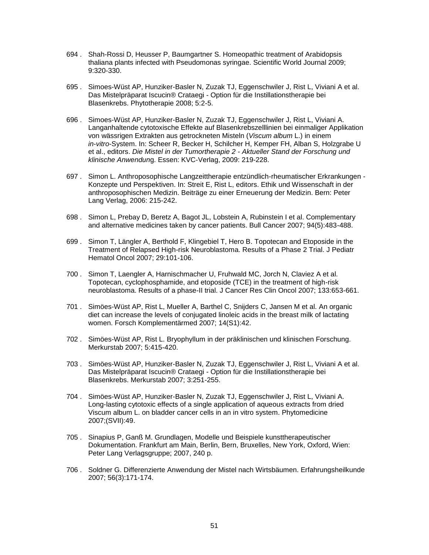- 694 . Shah-Rossi D, Heusser P, Baumgartner S. Homeopathic treatment of Arabidopsis thaliana plants infected with Pseudomonas syringae. Scientific World Journal 2009; 9:320-330.
- 695 . Simoes-Wüst AP, Hunziker-Basler N, Zuzak TJ, Eggenschwiler J, Rist L, Viviani A et al. Das Mistelpräparat Iscucin® Crataegi - Option für die Instillationstherapie bei Blasenkrebs. Phytotherapie 2008; 5:2-5.
- 696 . Simoes-Wüst AP, Hunziker-Basler N, Zuzak TJ, Eggenschwiler J, Rist L, Viviani A. Langanhaltende cytotoxische Effekte auf Blasenkrebszelllinien bei einmaliger Applikation von wässrigen Extrakten aus getrockneten Misteln (*Viscum album* L.) in einem *in-vitro*-System. In: Scheer R, Becker H, Schilcher H, Kemper FH, Alban S, Holzgrabe U et al., editors. *Die Mistel in der Tumortherapie 2 - Aktueller Stand der Forschung und klinische Anwendun*g. Essen: KVC-Verlag, 2009: 219-228.
- 697 . Simon L. Anthroposophische Langzeittherapie entzündlich-rheumatischer Erkrankungen Konzepte und Perspektiven. In: Streit E, Rist L, editors. Ethik und Wissenschaft in der anthroposophischen Medizin. Beiträge zu einer Erneuerung der Medizin. Bern: Peter Lang Verlag, 2006: 215-242.
- 698 . Simon L, Prebay D, Beretz A, Bagot JL, Lobstein A, Rubinstein I et al. Complementary and alternative medicines taken by cancer patients. Bull Cancer 2007; 94(5):483-488.
- 699 . Simon T, Längler A, Berthold F, Klingebiel T, Hero B. Topotecan and Etoposide in the Treatment of Relapsed High-risk Neuroblastoma. Results of a Phase 2 Trial. J Pediatr Hematol Oncol 2007; 29:101-106.
- 700 . Simon T, Laengler A, Harnischmacher U, Fruhwald MC, Jorch N, Claviez A et al. Topotecan, cyclophosphamide, and etoposide (TCE) in the treatment of high-risk neuroblastoma. Results of a phase-II trial. J Cancer Res Clin Oncol 2007; 133:653-661.
- 701 . Simöes-Wüst AP, Rist L, Mueller A, Barthel C, Snijders C, Jansen M et al. An organic diet can increase the levels of conjugated linoleic acids in the breast milk of lactating women. Forsch Komplementärmed 2007; 14(S1):42.
- 702 . Simöes-Wüst AP, Rist L. Bryophyllum in der präklinischen und klinischen Forschung. Merkurstab 2007; 5:415-420.
- 703 . Simöes-Wüst AP, Hunziker-Basler N, Zuzak TJ, Eggenschwiler J, Rist L, Viviani A et al. Das Mistelpräparat Iscucin® Crataegi - Option für die Instillationstherapie bei Blasenkrebs. Merkurstab 2007; 3:251-255.
- 704 . Simöes-Wüst AP, Hunziker-Basler N, Zuzak TJ, Eggenschwiler J, Rist L, Viviani A. Long-lasting cytotoxic effects of a single application of aqueous extracts from dried Viscum album L. on bladder cancer cells in an in vitro system. Phytomedicine 2007;(SVII):49.
- 705 . Sinapius P, Ganß M. Grundlagen, Modelle und Beispiele kunsttherapeutischer Dokumentation. Frankfurt am Main, Berlin, Bern, Bruxelles, New York, Oxford, Wien: Peter Lang Verlagsgruppe; 2007, 240 p.
- 706 . Soldner G. Differenzierte Anwendung der Mistel nach Wirtsbäumen. Erfahrungsheilkunde 2007; 56(3):171-174.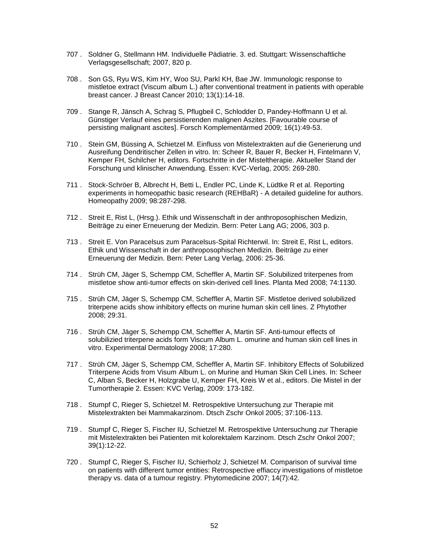- 707 . Soldner G, Stellmann HM. Individuelle Pädiatrie. 3. ed. Stuttgart: Wissenschaftliche Verlagsgesellschaft; 2007, 820 p.
- 708 . Son GS, Ryu WS, Kim HY, Woo SU, Parkl KH, Bae JW. Immunologic response to mistletoe extract (Viscum album L.) after conventional treatment in patients with operable breast cancer. J Breast Cancer 2010; 13(1):14-18.
- 709 . Stange R, Jänsch A, Schrag S, Pflugbeil C, Schlodder D, Pandey-Hoffmann U et al. Günstiger Verlauf eines persistierenden malignen Aszites. [Favourable course of persisting malignant ascites]. Forsch Komplementärmed 2009; 16(1):49-53.
- 710 . Stein GM, Büssing A, Schietzel M. Einfluss von Mistelextrakten auf die Generierung und Ausreifung Dendritischer Zellen in vitro. In: Scheer R, Bauer R, Becker H, Fintelmann V, Kemper FH, Schilcher H, editors. Fortschritte in der Misteltherapie. Aktueller Stand der Forschung und klinischer Anwendung. Essen: KVC-Verlag, 2005: 269-280.
- 711 . Stock-Schröer B, Albrecht H, Betti L, Endler PC, Linde K, Lüdtke R et al. Reporting experiments in homeopathic basic research (REHBaR) - A detailed guideline for authors. Homeopathy 2009; 98:287-298.
- 712 . Streit E, Rist L, (Hrsg.). Ethik und Wissenschaft in der anthroposophischen Medizin, Beiträge zu einer Erneuerung der Medizin. Bern: Peter Lang AG; 2006, 303 p.
- 713 . Streit E. Von Paracelsus zum Paracelsus-Spital Richterwil. In: Streit E, Rist L, editors. Ethik und Wissenschaft in der anthroposophischen Medizin. Beiträge zu einer Erneuerung der Medizin. Bern: Peter Lang Verlag, 2006: 25-36.
- 714 . Strüh CM, Jäger S, Schempp CM, Scheffler A, Martin SF. Solubilized triterpenes from mistletoe show anti-tumor effects on skin-derived cell lines. Planta Med 2008; 74:1130.
- 715 . Strüh CM, Jäger S, Schempp CM, Scheffler A, Martin SF. Mistletoe derived solubilized triterpene acids show inhibitory effects on murine human skin cell lines. Z Phytother 2008; 29:31.
- 716 . Strüh CM, Jäger S, Schempp CM, Scheffler A, Martin SF. Anti-tumour effects of solubilizied triterpene acids form Viscum Album L. omurine and human skin cell lines in vitro. Experimental Dermatology 2008; 17:280.
- 717 . Strüh CM, Jäger S, Schempp CM, Scheffler A, Martin SF. Inhibitory Effects of Solubilized Triterpene Acids from Visum Album L. on Murine and Human Skin Cell Lines. In: Scheer C, Alban S, Becker H, Holzgrabe U, Kemper FH, Kreis W et al., editors. Die Mistel in der Tumortherapie 2. Essen: KVC Verlag, 2009: 173-182.
- 718 . Stumpf C, Rieger S, Schietzel M. Retrospektive Untersuchung zur Therapie mit Mistelextrakten bei Mammakarzinom. Dtsch Zschr Onkol 2005; 37:106-113.
- 719 . Stumpf C, Rieger S, Fischer IU, Schietzel M. Retrospektive Untersuchung zur Therapie mit Mistelextrakten bei Patienten mit kolorektalem Karzinom. Dtsch Zschr Onkol 2007; 39(1):12-22.
- 720 . Stumpf C, Rieger S, Fischer IU, Schierholz J, Schietzel M. Comparison of survival time on patients with different tumor entities: Retrospective effiaccy investigations of mistletoe therapy vs. data of a tumour registry. Phytomedicine 2007; 14(7):42.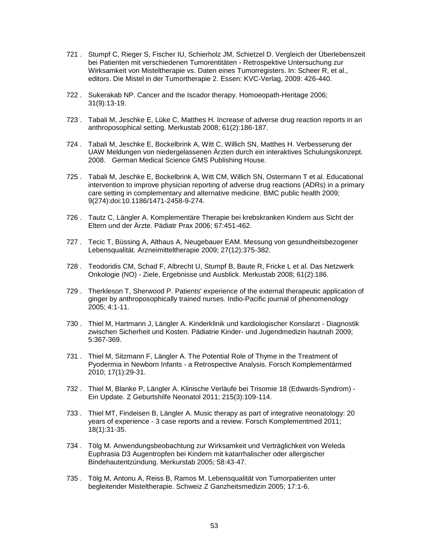- 721 . Stumpf C, Rieger S, Fischer IU, Schierholz JM, Schietzel D. Vergleich der Überlebenszeit bei Patienten mit verschiedenen Tumorentitäten - Retrospektive Untersuchung zur Wirksamkeit von Misteltherapie vs. Daten eines Tumorregisters. In: Scheer R, et al., editors. Die Mistel in der Tumortherapie 2. Essen: KVC-Verlag, 2009: 426-440.
- 722 . Sukerakab NP. Cancer and the Iscador therapy. Homoeopath-Heritage 2006; 31(9):13-19.
- 723 . Tabali M, Jeschke E, Lüke C, Matthes H. Increase of adverse drug reaction reports in an anthroposophical setting. Merkustab 2008; 61(2):186-187.
- 724 . Tabali M, Jeschke E, Bockelbrink A, Witt C, Willich SN, Matthes H. Verbesserung der UAW Meldungen von niedergelassenen Ärzten durch ein interaktives Schulungskonzept. 2008. German Medical Science GMS Publishing House.
- 725 . Tabali M, Jeschke E, Bockelbrink A, Witt CM, Willich SN, Ostermann T et al. Educational intervention to improve physician reporting of adverse drug reactions (ADRs) in a primary care setting in complementary and alternative medicine. BMC public health 2009; 9(274):doi:10.1186/1471-2458-9-274.
- 726 . Tautz C, Längler A. Komplementäre Therapie bei krebskranken Kindern aus Sicht der Eltern und der Ärzte. Pädiatr Prax 2006; 67:451-462.
- 727 . Tecic T, Büssing A, Althaus A, Neugebauer EAM. Messung von gesundheitsbezogener Lebensqualität. Arzneimitteltherapie 2009; 27(12):375-382.
- 728 . Teodoridis CM, Schad F, Albrecht U, Stumpf B, Baute R, Fricke L et al. Das Netzwerk Onkologie (NO) - Ziele, Ergebnisse und Ausblick. Merkustab 2008; 61(2):186.
- 729 . Therkleson T, Sherwood P. Patients' experience of the external therapeutic application of ginger by anthroposophically trained nurses. Indio-Pacific journal of phenomenology 2005; 4:1-11.
- 730 . Thiel M, Hartmann J, Längler A. Kinderklinik und kardiologischer Konsilarzt Diagnostik zwischen Sicherheit und Kosten. Pädiatrie Kinder- und Jugendmedizin hautnah 2009; 5:367-369.
- 731 . Thiel M, Sitzmann F, Längler A. The Potential Role of Thyme in the Treatment of Pyodermia in Newborn Infants - a Retrospective Analysis. Forsch Komplementärmed 2010; 17(1):29-31.
- 732 . Thiel M, Blanke P, Längler A. Klinische Verläufe bei Trisomie 18 (Edwards-Syndrom) Ein Update. Z Geburtshilfe Neonatol 2011; 215(3):109-114.
- 733 . Thiel MT, Findeisen B, Längler A. Music therapy as part of integrative neonatology: 20 years of experience - 3 case reports and a review. Forsch Komplementmed 2011; 18(1):31-35.
- 734 . Tölg M. Anwendungsbeobachtung zur Wirksamkeit und Verträglichkeit von Weleda Euphrasia D3 Augentropfen bei Kindern mit katarrhalischer oder allergischer Bindehautentzündung. Merkurstab 2005; 58:43-47.
- 735 . Tölg M, Antonu A, Reiss B, Ramos M. Lebensqualität von Tumorpatienten unter begleitender Misteltherapie. Schweiz Z Ganzheitsmedizin 2005; 17:1-6.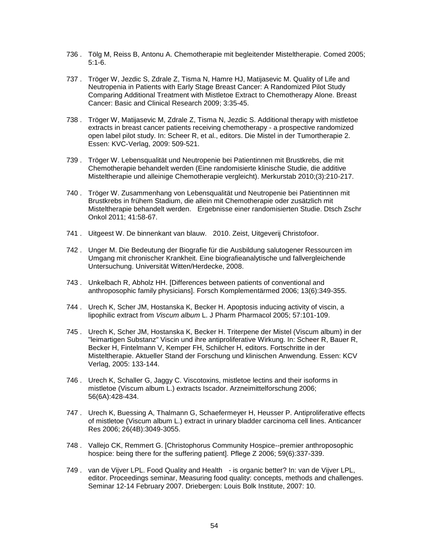- 736 . Tölg M, Reiss B, Antonu A. Chemotherapie mit begleitender Misteltherapie. Comed 2005; 5:1-6.
- 737 . Tröger W, Jezdic S, Zdrale Z, Tisma N, Hamre HJ, Matijasevic M. Quality of Life and Neutropenia in Patients with Early Stage Breast Cancer: A Randomized Pilot Study Comparing Additional Treatment with Mistletoe Extract to Chemotherapy Alone. Breast Cancer: Basic and Clinical Research 2009; 3:35-45.
- 738 . Tröger W, Matijasevic M, Zdrale Z, Tisma N, Jezdic S. Additional therapy with mistletoe extracts in breast cancer patients receiving chemotherapy - a prospective randomized open label pilot study. In: Scheer R, et al., editors. Die Mistel in der Tumortherapie 2. Essen: KVC-Verlag, 2009: 509-521.
- 739 . Tröger W. Lebensqualität und Neutropenie bei Patientinnen mit Brustkrebs, die mit Chemotherapie behandelt werden (Eine randomisierte klinische Studie, die additive Misteltherapie und alleinige Chemotherapie vergleicht). Merkurstab 2010;(3):210-217.
- 740 . Tröger W. Zusammenhang von Lebensqualität und Neutropenie bei Patientinnen mit Brustkrebs in frühem Stadium, die allein mit Chemotherapie oder zusätzlich mit Misteltherapie behandelt werden. Ergebnisse einer randomisierten Studie. Dtsch Zschr Onkol 2011; 41:58-67.
- 741 . Uitgeest W. De binnenkant van blauw. 2010. Zeist, Uitgeverij Christofoor.
- 742 . Unger M. Die Bedeutung der Biografie für die Ausbildung salutogener Ressourcen im Umgang mit chronischer Krankheit. Eine biografieanalytische und fallvergleichende Untersuchung. Universität Witten/Herdecke, 2008.
- 743 . Unkelbach R, Abholz HH. [Differences between patients of conventional and anthroposophic family physicians]. Forsch Komplementärmed 2006; 13(6):349-355.
- 744 . Urech K, Scher JM, Hostanska K, Becker H. Apoptosis inducing activity of viscin, a lipophilic extract from *Viscum album* L. J Pharm Pharmacol 2005; 57:101-109.
- 745 . Urech K, Scher JM, Hostanska K, Becker H. Triterpene der Mistel (Viscum album) in der "leimartigen Substanz" Viscin und ihre antiproliferative Wirkung. In: Scheer R, Bauer R, Becker H, Fintelmann V, Kemper FH, Schilcher H, editors. Fortschritte in der Misteltherapie. Aktueller Stand der Forschung und klinischen Anwendung. Essen: KCV Verlag, 2005: 133-144.
- 746 . Urech K, Schaller G, Jaggy C. Viscotoxins, mistletoe lectins and their isoforms in mistletoe (Viscum album L.) extracts Iscador. Arzneimittelforschung 2006; 56(6A):428-434.
- 747 . Urech K, Buessing A, Thalmann G, Schaefermeyer H, Heusser P. Antiproliferative effects of mistletoe (Viscum album L.) extract in urinary bladder carcinoma cell lines. Anticancer Res 2006; 26(4B):3049-3055.
- 748 . Vallejo CK, Remmert G. [Christophorus Community Hospice--premier anthroposophic hospice: being there for the suffering patient]. Pflege Z 2006; 59(6):337-339.
- 749 . van de Vijver LPL. Food Quality and Health is organic better? In: van de Vijver LPL, editor. Proceedings seminar, Measuring food quality: concepts, methods and challenges. Seminar 12-14 February 2007. Driebergen: Louis Bolk Institute, 2007: 10.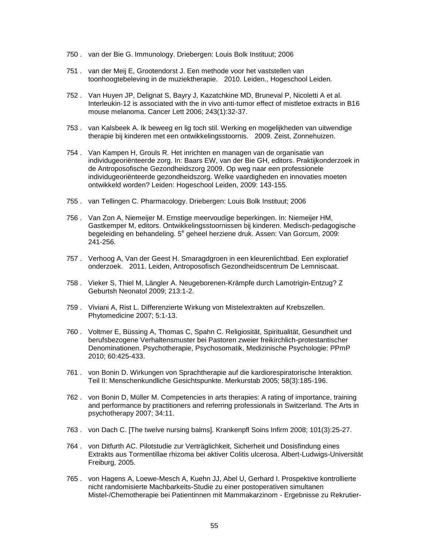- 750 . van der Bie G. Immunology. Driebergen: Louis Bolk Instituut; 2006
- 751 . van der Meij E, Grootendorst J. Een methode voor het vaststellen van toonhoogtebeleving in de muziektherapie. 2010. Leiden., Hogeschool Leiden.
- 752 . Van Huyen JP, Delignat S, Bayry J, Kazatchkine MD, Bruneval P, Nicoletti A et al. Interleukin-12 is associated with the in vivo anti-tumor effect of mistletoe extracts in B16 mouse melanoma. Cancer Lett 2006; 243(1):32-37.
- 753 . van Kalsbeek A. Ik beweeg en lig toch stil. Werking en mogelijkheden van uitwendige therapie bij kinderen met een ontwikkelingsstoornis. 2009. Zeist, Zonnehuizen.
- 754 . Van Kampen H, Grouls R. Het inrichten en managen van de organisatie van individugeoriënteerde zorg. In: Baars EW, van der Bie GH, editors. Praktijkonderzoek in de Antroposofische Gezondheidszorg 2009. Op weg naar een professionele individugeoriënteerde gezondheidszorg. Welke vaardigheden en innovaties moeten ontwikkeld worden? Leiden: Hogeschool Leiden, 2009: 143-155.
- 755 . van Tellingen C. Pharmacology. Driebergen: Louis Bolk Instituut; 2006
- 756 . Van Zon A, Niemeijer M. Ernstige meervoudige beperkingen. In: Niemeijer HM, Gastkemper M, editors. Ontwikkelingsstoornissen bij kinderen. Medisch-pedagogische begeleiding en behandeling. 5<sup>e</sup> geheel herziene druk. Assen: Van Gorcum, 2009: 241-256.
- 757 . Verhoog A, Van der Geest H. Smaragdgroen in een kleurenlichtbad. Een exploratief onderzoek. 2011. Leiden, Antroposofisch Gezondheidscentrum De Lemniscaat.
- 758 . Vieker S, Thiel M, Längler A. Neugeborenen-Krämpfe durch Lamotrigin-Entzug? Z Geburtsh Neonatol 2009; 213:1-2.
- 759 . Viviani A, Rist L. Differenzierte Wirkung von Mistelextrakten auf Krebszellen. Phytomedicine 2007; 5:1-13.
- 760 . Voltmer E, Büssing A, Thomas C, Spahn C. Religiosität, Spiritualität, Gesundheit und berufsbezogene Verhaltensmuster bei Pastoren zweier freikirchlich-protestantischer Denominationen. Psychotherapie, Psychosomatik, Medizinische Psychologie: PPmP 2010; 60:425-433.
- 761 . von Bonin D. Wirkungen von Sprachtherapie auf die kardiorespiratorische Interaktion. Teil II: Menschenkundliche Gesichtspunkte. Merkurstab 2005; 58(3):185-196.
- 762 . von Bonin D, Müller M. Competencies in arts therapies: A rating of importance, training and performance by practitioners and referring professionals in Switzerland. The Arts in psychotherapy 2007; 34:11.
- 763 . von Dach C. [The twelve nursing balms]. Krankenpfl Soins Infirm 2008; 101(3):25-27.
- 764 . von Ditfurth AC. Pilotstudie zur Verträglichkeit, Sicherheit und Dosisfindung eines Extrakts aus Tormentillae rhizoma bei aktiver Colitis ulcerosa. Albert-Ludwigs-Universität Freiburg, 2005.
- 765 . von Hagens A, Loewe-Mesch A, Kuehn JJ, Abel U, Gerhard I. Prospektive kontrollierte nicht randomisierte Machbarkeits-Studie zu einer postoperativen simultanen Mistel-/Chemotherapie bei Patientinnen mit Mammakarzinom - Ergebnisse zu Rekrutier-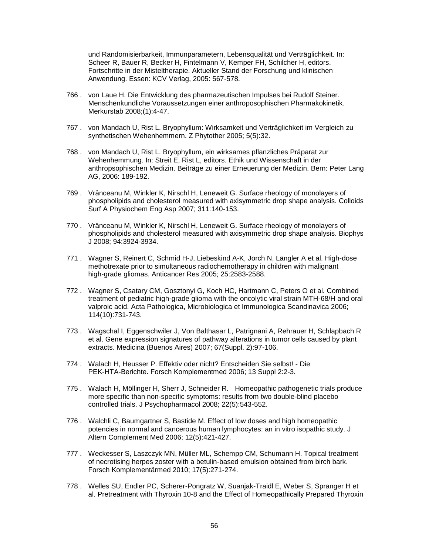und Randomisierbarkeit, Immunparametern, Lebensqualität und Verträglichkeit. In: Scheer R, Bauer R, Becker H, Fintelmann V, Kemper FH, Schilcher H, editors. Fortschritte in der Misteltherapie. Aktueller Stand der Forschung und klinischen Anwendung. Essen: KCV Verlag, 2005: 567-578.

- 766 . von Laue H. Die Entwicklung des pharmazeutischen Impulses bei Rudolf Steiner. Menschenkundliche Voraussetzungen einer anthroposophischen Pharmakokinetik. Merkurstab 2008;(1):4-47.
- 767 . von Mandach U, Rist L. Bryophyllum: Wirksamkeit und Verträglichkeit im Vergleich zu synthetischen Wehenhemmern. Z Phytother 2005; 5(5):32.
- 768 . von Mandach U, Rist L. Bryophyllum, ein wirksames pflanzliches Präparat zur Wehenhemmung. In: Streit E, Rist L, editors. Ethik und Wissenschaft in der anthropsophischen Medizin. Beiträge zu einer Erneuerung der Medizin. Bern: Peter Lang AG, 2006: 189-192.
- 769 . Vrânceanu M, Winkler K, Nirschl H, Leneweit G. Surface rheology of monolayers of phospholipids and cholesterol measured with axisymmetric drop shape analysis. Colloids Surf A Physiochem Eng Asp 2007; 311:140-153.
- 770 . Vrânceanu M, Winkler K, Nirschl H, Leneweit G. Surface rheology of monolayers of phospholipids and cholesterol measured with axisymmetric drop shape analysis. Biophys J 2008; 94:3924-3934.
- 771 . Wagner S, Reinert C, Schmid H-J, Liebeskind A-K, Jorch N, Längler A et al. High-dose methotrexate prior to simultaneous radiochemotherapy in children with malignant high-grade gliomas. Anticancer Res 2005; 25:2583-2588.
- 772 . Wagner S, Csatary CM, Gosztonyi G, Koch HC, Hartmann C, Peters O et al. Combined treatment of pediatric high-grade glioma with the oncolytic viral strain MTH-68/H and oral valproic acid. Acta Pathologica, Microbiologica et Immunologica Scandinavica 2006; 114(10):731-743.
- 773 . Wagschal I, Eggenschwiler J, Von Balthasar L, Patrignani A, Rehrauer H, Schlapbach R et al. Gene expression signatures of pathway alterations in tumor cells caused by plant extracts. Medicina (Buenos Aires) 2007; 67(Suppl. 2):97-106.
- 774 . Walach H, Heusser P. Effektiv oder nicht? Entscheiden Sie selbst! Die PEK-HTA-Berichte. Forsch Komplementmed 2006; 13 Suppl 2:2-3.
- 775 . Walach H, Möllinger H, Sherr J, Schneider R. Homeopathic pathogenetic trials produce more specific than non-specific symptoms: results from two double-blind placebo controlled trials. J Psychopharmacol 2008; 22(5):543-552.
- 776 . Walchli C, Baumgartner S, Bastide M. Effect of low doses and high homeopathic potencies in normal and cancerous human lymphocytes: an in vitro isopathic study. J Altern Complement Med 2006; 12(5):421-427.
- 777 . Weckesser S, Laszczyk MN, Müller ML, Schempp CM, Schumann H. Topical treatment of necrotising herpes zoster with a betulin-based emulsion obtained from birch bark. Forsch Komplementärmed 2010; 17(5):271-274.
- 778 . Welles SU, Endler PC, Scherer-Pongratz W, Suanjak-Traidl E, Weber S, Spranger H et al. Pretreatment with Thyroxin 10-8 and the Effect of Homeopathically Prepared Thyroxin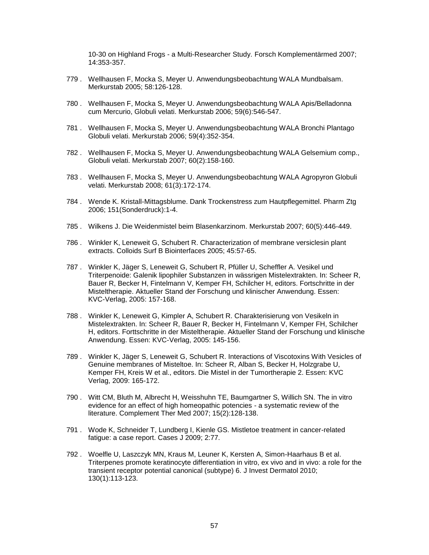10-30 on Highland Frogs - a Multi-Researcher Study. Forsch Komplementärmed 2007; 14:353-357.

- 779 . Wellhausen F, Mocka S, Meyer U. Anwendungsbeobachtung WALA Mundbalsam. Merkurstab 2005; 58:126-128.
- 780 . Wellhausen F, Mocka S, Meyer U. Anwendungsbeobachtung WALA Apis/Belladonna cum Mercurio, Globuli velati. Merkurstab 2006; 59(6):546-547.
- 781 . Wellhausen F, Mocka S, Meyer U. Anwendungsbeobachtung WALA Bronchi Plantago Globuli velati. Merkurstab 2006; 59(4):352-354.
- 782 . Wellhausen F, Mocka S, Meyer U. Anwendungsbeobachtung WALA Gelsemium comp., Globuli velati. Merkurstab 2007; 60(2):158-160.
- 783 . Wellhausen F, Mocka S, Meyer U. Anwendungsbeobachtung WALA Agropyron Globuli velati. Merkurstab 2008; 61(3):172-174.
- 784 . Wende K. Kristall-Mittagsblume. Dank Trockenstress zum Hautpflegemittel. Pharm Ztg 2006; 151(Sonderdruck):1-4.
- 785 . Wilkens J. Die Weidenmistel beim Blasenkarzinom. Merkurstab 2007; 60(5):446-449.
- 786 . Winkler K, Leneweit G, Schubert R. Characterization of membrane versiclesin plant extracts. Colloids Surf B Biointerfaces 2005; 45:57-65.
- 787 . Winkler K, Jäger S, Leneweit G, Schubert R, Pfüller U, Scheffler A. Vesikel und Triterpenoide: Galenik lipophiler Substanzen in wässrigen Mistelextrakten. In: Scheer R, Bauer R, Becker H, Fintelmann V, Kemper FH, Schilcher H, editors. Fortschritte in der Misteltherapie. Aktueller Stand der Forschung und klinischer Anwendung. Essen: KVC-Verlag, 2005: 157-168.
- 788 . Winkler K, Leneweit G, Kimpler A, Schubert R. Charakterisierung von Vesikeln in Mistelextrakten. In: Scheer R, Bauer R, Becker H, Fintelmann V, Kemper FH, Schilcher H, editors. Forttschritte in der Misteltherapie. Aktueller Stand der Forschung und klinische Anwendung. Essen: KVC-Verlag, 2005: 145-156.
- 789 . Winkler K, Jäger S, Leneweit G, Schubert R. Interactions of Viscotoxins With Vesicles of Genuine membranes of Misteltoe. In: Scheer R, Alban S, Becker H, Holzgrabe U, Kemper FH, Kreis W et al., editors. Die Mistel in der Tumortherapie 2. Essen: KVC Verlag, 2009: 165-172.
- 790 . Witt CM, Bluth M, Albrecht H, Weisshuhn TE, Baumgartner S, Willich SN. The in vitro evidence for an effect of high homeopathic potencies - a systematic review of the literature. Complement Ther Med 2007; 15(2):128-138.
- 791 . Wode K, Schneider T, Lundberg I, Kienle GS. Mistletoe treatment in cancer-related fatigue: a case report. Cases J 2009; 2:77.
- 792 . Woelfle U, Laszczyk MN, Kraus M, Leuner K, Kersten A, Simon-Haarhaus B et al. Triterpenes promote keratinocyte differentiation in vitro, ex vivo and in vivo: a role for the transient receptor potential canonical (subtype) 6. J Invest Dermatol 2010; 130(1):113-123.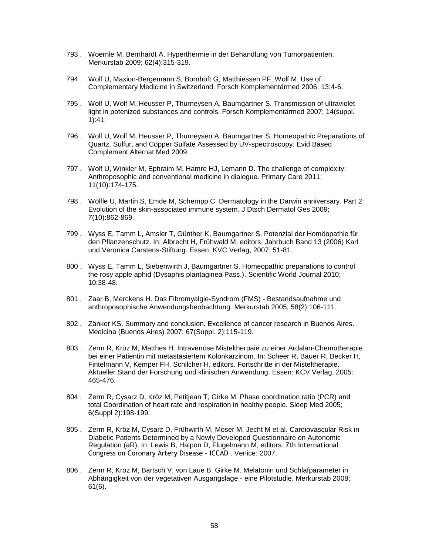- 793 . Woernle M, Bernhardt A. Hyperthermie in der Behandlung von Tumorpatienten. Merkurstab 2009; 62(4):315-319.
- 794 . Wolf U, Maxion-Bergemann S, Bornhöft G, Matthiessen PF, Wolf M. Use of Complementary Medicine in Switzerland. Forsch Komplementärmed 2006; 13:4-6.
- 795 . Wolf U, Wolf M, Heusser P, Thurneysen A, Baumgartner S. Transmission of ultraviolet light in potenized substances and controls. Forsch Komplementärmed 2007; 14(suppl. 1):41.
- 796 . Wolf U, Wolf M, Heusser P, Thurneysen A, Baumgartner S. Homeopathic Preparations of Quartz, Sulfur, and Copper Sulfate Assessed by UV-spectroscopy. Evid Based Complement Alternat Med 2009.
- 797 . Wolf U, Winkler M, Ephraim M, Hamre HJ, Lemann D. The challenge of complexity: Anthroposophic and conventional medicine in dialogue. Primary Care 2011; 11(10):174-175.
- 798 . Wölfle U, Martin S, Emde M, Schempp C. Dermatology in the Darwin anniversary. Part 2: Evolution of the skin-associated immune system. J Dtsch Dermatol Ges 2009; 7(10):862-869.
- 799 . Wyss E, Tamm L, Amsler T, Günther K, Baumgartner S. Potenzial der Homöopathie für den Pflanzenschutz. In: Albrecht H, Frühwald M, editors. Jahrbuch Band 13 (2006) Karl und Veronica Carstens-Stiftung. Essen: KVC Verlag, 2007: 51-81.
- 800 . Wyss E, Tamm L, Siebenwirth J, Baumgartner S. Homeopathic preparations to control the rosy apple aphid (Dysaphis plantaginea Pass.). Scientific World Journal 2010; 10:38-48.
- 801 . Zaar B, Merckens H. Das Fibromyalgie-Syndrom (FMS) Bestandsaufnahme und anthroposophische Anwendungsbeobachtung. Merkurstab 2005; 58(2):106-111.
- 802 . Zänker KS. Summary and conclusion. Excellence of cancer research in Buenos Aires. Medicina (Buenos Aires) 2007; 67(Suppl. 2):115-119.
- 803 . Zerm R, Kröz M, Matthes H. Intravenöse Misteltherpaie zu einer Ardalan-Chemotherapie bei einer Patientin mit metastasiertem Kolonkarzinom. In: Scheer R, Bauer R, Becker H, Fintelmann V, Kemper FH, Schilcher H, editors. Fortschritte in der Misteltherapie. Aktueller Stand der Forschung und klinischen Anwendung. Essen: KCV Verlag, 2005: 465-476.
- 804 . Zerm R, Cysarz D, Kröz M, Petitjean T, Girke M. Phase coordination ratio (PCR) and total Coordination of heart rate and respiration in healthy people. Sleep Med 2005; 6(Suppl 2):198-199.
- 805 . Zerm R, Kröz M, Cysarz D, Frühwirth M, Moser M, Jecht M et al. Cardiovascular Risk in Diabetic Patients Determined by a Newly Developed Questionnaire on Autonomic Regulation (aR). In: Lewis B, Halpon D, Flugelmann M, editors. 7th International Congress on Coronary Artery Disease - ICCAD . Venice: 2007.
- 806 . Zerm R, Kröz M, Bartsch V, von Laue B, Girke M. Melatonin und Schlafparameter in Abhängigkeit von der vegetativen Ausgangslage - eine Pilotstudie. Merkurstab 2008; 61(6).